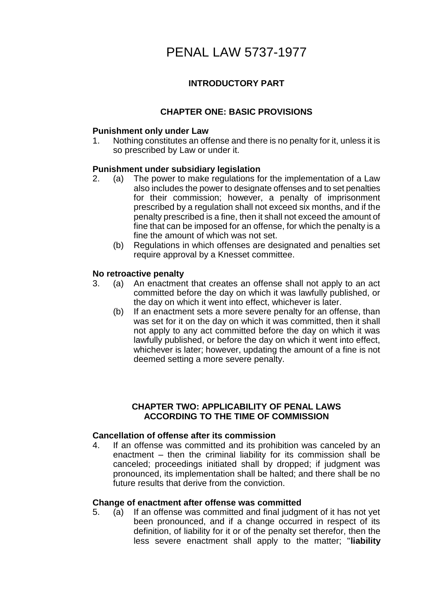# PENAL LAW 5737-1977

# **INTRODUCTORY PART**

# **CHAPTER ONE: BASIC PROVISIONS**

# **Punishment only under Law**

1. Nothing constitutes an offense and there is no penalty for it, unless it is so prescribed by Law or under it.

# **Punishment under subsidiary legislation**

- 2. (a) The power to make regulations for the implementation of a Law also includes the power to designate offenses and to set penalties for their commission; however, a penalty of imprisonment prescribed by a regulation shall not exceed six months, and if the penalty prescribed is a fine, then it shall not exceed the amount of fine that can be imposed for an offense, for which the penalty is a fine the amount of which was not set.
	- (b) Regulations in which offenses are designated and penalties set require approval by a Knesset committee.

### **No retroactive penalty**

- 3. (a) An enactment that creates an offense shall not apply to an act committed before the day on which it was lawfully published, or the day on which it went into effect, whichever is later.
	- (b) If an enactment sets a more severe penalty for an offense, than was set for it on the day on which it was committed, then it shall not apply to any act committed before the day on which it was lawfully published, or before the day on which it went into effect, whichever is later; however, updating the amount of a fine is not deemed setting a more severe penalty.

# **CHAPTER TWO: APPLICABILITY OF PENAL LAWS ACCORDING TO THE TIME OF COMMISSION**

### **Cancellation of offense after its commission**

4. If an offense was committed and its prohibition was canceled by an enactment – then the criminal liability for its commission shall be canceled; proceedings initiated shall by dropped; if judgment was pronounced, its implementation shall be halted; and there shall be no future results that derive from the conviction.

### **Change of enactment after offense was committed**

5. (a) If an offense was committed and final judgment of it has not yet been pronounced, and if a change occurred in respect of its definition, of liability for it or of the penalty set therefor, then the less severe enactment shall apply to the matter; "**liability**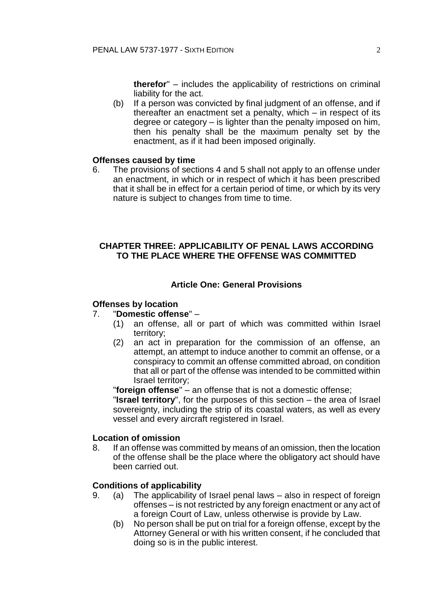**therefor**" – includes the applicability of restrictions on criminal liability for the act.

(b) If a person was convicted by final judgment of an offense, and if thereafter an enactment set a penalty, which – in respect of its degree or category – is lighter than the penalty imposed on him, then his penalty shall be the maximum penalty set by the enactment, as if it had been imposed originally.

#### **Offenses caused by time**

6. The provisions of sections 4 and 5 shall not apply to an offense under an enactment, in which or in respect of which it has been prescribed that it shall be in effect for a certain period of time, or which by its very nature is subject to changes from time to time.

# **CHAPTER THREE: APPLICABILITY OF PENAL LAWS ACCORDING TO THE PLACE WHERE THE OFFENSE WAS COMMITTED**

# **Article One: General Provisions**

#### **Offenses by location**

### 7. "**Domestic offense**" –

- (1) an offense, all or part of which was committed within Israel territory;
- (2) an act in preparation for the commission of an offense, an attempt, an attempt to induce another to commit an offense, or a conspiracy to commit an offense committed abroad, on condition that all or part of the offense was intended to be committed within Israel territory;

"**foreign offense**" – an offense that is not a domestic offense;

"**Israel territory**", for the purposes of this section – the area of Israel sovereignty, including the strip of its coastal waters, as well as every vessel and every aircraft registered in Israel.

#### **Location of omission**

8. If an offense was committed by means of an omission, then the location of the offense shall be the place where the obligatory act should have been carried out.

#### **Conditions of applicability**

- 9. (a) The applicability of Israel penal laws also in respect of foreign offenses – is not restricted by any foreign enactment or any act of a foreign Court of Law, unless otherwise is provide by Law.
	- (b) No person shall be put on trial for a foreign offense, except by the Attorney General or with his written consent, if he concluded that doing so is in the public interest.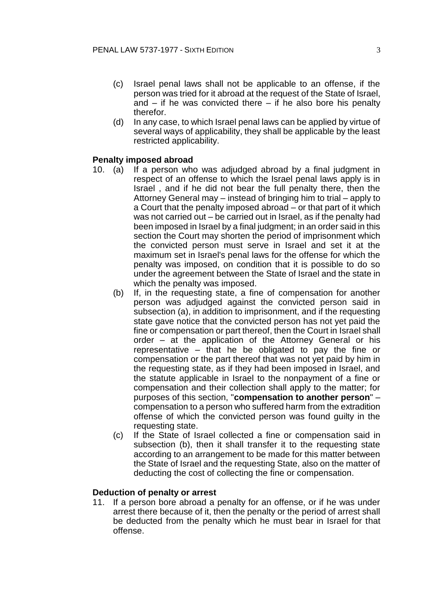- (c) Israel penal laws shall not be applicable to an offense, if the person was tried for it abroad at the request of the State of Israel, and  $-$  if he was convicted there  $-$  if he also bore his penalty therefor.
- (d) In any case, to which Israel penal laws can be applied by virtue of several ways of applicability, they shall be applicable by the least restricted applicability.

#### **Penalty imposed abroad**

- 10. (a) If a person who was adjudged abroad by a final judgment in respect of an offense to which the Israel penal laws apply is in Israel , and if he did not bear the full penalty there, then the Attorney General may – instead of bringing him to trial – apply to a Court that the penalty imposed abroad – or that part of it which was not carried out – be carried out in Israel, as if the penalty had been imposed in Israel by a final judgment; in an order said in this section the Court may shorten the period of imprisonment which the convicted person must serve in Israel and set it at the maximum set in Israel's penal laws for the offense for which the penalty was imposed, on condition that it is possible to do so under the agreement between the State of Israel and the state in which the penalty was imposed.
	- (b) If, in the requesting state, a fine of compensation for another person was adjudged against the convicted person said in subsection (a), in addition to imprisonment, and if the requesting state gave notice that the convicted person has not yet paid the fine or compensation or part thereof, then the Court in Israel shall order – at the application of the Attorney General or his representative – that he be obligated to pay the fine or compensation or the part thereof that was not yet paid by him in the requesting state, as if they had been imposed in Israel, and the statute applicable in Israel to the nonpayment of a fine or compensation and their collection shall apply to the matter; for purposes of this section, "**compensation to another person**" – compensation to a person who suffered harm from the extradition offense of which the convicted person was found guilty in the requesting state.
	- (c) If the State of Israel collected a fine or compensation said in subsection (b), then it shall transfer it to the requesting state according to an arrangement to be made for this matter between the State of Israel and the requesting State, also on the matter of deducting the cost of collecting the fine or compensation.

#### **Deduction of penalty or arrest**

11. If a person bore abroad a penalty for an offense, or if he was under arrest there because of it, then the penalty or the period of arrest shall be deducted from the penalty which he must bear in Israel for that offense.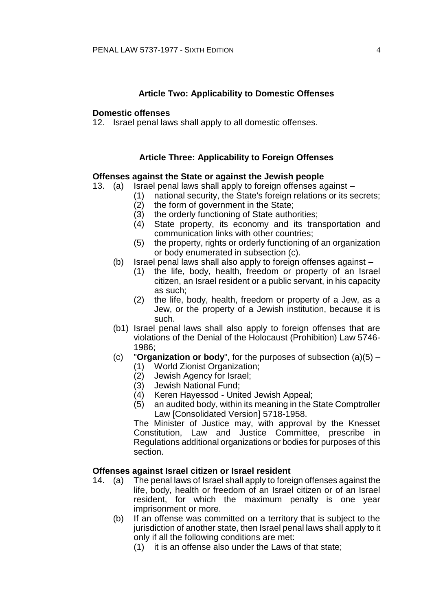### **Article Two: Applicability to Domestic Offenses**

#### **Domestic offenses**

12. Israel penal laws shall apply to all domestic offenses.

# **Article Three: Applicability to Foreign Offenses**

#### **Offenses against the State or against the Jewish people**

13. (a) Israel penal laws shall apply to foreign offenses against –

- (1) national security, the State's foreign relations or its secrets;<br>(2) the form of government in the State:
	- the form of government in the State:
	- (3) the orderly functioning of State authorities;
	- (4) State property, its economy and its transportation and communication links with other countries;
	- (5) the property, rights or orderly functioning of an organization or body enumerated in subsection (c).
- (b) Israel penal laws shall also apply to foreign offenses against
	- (1) the life, body, health, freedom or property of an Israel citizen, an Israel resident or a public servant, in his capacity as such;
	- (2) the life, body, health, freedom or property of a Jew, as a Jew, or the property of a Jewish institution, because it is such.
- (b1) Israel penal laws shall also apply to foreign offenses that are violations of the Denial of the Holocaust (Prohibition) Law 5746- 1986;
- (c) "**Organization or body**", for the purposes of subsection (a)(5)
	- (1) World Zionist Organization;
	- Jewish Agency for Israel;
	- (3) Jewish National Fund;
	- Keren Hayessod United Jewish Appeal;
	- (5) an audited body, within its meaning in the State Comptroller Law [Consolidated Version] 5718-1958.

The Minister of Justice may, with approval by the Knesset Constitution, Law and Justice Committee, prescribe in Regulations additional organizations or bodies for purposes of this section.

# **Offenses against Israel citizen or Israel resident**

- 14. (a) The penal laws of Israel shall apply to foreign offenses against the life, body, health or freedom of an Israel citizen or of an Israel resident, for which the maximum penalty is one year imprisonment or more.
	- (b) If an offense was committed on a territory that is subject to the jurisdiction of another state, then Israel penal laws shall apply to it only if all the following conditions are met:
		- (1) it is an offense also under the Laws of that state;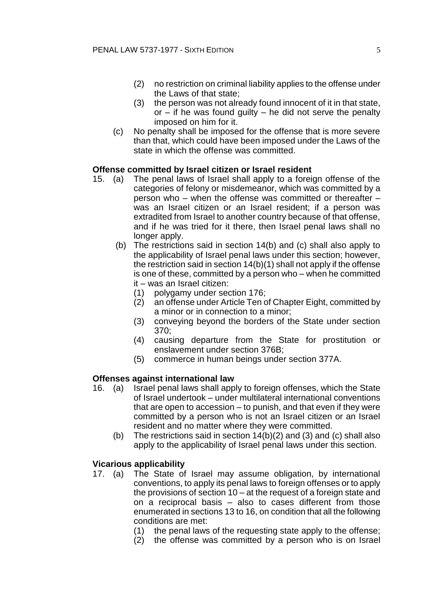- (2) no restriction on criminal liability applies to the offense under the Laws of that state;
- (3) the person was not already found innocent of it in that state, or  $-$  if he was found guilty  $-$  he did not serve the penalty imposed on him for it.
- (c) No penalty shall be imposed for the offense that is more severe than that, which could have been imposed under the Laws of the state in which the offense was committed.

# **Offense committed by Israel citizen or Israel resident**

- 15. (a) The penal laws of Israel shall apply to a foreign offense of the categories of felony or misdemeanor, which was committed by a person who – when the offense was committed or thereafter – was an Israel citizen or an Israel resident; if a person was extradited from Israel to another country because of that offense, and if he was tried for it there, then Israel penal laws shall no longer apply.
	- (b) The restrictions said in section 14(b) and (c) shall also apply to the applicability of Israel penal laws under this section; however, the restriction said in section 14(b)(1) shall not apply if the offense is one of these, committed by a person who – when he committed it – was an Israel citizen:
		- (1) polygamy under section 176;
		- (2) an offense under Article Ten of Chapter Eight, committed by a minor or in connection to a minor;
		- (3) conveying beyond the borders of the State under section 370;
		- (4) causing departure from the State for prostitution or enslavement under section 376B;
		- (5) commerce in human beings under section 377A.

### **Offenses against international law**

- 16. (a) Israel penal laws shall apply to foreign offenses, which the State of Israel undertook – under multilateral international conventions that are open to accession – to punish, and that even if they were committed by a person who is not an Israel citizen or an Israel resident and no matter where they were committed.
	- (b) The restrictions said in section 14(b)(2) and (3) and (c) shall also apply to the applicability of Israel penal laws under this section.

# **Vicarious applicability**

- 17. (a) The State of Israel may assume obligation, by international conventions, to apply its penal laws to foreign offenses or to apply the provisions of section 10 – at the request of a foreign state and on a reciprocal basis – also to cases different from those enumerated in sections 13 to 16, on condition that all the following conditions are met:
	- (1) the penal laws of the requesting state apply to the offense;
	- (2) the offense was committed by a person who is on Israel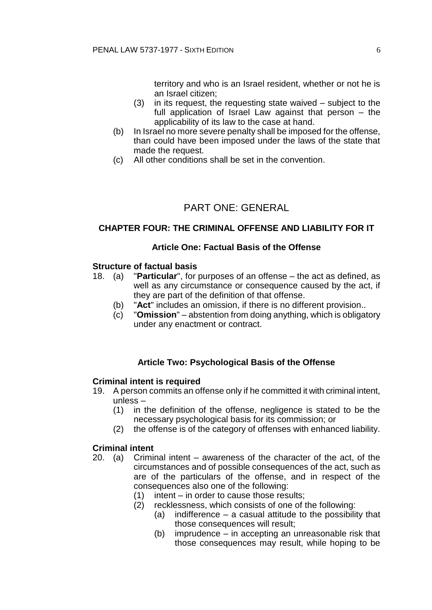territory and who is an Israel resident, whether or not he is an Israel citizen;

- (3) in its request, the requesting state waived subject to the full application of Israel Law against that person – the applicability of its law to the case at hand.
- (b) In Israel no more severe penalty shall be imposed for the offense, than could have been imposed under the laws of the state that made the request.
- (c) All other conditions shall be set in the convention.

# PART ONE: GENERAL

# **CHAPTER FOUR: THE CRIMINAL OFFENSE AND LIABILITY FOR IT**

# **Article One: Factual Basis of the Offense**

# **Structure of factual basis**

- 18. (a) "**Particular**", for purposes of an offense the act as defined, as well as any circumstance or consequence caused by the act, if they are part of the definition of that offense.
	- (b) "**Act**" includes an omission, if there is no different provision..
	- (c) "**Omission**" abstention from doing anything, which is obligatory under any enactment or contract.

# **Article Two: Psychological Basis of the Offense**

### **Criminal intent is required**

- 19. A person commits an offense only if he committed it with criminal intent, unless –
	- (1) in the definition of the offense, negligence is stated to be the necessary psychological basis for its commission; or
	- (2) the offense is of the category of offenses with enhanced liability.

### **Criminal intent**

- 20. (a) Criminal intent awareness of the character of the act, of the circumstances and of possible consequences of the act, such as are of the particulars of the offense, and in respect of the consequences also one of the following:
	- (1) intent in order to cause those results;
	- (2) recklessness, which consists of one of the following:
		- (a) indifference a casual attitude to the possibility that those consequences will result;
		- (b) imprudence in accepting an unreasonable risk that those consequences may result, while hoping to be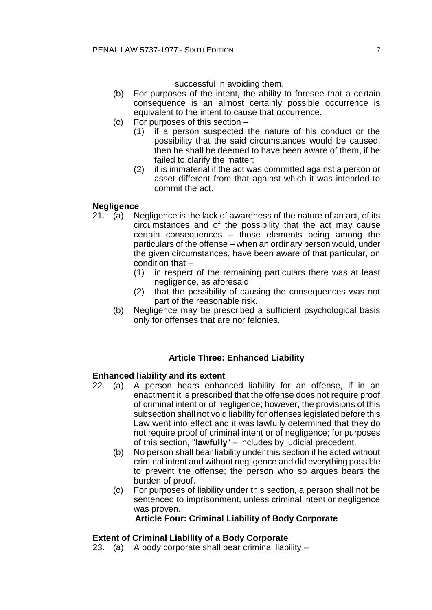successful in avoiding them.

- (b) For purposes of the intent, the ability to foresee that a certain consequence is an almost certainly possible occurrence is equivalent to the intent to cause that occurrence.
- (c) For purposes of this section
	- (1) if a person suspected the nature of his conduct or the possibility that the said circumstances would be caused, then he shall be deemed to have been aware of them, if he failed to clarify the matter;
	- (2) it is immaterial if the act was committed against a person or asset different from that against which it was intended to commit the act.

# **Negligence**

- 21. (a) Negligence is the lack of awareness of the nature of an act, of its circumstances and of the possibility that the act may cause certain consequences – those elements being among the particulars of the offense – when an ordinary person would, under the given circumstances, have been aware of that particular, on condition that –
	- (1) in respect of the remaining particulars there was at least negligence, as aforesaid;
	- (2) that the possibility of causing the consequences was not part of the reasonable risk.
	- (b) Negligence may be prescribed a sufficient psychological basis only for offenses that are nor felonies.

# **Article Three: Enhanced Liability**

# **Enhanced liability and its extent**

- 22. (a) A person bears enhanced liability for an offense, if in an enactment it is prescribed that the offense does not require proof of criminal intent or of negligence; however, the provisions of this subsection shall not void liability for offenses legislated before this Law went into effect and it was lawfully determined that they do not require proof of criminal intent or of negligence; for purposes of this section, "**lawfully**" – includes by judicial precedent.
	- (b) No person shall bear liability under this section if he acted without criminal intent and without negligence and did everything possible to prevent the offense; the person who so argues bears the burden of proof.
	- (c) For purposes of liability under this section, a person shall not be sentenced to imprisonment, unless criminal intent or negligence was proven.

# **Article Four: Criminal Liability of Body Corporate**

# **Extent of Criminal Liability of a Body Corporate**

23. (a) A body corporate shall bear criminal liability –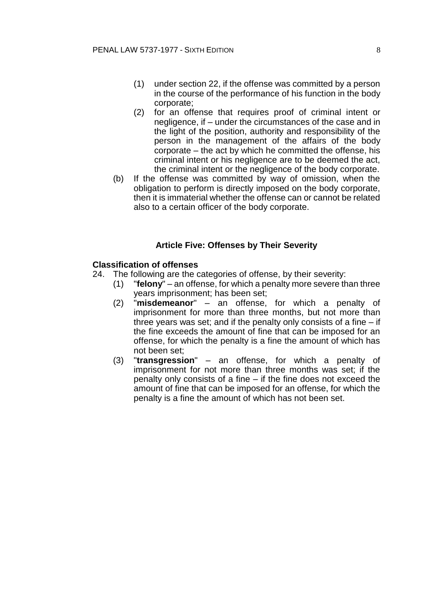- (1) under section 22, if the offense was committed by a person in the course of the performance of his function in the body corporate;
- (2) for an offense that requires proof of criminal intent or negligence, if – under the circumstances of the case and in the light of the position, authority and responsibility of the person in the management of the affairs of the body corporate – the act by which he committed the offense, his criminal intent or his negligence are to be deemed the act, the criminal intent or the negligence of the body corporate.
- (b) If the offense was committed by way of omission, when the obligation to perform is directly imposed on the body corporate, then it is immaterial whether the offense can or cannot be related also to a certain officer of the body corporate.

### **Article Five: Offenses by Their Severity**

#### **Classification of offenses**

- 24. The following are the categories of offense, by their severity:
	- (1) "**felony**" an offense, for which a penalty more severe than three years imprisonment; has been set;
	- (2) "**misdemeanor**" an offense, for which a penalty of imprisonment for more than three months, but not more than three years was set; and if the penalty only consists of a fine – if the fine exceeds the amount of fine that can be imposed for an offense, for which the penalty is a fine the amount of which has not been set;
	- (3) "**transgression**" an offense, for which a penalty of imprisonment for not more than three months was set; if the penalty only consists of a fine – if the fine does not exceed the amount of fine that can be imposed for an offense, for which the penalty is a fine the amount of which has not been set.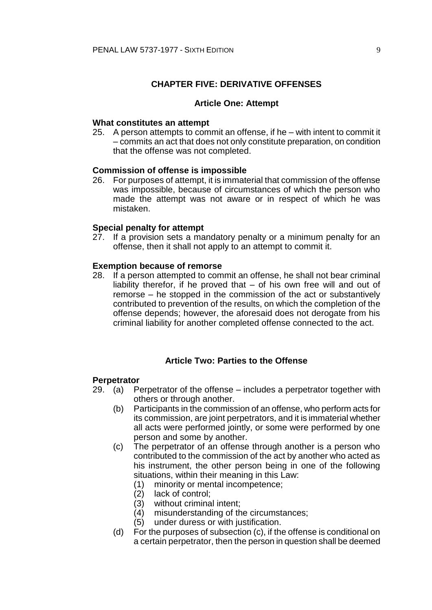# **CHAPTER FIVE: DERIVATIVE OFFENSES**

#### **Article One: Attempt**

#### **What constitutes an attempt**

25. A person attempts to commit an offense, if he – with intent to commit it – commits an act that does not only constitute preparation, on condition that the offense was not completed.

#### **Commission of offense is impossible**

26. For purposes of attempt, it is immaterial that commission of the offense was impossible, because of circumstances of which the person who made the attempt was not aware or in respect of which he was mistaken.

### **Special penalty for attempt**

27. If a provision sets a mandatory penalty or a minimum penalty for an offense, then it shall not apply to an attempt to commit it.

#### **Exemption because of remorse**

28. If a person attempted to commit an offense, he shall not bear criminal liability therefor, if he proved that – of his own free will and out of remorse – he stopped in the commission of the act or substantively contributed to prevention of the results, on which the completion of the offense depends; however, the aforesaid does not derogate from his criminal liability for another completed offense connected to the act.

# **Article Two: Parties to the Offense**

#### **Perpetrator**

- 29. (a) Perpetrator of the offense includes a perpetrator together with others or through another.
	- (b) Participants in the commission of an offense, who perform acts for its commission, are joint perpetrators, and it is immaterial whether all acts were performed jointly, or some were performed by one person and some by another.
	- (c) The perpetrator of an offense through another is a person who contributed to the commission of the act by another who acted as his instrument, the other person being in one of the following situations, within their meaning in this Law:
		- (1) minority or mental incompetence;
		- (2) lack of control;
		- (3) without criminal intent;
		- (4) misunderstanding of the circumstances;
		- (5) under duress or with justification.
	- (d) For the purposes of subsection (c), if the offense is conditional on a certain perpetrator, then the person in question shall be deemed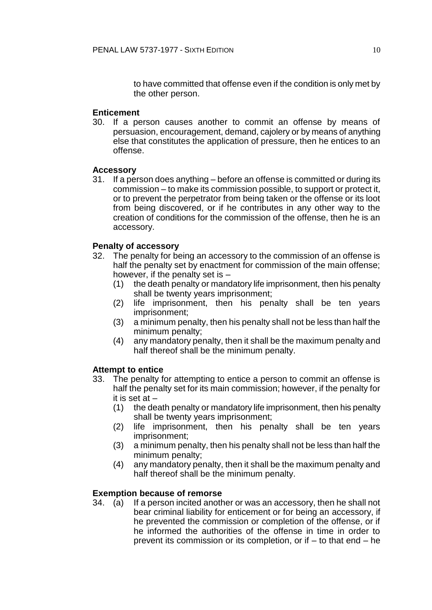to have committed that offense even if the condition is only met by the other person.

# **Enticement**

30. If a person causes another to commit an offense by means of persuasion, encouragement, demand, cajolery or by means of anything else that constitutes the application of pressure, then he entices to an offense.

### **Accessory**

31. If a person does anything – before an offense is committed or during its commission – to make its commission possible, to support or protect it, or to prevent the perpetrator from being taken or the offense or its loot from being discovered, or if he contributes in any other way to the creation of conditions for the commission of the offense, then he is an accessory.

# **Penalty of accessory**

- 32. The penalty for being an accessory to the commission of an offense is half the penalty set by enactment for commission of the main offense; however, if the penalty set is –
	- (1) the death penalty or mandatory life imprisonment, then his penalty shall be twenty years imprisonment;
	- (2) life imprisonment, then his penalty shall be ten years imprisonment;
	- (3) a minimum penalty, then his penalty shall not be less than half the minimum penalty;
	- (4) any mandatory penalty, then it shall be the maximum penalty and half thereof shall be the minimum penalty.

### **Attempt to entice**

- 33. The penalty for attempting to entice a person to commit an offense is half the penalty set for its main commission; however, if the penalty for it is set at –
	- (1) the death penalty or mandatory life imprisonment, then his penalty shall be twenty years imprisonment;
	- (2) life imprisonment, then his penalty shall be ten years imprisonment;
	- (3) a minimum penalty, then his penalty shall not be less than half the minimum penalty;
	- (4) any mandatory penalty, then it shall be the maximum penalty and half thereof shall be the minimum penalty.

# **Exemption because of remorse**

34. (a) If a person incited another or was an accessory, then he shall not bear criminal liability for enticement or for being an accessory, if he prevented the commission or completion of the offense, or if he informed the authorities of the offense in time in order to prevent its commission or its completion, or if – to that end – he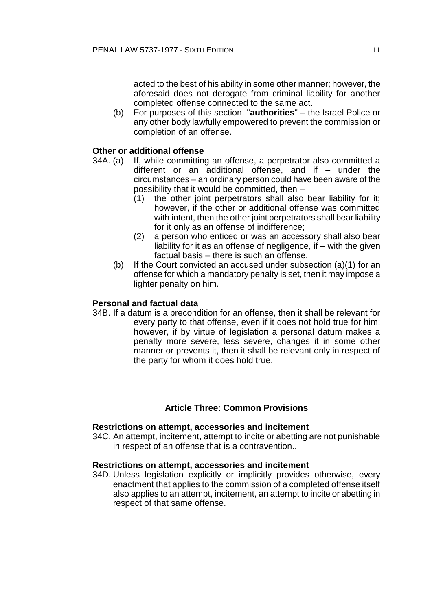acted to the best of his ability in some other manner; however, the aforesaid does not derogate from criminal liability for another completed offense connected to the same act.

(b) For purposes of this section, "**authorities**" – the Israel Police or any other body lawfully empowered to prevent the commission or completion of an offense.

# **Other or additional offense**

- 34A. (a) If, while committing an offense, a perpetrator also committed a different or an additional offense, and if – under the circumstances – an ordinary person could have been aware of the possibility that it would be committed, then –
	- (1) the other joint perpetrators shall also bear liability for it; however, if the other or additional offense was committed with intent, then the other joint perpetrators shall bear liability for it only as an offense of indifference;
	- (2) a person who enticed or was an accessory shall also bear liability for it as an offense of negligence, if – with the given factual basis – there is such an offense.
	- (b) If the Court convicted an accused under subsection (a)(1) for an offense for which a mandatory penalty is set, then it may impose a lighter penalty on him.

# **Personal and factual data**

34B. If a datum is a precondition for an offense, then it shall be relevant for every party to that offense, even if it does not hold true for him; however, if by virtue of legislation a personal datum makes a penalty more severe, less severe, changes it in some other manner or prevents it, then it shall be relevant only in respect of the party for whom it does hold true.

### **Article Three: Common Provisions**

#### **Restrictions on attempt, accessories and incitement**

34C. An attempt, incitement, attempt to incite or abetting are not punishable in respect of an offense that is a contravention..

### **Restrictions on attempt, accessories and incitement**

34D. Unless legislation explicitly or implicitly provides otherwise, every enactment that applies to the commission of a completed offense itself also applies to an attempt, incitement, an attempt to incite or abetting in respect of that same offense.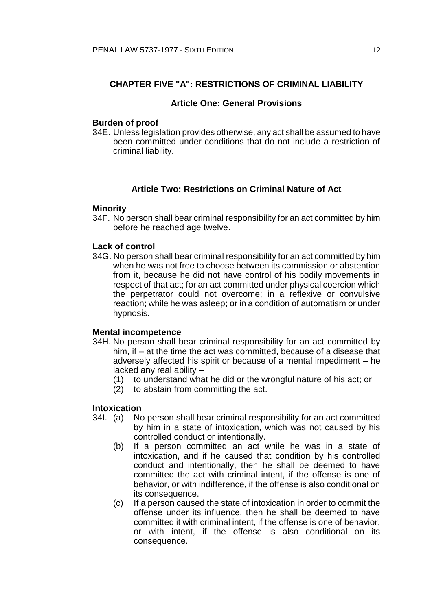# **CHAPTER FIVE "A": RESTRICTIONS OF CRIMINAL LIABILITY**

### **Article One: General Provisions**

### **Burden of proof**

34E. Unless legislation provides otherwise, any act shall be assumed to have been committed under conditions that do not include a restriction of criminal liability.

# **Article Two: Restrictions on Criminal Nature of Act**

### **Minority**

34F. No person shall bear criminal responsibility for an act committed by him before he reached age twelve.

#### **Lack of control**

34G. No person shall bear criminal responsibility for an act committed by him when he was not free to choose between its commission or abstention from it, because he did not have control of his bodily movements in respect of that act; for an act committed under physical coercion which the perpetrator could not overcome; in a reflexive or convulsive reaction; while he was asleep; or in a condition of automatism or under hypnosis.

#### **Mental incompetence**

- 34H. No person shall bear criminal responsibility for an act committed by him, if – at the time the act was committed, because of a disease that adversely affected his spirit or because of a mental impediment – he lacked any real ability –
	- (1) to understand what he did or the wrongful nature of his act; or
	- (2) to abstain from committing the act.

# **Intoxication**

- 34I. (a) No person shall bear criminal responsibility for an act committed by him in a state of intoxication, which was not caused by his controlled conduct or intentionally.
	- (b) If a person committed an act while he was in a state of intoxication, and if he caused that condition by his controlled conduct and intentionally, then he shall be deemed to have committed the act with criminal intent, if the offense is one of behavior, or with indifference, if the offense is also conditional on its consequence.
	- (c) If a person caused the state of intoxication in order to commit the offense under its influence, then he shall be deemed to have committed it with criminal intent, if the offense is one of behavior, or with intent, if the offense is also conditional on its consequence.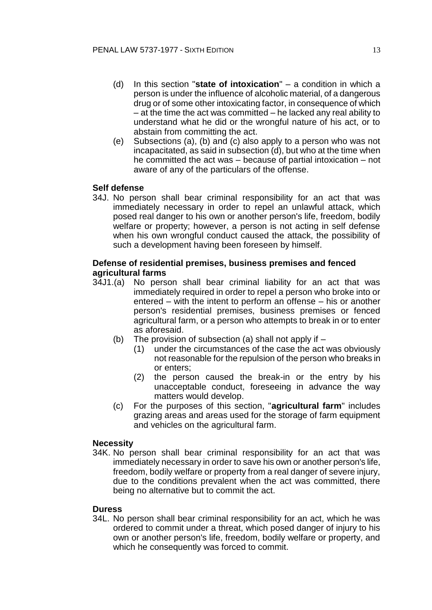- (d) In this section "**state of intoxication**" a condition in which a person is under the influence of alcoholic material, of a dangerous drug or of some other intoxicating factor, in consequence of which – at the time the act was committed – he lacked any real ability to understand what he did or the wrongful nature of his act, or to abstain from committing the act.
- (e) Subsections (a), (b) and (c) also apply to a person who was not incapacitated, as said in subsection (d), but who at the time when he committed the act was – because of partial intoxication – not aware of any of the particulars of the offense.

# **Self defense**

34J. No person shall bear criminal responsibility for an act that was immediately necessary in order to repel an unlawful attack, which posed real danger to his own or another person's life, freedom, bodily welfare or property; however, a person is not acting in self defense when his own wrongful conduct caused the attack, the possibility of such a development having been foreseen by himself.

# **Defense of residential premises, business premises and fenced agricultural farms**

- 34J1.(a) No person shall bear criminal liability for an act that was immediately required in order to repel a person who broke into or entered – with the intent to perform an offense – his or another person's residential premises, business premises or fenced agricultural farm, or a person who attempts to break in or to enter as aforesaid.
	- (b) The provision of subsection (a) shall not apply if  $-$ 
		- (1) under the circumstances of the case the act was obviously not reasonable for the repulsion of the person who breaks in or enters;
		- (2) the person caused the break-in or the entry by his unacceptable conduct, foreseeing in advance the way matters would develop.
	- (c) For the purposes of this section, "**agricultural farm**" includes grazing areas and areas used for the storage of farm equipment and vehicles on the agricultural farm.

### **Necessity**

34K. No person shall bear criminal responsibility for an act that was immediately necessary in order to save his own or another person's life, freedom, bodily welfare or property from a real danger of severe injury, due to the conditions prevalent when the act was committed, there being no alternative but to commit the act.

### **Duress**

34L. No person shall bear criminal responsibility for an act, which he was ordered to commit under a threat, which posed danger of injury to his own or another person's life, freedom, bodily welfare or property, and which he consequently was forced to commit.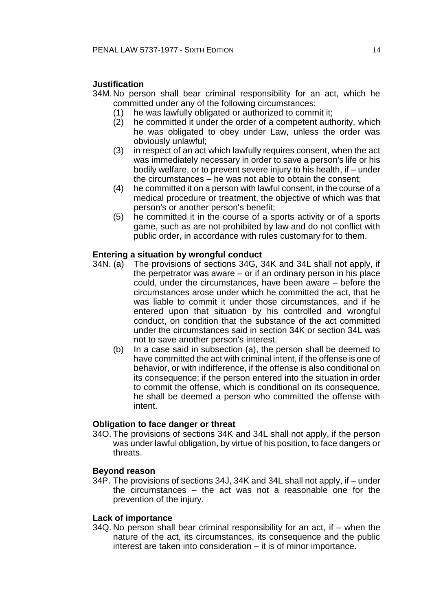# **Justification**

- 34M.No person shall bear criminal responsibility for an act, which he committed under any of the following circumstances:
	- (1) he was lawfully obligated or authorized to commit it;
	- (2) he committed it under the order of a competent authority, which he was obligated to obey under Law, unless the order was obviously unlawful;
	- (3) in respect of an act which lawfully requires consent, when the act was immediately necessary in order to save a person's life or his bodily welfare, or to prevent severe injury to his health, if – under the circumstances – he was not able to obtain the consent;
	- (4) he committed it on a person with lawful consent, in the course of a medical procedure or treatment, the objective of which was that person's or another person's benefit;
	- (5) he committed it in the course of a sports activity or of a sports game, such as are not prohibited by law and do not conflict with public order, in accordance with rules customary for to them.

### **Entering a situation by wrongful conduct**

- 34N. (a) The provisions of sections 34G, 34K and 34L shall not apply, if the perpetrator was aware – or if an ordinary person in his place could, under the circumstances, have been aware – before the circumstances arose under which he committed the act, that he was liable to commit it under those circumstances, and if he entered upon that situation by his controlled and wrongful conduct, on condition that the substance of the act committed under the circumstances said in section 34K or section 34L was not to save another person's interest.
	- (b) In a case said in subsection (a), the person shall be deemed to have committed the act with criminal intent, if the offense is one of behavior, or with indifference, if the offense is also conditional on its consequence; if the person entered into the situation in order to commit the offense, which is conditional on its consequence, he shall be deemed a person who committed the offense with intent.

### **Obligation to face danger or threat**

34O. The provisions of sections 34K and 34L shall not apply, if the person was under lawful obligation, by virtue of his position, to face dangers or threats.

#### **Beyond reason**

34P. The provisions of sections 34J, 34K and 34L shall not apply, if – under the circumstances – the act was not a reasonable one for the prevention of the injury.

#### **Lack of importance**

34Q. No person shall bear criminal responsibility for an act, if – when the nature of the act, its circumstances, its consequence and the public interest are taken into consideration – it is of minor importance.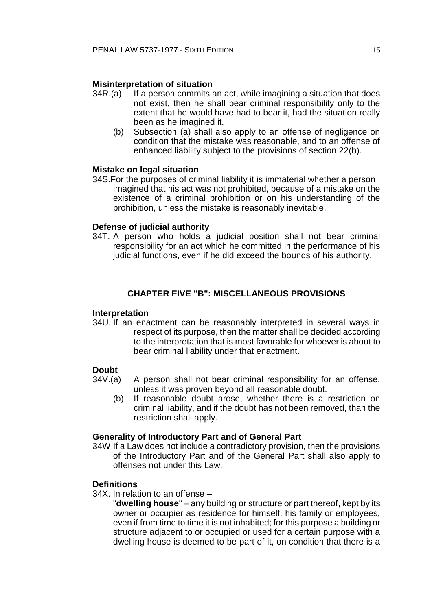# **Misinterpretation of situation**

- $34R.(a)$  If a person commits an act, while imagining a situation that does not exist, then he shall bear criminal responsibility only to the extent that he would have had to bear it, had the situation really been as he imagined it.
	- (b) Subsection (a) shall also apply to an offense of negligence on condition that the mistake was reasonable, and to an offense of enhanced liability subject to the provisions of section 22(b).

### **Mistake on legal situation**

34S.For the purposes of criminal liability it is immaterial whether a person imagined that his act was not prohibited, because of a mistake on the existence of a criminal prohibition or on his understanding of the prohibition, unless the mistake is reasonably inevitable.

# **Defense of judicial authority**

34T. A person who holds a judicial position shall not bear criminal responsibility for an act which he committed in the performance of his judicial functions, even if he did exceed the bounds of his authority.

# **CHAPTER FIVE "B": MISCELLANEOUS PROVISIONS**

### **Interpretation**

34U. If an enactment can be reasonably interpreted in several ways in respect of its purpose, then the matter shall be decided according to the interpretation that is most favorable for whoever is about to bear criminal liability under that enactment.

# **Doubt**

- 34V.(a) A person shall not bear criminal responsibility for an offense, unless it was proven beyond all reasonable doubt.
	- (b) If reasonable doubt arose, whether there is a restriction on criminal liability, and if the doubt has not been removed, than the restriction shall apply.

### **Generality of Introductory Part and of General Part**

34W If a Law does not include a contradictory provision, then the provisions of the Introductory Part and of the General Part shall also apply to offenses not under this Law.

# **Definitions**

- 34X. In relation to an offense
	- "**dwelling house**" any building or structure or part thereof, kept by its owner or occupier as residence for himself, his family or employees, even if from time to time it is not inhabited; for this purpose a building or structure adjacent to or occupied or used for a certain purpose with a dwelling house is deemed to be part of it, on condition that there is a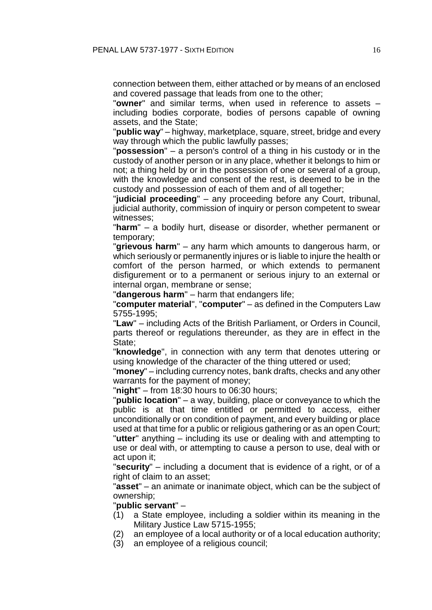connection between them, either attached or by means of an enclosed and covered passage that leads from one to the other;

"**owner**" and similar terms, when used in reference to assets – including bodies corporate, bodies of persons capable of owning assets, and the State;

"**public way**" – highway, marketplace, square, street, bridge and every way through which the public lawfully passes;

"**possession**" – a person's control of a thing in his custody or in the custody of another person or in any place, whether it belongs to him or not; a thing held by or in the possession of one or several of a group, with the knowledge and consent of the rest, is deemed to be in the custody and possession of each of them and of all together;

"**judicial proceeding**" – any proceeding before any Court, tribunal, judicial authority, commission of inquiry or person competent to swear witnesses;

"**harm**" – a bodily hurt, disease or disorder, whether permanent or temporary;

"**grievous harm**" – any harm which amounts to dangerous harm, or which seriously or permanently injures or is liable to injure the health or comfort of the person harmed, or which extends to permanent disfigurement or to a permanent or serious injury to an external or internal organ, membrane or sense;

"**dangerous harm**" – harm that endangers life;

"**computer material**", "**computer**" – as defined in the Computers Law 5755-1995;

"**Law**" – including Acts of the British Parliament, or Orders in Council, parts thereof or regulations thereunder, as they are in effect in the State;

"**knowledge**", in connection with any term that denotes uttering or using knowledge of the character of the thing uttered or used;

"**money**" – including currency notes, bank drafts, checks and any other warrants for the payment of money;

"**night**" – from 18:30 hours to 06:30 hours;

"**public location**" – a way, building, place or conveyance to which the public is at that time entitled or permitted to access, either unconditionally or on condition of payment, and every building or place used at that time for a public or religious gathering or as an open Court; "**utter**" anything – including its use or dealing with and attempting to use or deal with, or attempting to cause a person to use, deal with or act upon it;

"**security**" – including a document that is evidence of a right, or of a right of claim to an asset;

"**asset**" – an animate or inanimate object, which can be the subject of ownership;

"**public servant**" –

- (1) a State employee, including a soldier within its meaning in the Military Justice Law 5715-1955;
- (2) an employee of a local authority or of a local education authority;
- (3) an employee of a religious council;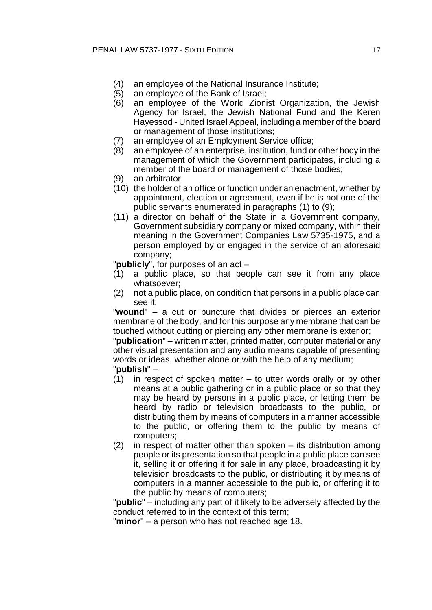- (4) an employee of the National Insurance Institute;
- (5) an employee of the Bank of Israel;
- (6) an employee of the World Zionist Organization, the Jewish Agency for Israel, the Jewish National Fund and the Keren Hayessod - United Israel Appeal, including a member of the board or management of those institutions;
- (7) an employee of an Employment Service office;
- (8) an employee of an enterprise, institution, fund or other body in the management of which the Government participates, including a member of the board or management of those bodies;
- (9) an arbitrator;
- (10) the holder of an office or function under an enactment, whether by appointment, election or agreement, even if he is not one of the public servants enumerated in paragraphs (1) to (9);
- (11) a director on behalf of the State in a Government company, Government subsidiary company or mixed company, within their meaning in the Government Companies Law 5735-1975, and a person employed by or engaged in the service of an aforesaid company;

"**publicly**", for purposes of an act –

- (1) a public place, so that people can see it from any place whatsoever;
- (2) not a public place, on condition that persons in a public place can see it;

"**wound**" – a cut or puncture that divides or pierces an exterior membrane of the body, and for this purpose any membrane that can be touched without cutting or piercing any other membrane is exterior;

"**publication**" – written matter, printed matter, computer material or any other visual presentation and any audio means capable of presenting words or ideas, whether alone or with the help of any medium; "**publish**" –

- $(1)$  in respect of spoken matter to utter words orally or by other means at a public gathering or in a public place or so that they may be heard by persons in a public place, or letting them be heard by radio or television broadcasts to the public, or distributing them by means of computers in a manner accessible to the public, or offering them to the public by means of computers;
- (2) in respect of matter other than spoken its distribution among people or its presentation so that people in a public place can see it, selling it or offering it for sale in any place, broadcasting it by television broadcasts to the public, or distributing it by means of computers in a manner accessible to the public, or offering it to the public by means of computers;

"**public**" – including any part of it likely to be adversely affected by the conduct referred to in the context of this term;

"**minor**" – a person who has not reached age 18.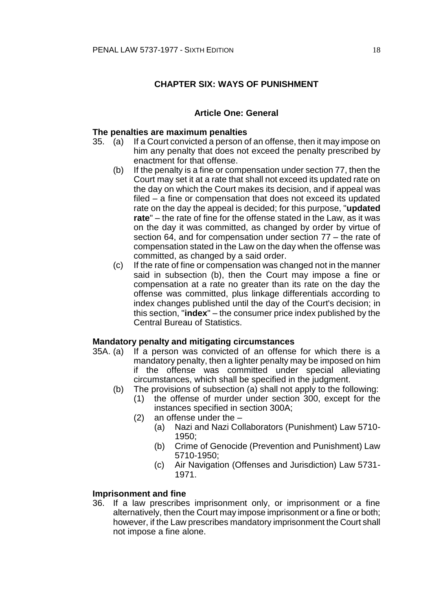# **CHAPTER SIX: WAYS OF PUNISHMENT**

### **Article One: General**

### **The penalties are maximum penalties**

- 35. (a) If a Court convicted a person of an offense, then it may impose on him any penalty that does not exceed the penalty prescribed by enactment for that offense.
	- (b) If the penalty is a fine or compensation under section 77, then the Court may set it at a rate that shall not exceed its updated rate on the day on which the Court makes its decision, and if appeal was filed – a fine or compensation that does not exceed its updated rate on the day the appeal is decided; for this purpose, "**updated rate**" – the rate of fine for the offense stated in the Law, as it was on the day it was committed, as changed by order by virtue of section 64, and for compensation under section 77 – the rate of compensation stated in the Law on the day when the offense was committed, as changed by a said order.
	- (c) If the rate of fine or compensation was changed not in the manner said in subsection (b), then the Court may impose a fine or compensation at a rate no greater than its rate on the day the offense was committed, plus linkage differentials according to index changes published until the day of the Court's decision; in this section, "**index**" – the consumer price index published by the Central Bureau of Statistics.

#### **Mandatory penalty and mitigating circumstances**

- 35A. (a) If a person was convicted of an offense for which there is a mandatory penalty, then a lighter penalty may be imposed on him if the offense was committed under special alleviating circumstances, which shall be specified in the judgment.
	- (b) The provisions of subsection (a) shall not apply to the following:
		- (1) the offense of murder under section 300, except for the instances specified in section 300A;
			- (2) an offense under the
				- (a) Nazi and Nazi Collaborators (Punishment) Law 5710- 1950;
				- (b) Crime of Genocide (Prevention and Punishment) Law 5710-1950;
				- (c) Air Navigation (Offenses and Jurisdiction) Law 5731- 1971.

#### **Imprisonment and fine**

36. If a law prescribes imprisonment only, or imprisonment or a fine alternatively, then the Court may impose imprisonment or a fine or both; however, if the Law prescribes mandatory imprisonment the Court shall not impose a fine alone.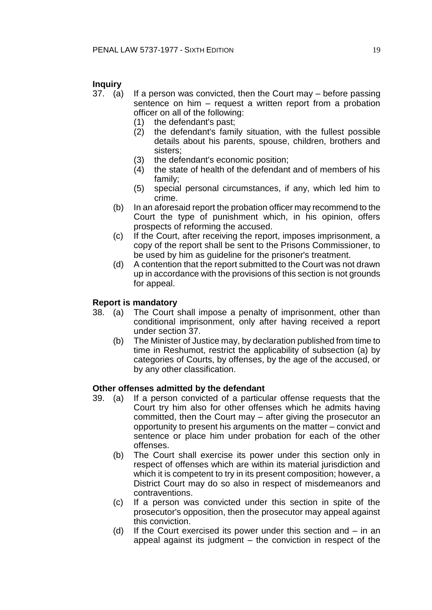# **Inquiry**

- 37. (a) If a person was convicted, then the Court may before passing sentence on him – request a written report from a probation officer on all of the following:
	- (1) the defendant's past;
	- (2) the defendant's family situation, with the fullest possible details about his parents, spouse, children, brothers and sisters;
	- (3) the defendant's economic position;
	- (4) the state of health of the defendant and of members of his family;
	- (5) special personal circumstances, if any, which led him to crime.
	- (b) In an aforesaid report the probation officer may recommend to the Court the type of punishment which, in his opinion, offers prospects of reforming the accused.
	- (c) If the Court, after receiving the report, imposes imprisonment, a copy of the report shall be sent to the Prisons Commissioner, to be used by him as guideline for the prisoner's treatment.
	- (d) A contention that the report submitted to the Court was not drawn up in accordance with the provisions of this section is not grounds for appeal.

# **Report is mandatory**

- 38. (a) The Court shall impose a penalty of imprisonment, other than conditional imprisonment, only after having received a report under section 37.
	- (b) The Minister of Justice may, by declaration published from time to time in Reshumot, restrict the applicability of subsection (a) by categories of Courts, by offenses, by the age of the accused, or by any other classification.

### **Other offenses admitted by the defendant**

- 39. (a) If a person convicted of a particular offense requests that the Court try him also for other offenses which he admits having committed, then the Court may – after giving the prosecutor an opportunity to present his arguments on the matter – convict and sentence or place him under probation for each of the other offenses.
	- (b) The Court shall exercise its power under this section only in respect of offenses which are within its material jurisdiction and which it is competent to try in its present composition; however, a District Court may do so also in respect of misdemeanors and contraventions.
	- (c) If a person was convicted under this section in spite of the prosecutor's opposition, then the prosecutor may appeal against this conviction.
	- (d) If the Court exercised its power under this section and in an appeal against its judgment – the conviction in respect of the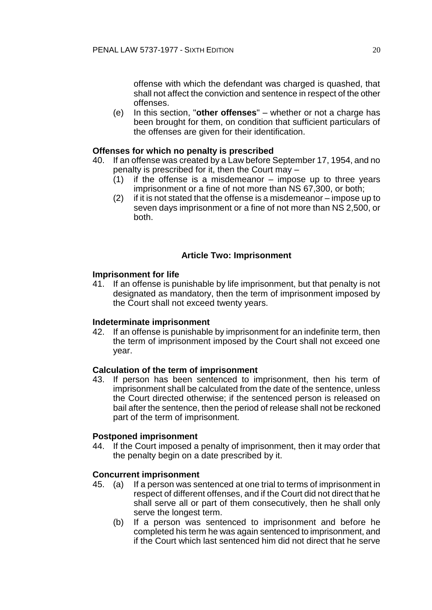offense with which the defendant was charged is quashed, that shall not affect the conviction and sentence in respect of the other offenses.

(e) In this section, "**other offenses**" – whether or not a charge has been brought for them, on condition that sufficient particulars of the offenses are given for their identification.

# **Offenses for which no penalty is prescribed**

- 40. If an offense was created by a Law before September 17, 1954, and no penalty is prescribed for it, then the Court may –
	- (1) if the offense is a misdemeanor impose up to three years imprisonment or a fine of not more than NS 67,300, or both;
	- (2) if it is not stated that the offense is a misdemeanor impose up to seven days imprisonment or a fine of not more than NS 2,500, or both.

# **Article Two: Imprisonment**

### **Imprisonment for life**

41. If an offense is punishable by life imprisonment, but that penalty is not designated as mandatory, then the term of imprisonment imposed by the Court shall not exceed twenty years.

### **Indeterminate imprisonment**

42. If an offense is punishable by imprisonment for an indefinite term, then the term of imprisonment imposed by the Court shall not exceed one year.

### **Calculation of the term of imprisonment**

43. If person has been sentenced to imprisonment, then his term of imprisonment shall be calculated from the date of the sentence, unless the Court directed otherwise; if the sentenced person is released on bail after the sentence, then the period of release shall not be reckoned part of the term of imprisonment.

### **Postponed imprisonment**

44. If the Court imposed a penalty of imprisonment, then it may order that the penalty begin on a date prescribed by it.

# **Concurrent imprisonment**

- 45. (a) If a person was sentenced at one trial to terms of imprisonment in respect of different offenses, and if the Court did not direct that he shall serve all or part of them consecutively, then he shall only serve the longest term.
	- (b) If a person was sentenced to imprisonment and before he completed his term he was again sentenced to imprisonment, and if the Court which last sentenced him did not direct that he serve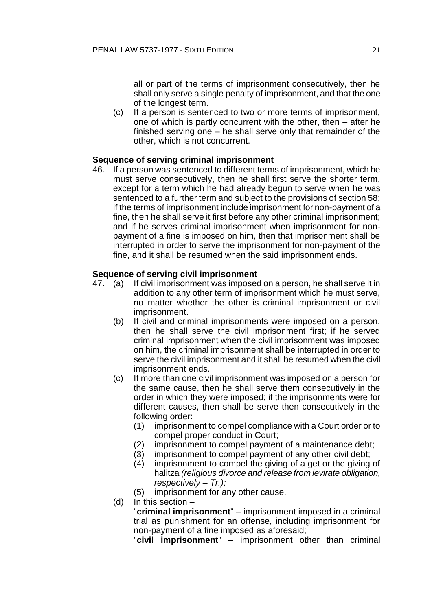all or part of the terms of imprisonment consecutively, then he shall only serve a single penalty of imprisonment, and that the one of the longest term.

(c) If a person is sentenced to two or more terms of imprisonment, one of which is partly concurrent with the other, then – after he finished serving one – he shall serve only that remainder of the other, which is not concurrent.

### **Sequence of serving criminal imprisonment**

46. If a person was sentenced to different terms of imprisonment, which he must serve consecutively, then he shall first serve the shorter term, except for a term which he had already begun to serve when he was sentenced to a further term and subject to the provisions of section 58; if the terms of imprisonment include imprisonment for non-payment of a fine, then he shall serve it first before any other criminal imprisonment; and if he serves criminal imprisonment when imprisonment for nonpayment of a fine is imposed on him, then that imprisonment shall be interrupted in order to serve the imprisonment for non-payment of the fine, and it shall be resumed when the said imprisonment ends.

### **Sequence of serving civil imprisonment**

- 47. (a) If civil imprisonment was imposed on a person, he shall serve it in addition to any other term of imprisonment which he must serve, no matter whether the other is criminal imprisonment or civil imprisonment.
	- (b) If civil and criminal imprisonments were imposed on a person, then he shall serve the civil imprisonment first; if he served criminal imprisonment when the civil imprisonment was imposed on him, the criminal imprisonment shall be interrupted in order to serve the civil imprisonment and it shall be resumed when the civil imprisonment ends.
	- (c) If more than one civil imprisonment was imposed on a person for the same cause, then he shall serve them consecutively in the order in which they were imposed; if the imprisonments were for different causes, then shall be serve then consecutively in the following order:
		- (1) imprisonment to compel compliance with a Court order or to compel proper conduct in Court;
		- (2) imprisonment to compel payment of a maintenance debt;
		- (3) imprisonment to compel payment of any other civil debt;
		- (4) imprisonment to compel the giving of a get or the giving of halitza *(religious divorce and release from levirate obligation, respectively – Tr.);*
		- (5) imprisonment for any other cause.
	- (d) In this section –

"**criminal imprisonment**" – imprisonment imposed in a criminal trial as punishment for an offense, including imprisonment for non-payment of a fine imposed as aforesaid;

"**civil imprisonment**" – imprisonment other than criminal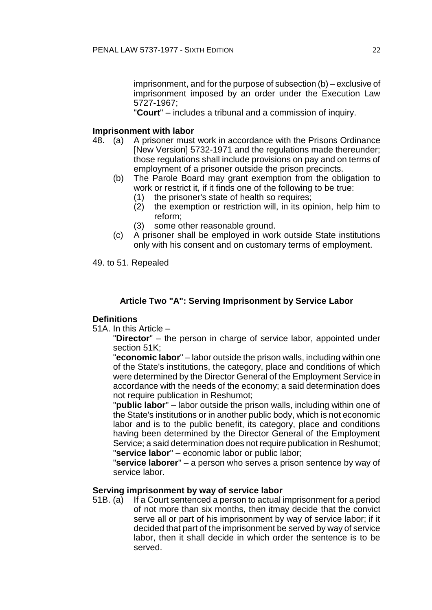imprisonment, and for the purpose of subsection (b) – exclusive of imprisonment imposed by an order under the Execution Law 5727-1967;

"**Court**" – includes a tribunal and a commission of inquiry.

# **Imprisonment with labor**

- 48. (a) A prisoner must work in accordance with the Prisons Ordinance [New Version] 5732-1971 and the regulations made thereunder; those regulations shall include provisions on pay and on terms of employment of a prisoner outside the prison precincts.
	- (b) The Parole Board may grant exemption from the obligation to work or restrict it, if it finds one of the following to be true:
		- (1) the prisoner's state of health so requires;
		- (2) the exemption or restriction will, in its opinion, help him to reform;
		- (3) some other reasonable ground.
	- (c) A prisoner shall be employed in work outside State institutions only with his consent and on customary terms of employment.

49. to 51. Repealed

# **Article Two "A": Serving Imprisonment by Service Labor**

# **Definitions**

51A. In this Article –

"**Director**" – the person in charge of service labor, appointed under section 51K;

"**economic labor**" – labor outside the prison walls, including within one of the State's institutions, the category, place and conditions of which were determined by the Director General of the Employment Service in accordance with the needs of the economy; a said determination does not require publication in Reshumot;

"**public labor**" – labor outside the prison walls, including within one of the State's institutions or in another public body, which is not economic labor and is to the public benefit, its category, place and conditions having been determined by the Director General of the Employment Service; a said determination does not require publication in Reshumot; "**service labor**" – economic labor or public labor;

"**service laborer**" – a person who serves a prison sentence by way of service labor.

### **Serving imprisonment by way of service labor**

51B. (a) If a Court sentenced a person to actual imprisonment for a period of not more than six months, then itmay decide that the convict serve all or part of his imprisonment by way of service labor; if it decided that part of the imprisonment be served by way of service labor, then it shall decide in which order the sentence is to be served.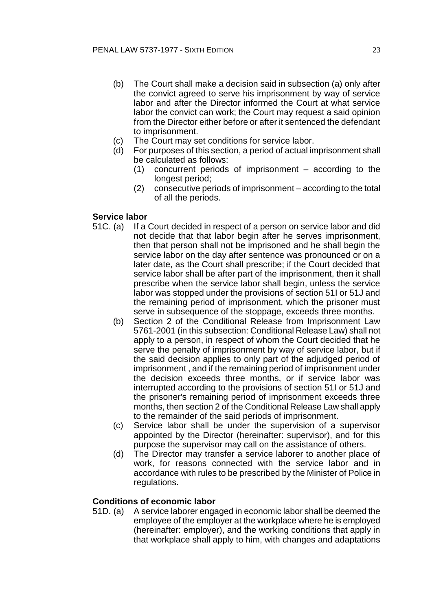- (b) The Court shall make a decision said in subsection (a) only after the convict agreed to serve his imprisonment by way of service labor and after the Director informed the Court at what service labor the convict can work; the Court may request a said opinion from the Director either before or after it sentenced the defendant to imprisonment.
- (c) The Court may set conditions for service labor.
- (d) For purposes of this section, a period of actual imprisonment shall be calculated as follows:
	- (1) concurrent periods of imprisonment according to the longest period;
	- (2) consecutive periods of imprisonment according to the total of all the periods.

# **Service labor**

- 51C. (a) If a Court decided in respect of a person on service labor and did not decide that that labor begin after he serves imprisonment, then that person shall not be imprisoned and he shall begin the service labor on the day after sentence was pronounced or on a later date, as the Court shall prescribe; if the Court decided that service labor shall be after part of the imprisonment, then it shall prescribe when the service labor shall begin, unless the service labor was stopped under the provisions of section 51I or 51J and the remaining period of imprisonment, which the prisoner must serve in subsequence of the stoppage, exceeds three months.
	- (b) Section 2 of the Conditional Release from Imprisonment Law 5761-2001 (in this subsection: Conditional Release Law) shall not apply to a person, in respect of whom the Court decided that he serve the penalty of imprisonment by way of service labor, but if the said decision applies to only part of the adjudged period of imprisonment , and if the remaining period of imprisonment under the decision exceeds three months, or if service labor was interrupted according to the provisions of section 51I or 51J and the prisoner's remaining period of imprisonment exceeds three months, then section 2 of the Conditional Release Law shall apply to the remainder of the said periods of imprisonment.
	- (c) Service labor shall be under the supervision of a supervisor appointed by the Director (hereinafter: supervisor), and for this purpose the supervisor may call on the assistance of others.
	- (d) The Director may transfer a service laborer to another place of work, for reasons connected with the service labor and in accordance with rules to be prescribed by the Minister of Police in regulations.

# **Conditions of economic labor**

51D. (a) A service laborer engaged in economic labor shall be deemed the employee of the employer at the workplace where he is employed (hereinafter: employer), and the working conditions that apply in that workplace shall apply to him, with changes and adaptations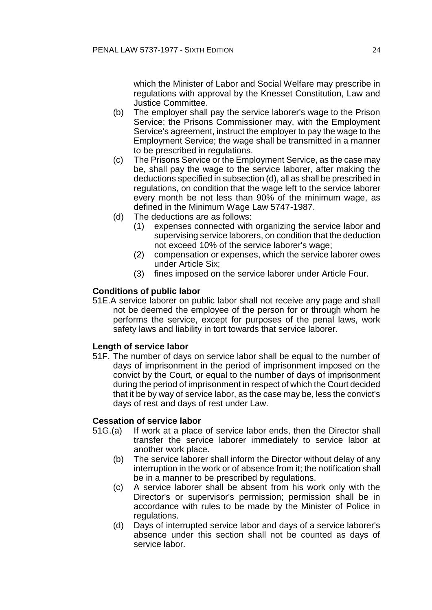which the Minister of Labor and Social Welfare may prescribe in regulations with approval by the Knesset Constitution, Law and Justice Committee.

- (b) The employer shall pay the service laborer's wage to the Prison Service; the Prisons Commissioner may, with the Employment Service's agreement, instruct the employer to pay the wage to the Employment Service; the wage shall be transmitted in a manner to be prescribed in regulations.
- (c) The Prisons Service or the Employment Service, as the case may be, shall pay the wage to the service laborer, after making the deductions specified in subsection (d), all as shall be prescribed in regulations, on condition that the wage left to the service laborer every month be not less than 90% of the minimum wage, as defined in the Minimum Wage Law 5747-1987.
- (d) The deductions are as follows:
	- (1) expenses connected with organizing the service labor and supervising service laborers, on condition that the deduction not exceed 10% of the service laborer's wage;
	- (2) compensation or expenses, which the service laborer owes under Article Six;
	- (3) fines imposed on the service laborer under Article Four.

# **Conditions of public labor**

51E.A service laborer on public labor shall not receive any page and shall not be deemed the employee of the person for or through whom he performs the service, except for purposes of the penal laws, work safety laws and liability in tort towards that service laborer.

### **Length of service labor**

51F. The number of days on service labor shall be equal to the number of days of imprisonment in the period of imprisonment imposed on the convict by the Court, or equal to the number of days of imprisonment during the period of imprisonment in respect of which the Court decided that it be by way of service labor, as the case may be, less the convict's days of rest and days of rest under Law.

### **Cessation of service labor**

- 51G.(a) If work at a place of service labor ends, then the Director shall transfer the service laborer immediately to service labor at another work place.
	- (b) The service laborer shall inform the Director without delay of any interruption in the work or of absence from it; the notification shall be in a manner to be prescribed by regulations.
	- (c) A service laborer shall be absent from his work only with the Director's or supervisor's permission; permission shall be in accordance with rules to be made by the Minister of Police in regulations.
	- (d) Days of interrupted service labor and days of a service laborer's absence under this section shall not be counted as days of service labor.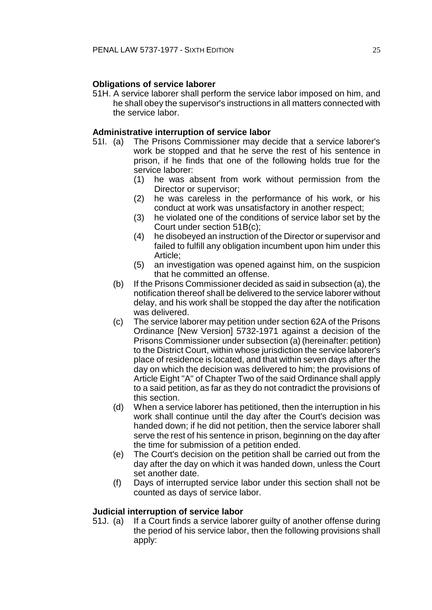# **Obligations of service laborer**

51H. A service laborer shall perform the service labor imposed on him, and he shall obey the supervisor's instructions in all matters connected with the service labor.

### **Administrative interruption of service labor**

- 51I. (a) The Prisons Commissioner may decide that a service laborer's work be stopped and that he serve the rest of his sentence in prison, if he finds that one of the following holds true for the service laborer:
	- (1) he was absent from work without permission from the Director or supervisor;
	- (2) he was careless in the performance of his work, or his conduct at work was unsatisfactory in another respect;
	- (3) he violated one of the conditions of service labor set by the Court under section 51B(c);
	- (4) he disobeyed an instruction of the Director or supervisor and failed to fulfill any obligation incumbent upon him under this Article;
	- (5) an investigation was opened against him, on the suspicion that he committed an offense.
	- (b) If the Prisons Commissioner decided as said in subsection (a), the notification thereof shall be delivered to the service laborer without delay, and his work shall be stopped the day after the notification was delivered.
	- (c) The service laborer may petition under section 62A of the Prisons Ordinance [New Version] 5732-1971 against a decision of the Prisons Commissioner under subsection (a) (hereinafter: petition) to the District Court, within whose jurisdiction the service laborer's place of residence is located, and that within seven days after the day on which the decision was delivered to him; the provisions of Article Eight "A" of Chapter Two of the said Ordinance shall apply to a said petition, as far as they do not contradict the provisions of this section.
	- (d) When a service laborer has petitioned, then the interruption in his work shall continue until the day after the Court's decision was handed down; if he did not petition, then the service laborer shall serve the rest of his sentence in prison, beginning on the day after the time for submission of a petition ended.
	- (e) The Court's decision on the petition shall be carried out from the day after the day on which it was handed down, unless the Court set another date.
	- (f) Days of interrupted service labor under this section shall not be counted as days of service labor.

# **Judicial interruption of service labor**

51J. (a) If a Court finds a service laborer guilty of another offense during the period of his service labor, then the following provisions shall apply: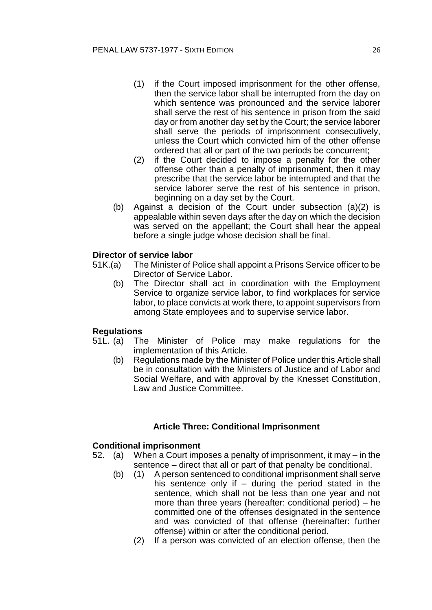- (1) if the Court imposed imprisonment for the other offense, then the service labor shall be interrupted from the day on which sentence was pronounced and the service laborer shall serve the rest of his sentence in prison from the said day or from another day set by the Court; the service laborer shall serve the periods of imprisonment consecutively, unless the Court which convicted him of the other offense ordered that all or part of the two periods be concurrent;
- (2) if the Court decided to impose a penalty for the other offense other than a penalty of imprisonment, then it may prescribe that the service labor be interrupted and that the service laborer serve the rest of his sentence in prison, beginning on a day set by the Court.
- (b) Against a decision of the Court under subsection (a)(2) is appealable within seven days after the day on which the decision was served on the appellant; the Court shall hear the appeal before a single judge whose decision shall be final.

# **Director of service labor**

- 51K.(a) The Minister of Police shall appoint a Prisons Service officer to be Director of Service Labor.
	- (b) The Director shall act in coordination with the Employment Service to organize service labor, to find workplaces for service labor, to place convicts at work there, to appoint supervisors from among State employees and to supervise service labor.

### **Regulations**

- 51L. (a) The Minister of Police may make regulations for the implementation of this Article.
	- (b) Regulations made by the Minister of Police under this Article shall be in consultation with the Ministers of Justice and of Labor and Social Welfare, and with approval by the Knesset Constitution, Law and Justice Committee.

# **Article Three: Conditional Imprisonment**

### **Conditional imprisonment**

- 52. (a) When a Court imposes a penalty of imprisonment, it may in the sentence – direct that all or part of that penalty be conditional.
	- (b) (1) A person sentenced to conditional imprisonment shall serve his sentence only if  $-$  during the period stated in the sentence, which shall not be less than one year and not more than three years (hereafter: conditional period) – he committed one of the offenses designated in the sentence and was convicted of that offense (hereinafter: further offense) within or after the conditional period.
		- (2) If a person was convicted of an election offense, then the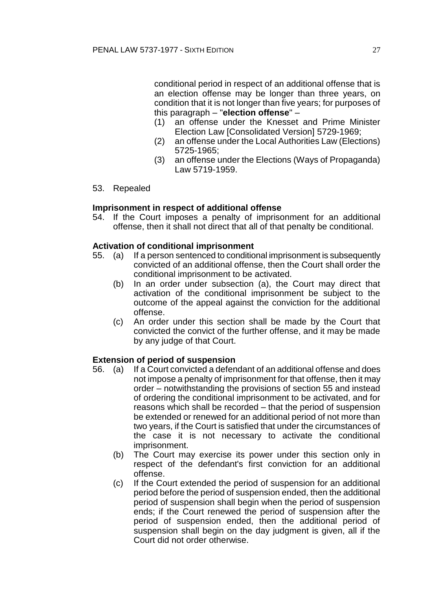conditional period in respect of an additional offense that is an election offense may be longer than three years, on condition that it is not longer than five years; for purposes of this paragraph – "**election offense**" –

- an offense under the Knesset and Prime Minister Election Law [Consolidated Version] 5729-1969;
- (2) an offense under the Local Authorities Law (Elections) 5725-1965;
- (3) an offense under the Elections (Ways of Propaganda) Law 5719-1959.
- 53. Repealed

### **Imprisonment in respect of additional offense**

54. If the Court imposes a penalty of imprisonment for an additional offense, then it shall not direct that all of that penalty be conditional.

#### **Activation of conditional imprisonment**

- 55. (a) If a person sentenced to conditional imprisonment is subsequently convicted of an additional offense, then the Court shall order the conditional imprisonment to be activated.
	- (b) In an order under subsection (a), the Court may direct that activation of the conditional imprisonment be subject to the outcome of the appeal against the conviction for the additional offense.
	- (c) An order under this section shall be made by the Court that convicted the convict of the further offense, and it may be made by any judge of that Court.

### **Extension of period of suspension**

- 56. (a) If a Court convicted a defendant of an additional offense and does not impose a penalty of imprisonment for that offense, then it may order – notwithstanding the provisions of section 55 and instead of ordering the conditional imprisonment to be activated, and for reasons which shall be recorded – that the period of suspension be extended or renewed for an additional period of not more than two years, if the Court is satisfied that under the circumstances of the case it is not necessary to activate the conditional imprisonment.
	- (b) The Court may exercise its power under this section only in respect of the defendant's first conviction for an additional offense.
	- (c) If the Court extended the period of suspension for an additional period before the period of suspension ended, then the additional period of suspension shall begin when the period of suspension ends; if the Court renewed the period of suspension after the period of suspension ended, then the additional period of suspension shall begin on the day judgment is given, all if the Court did not order otherwise.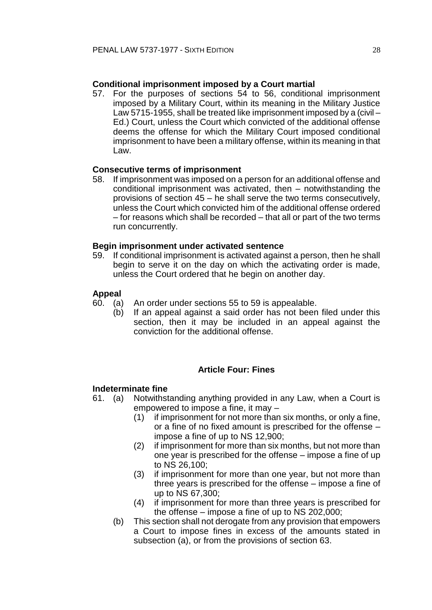# **Conditional imprisonment imposed by a Court martial**

57. For the purposes of sections 54 to 56, conditional imprisonment imposed by a Military Court, within its meaning in the Military Justice Law 5715-1955, shall be treated like imprisonment imposed by a (civil – Ed.) Court, unless the Court which convicted of the additional offense deems the offense for which the Military Court imposed conditional imprisonment to have been a military offense, within its meaning in that Law.

# **Consecutive terms of imprisonment**

58. If imprisonment was imposed on a person for an additional offense and conditional imprisonment was activated, then – notwithstanding the provisions of section 45 – he shall serve the two terms consecutively, unless the Court which convicted him of the additional offense ordered – for reasons which shall be recorded – that all or part of the two terms run concurrently.

### **Begin imprisonment under activated sentence**

59. If conditional imprisonment is activated against a person, then he shall begin to serve it on the day on which the activating order is made, unless the Court ordered that he begin on another day.

#### **Appeal**

- 60. (a) An order under sections 55 to 59 is appealable.
	- (b) If an appeal against a said order has not been filed under this section, then it may be included in an appeal against the conviction for the additional offense.

# **Article Four: Fines**

### **Indeterminate fine**

- 61. (a) Notwithstanding anything provided in any Law, when a Court is empowered to impose a fine, it may –
	- (1) if imprisonment for not more than six months, or only a fine, or a fine of no fixed amount is prescribed for the offense – impose a fine of up to NS 12,900;
	- (2) if imprisonment for more than six months, but not more than one year is prescribed for the offense – impose a fine of up to NS 26,100;
	- (3) if imprisonment for more than one year, but not more than three years is prescribed for the offense – impose a fine of up to NS 67,300;
	- (4) if imprisonment for more than three years is prescribed for the offense – impose a fine of up to NS 202,000;
	- (b) This section shall not derogate from any provision that empowers a Court to impose fines in excess of the amounts stated in subsection (a), or from the provisions of section 63.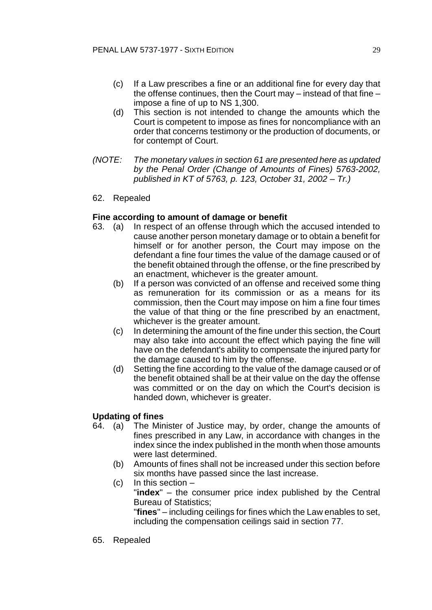- (c) If a Law prescribes a fine or an additional fine for every day that the offense continues, then the Court may – instead of that fine – impose a fine of up to NS 1,300.
- (d) This section is not intended to change the amounts which the Court is competent to impose as fines for noncompliance with an order that concerns testimony or the production of documents, or for contempt of Court.
- *(NOTE: The monetary values in section 61 are presented here as updated by the Penal Order (Change of Amounts of Fines) 5763-2002, published in KT of 5763, p. 123, October 31, 2002 – Tr.)*
- 62. Repealed

### **Fine according to amount of damage or benefit**

- 63. (a) In respect of an offense through which the accused intended to cause another person monetary damage or to obtain a benefit for himself or for another person, the Court may impose on the defendant a fine four times the value of the damage caused or of the benefit obtained through the offense, or the fine prescribed by an enactment, whichever is the greater amount.
	- (b) If a person was convicted of an offense and received some thing as remuneration for its commission or as a means for its commission, then the Court may impose on him a fine four times the value of that thing or the fine prescribed by an enactment, whichever is the greater amount.
	- (c) In determining the amount of the fine under this section, the Court may also take into account the effect which paying the fine will have on the defendant's ability to compensate the injured party for the damage caused to him by the offense.
	- (d) Setting the fine according to the value of the damage caused or of the benefit obtained shall be at their value on the day the offense was committed or on the day on which the Court's decision is handed down, whichever is greater.

# **Updating of fines**

- 64. (a) The Minister of Justice may, by order, change the amounts of fines prescribed in any Law, in accordance with changes in the index since the index published in the month when those amounts were last determined.
	- (b) Amounts of fines shall not be increased under this section before six months have passed since the last increase.
	- (c) In this section "**index**" – the consumer price index published by the Central Bureau of Statistics; "**fines**" – including ceilings for fines which the Law enables to set, including the compensation ceilings said in section 77.
- 65. Repealed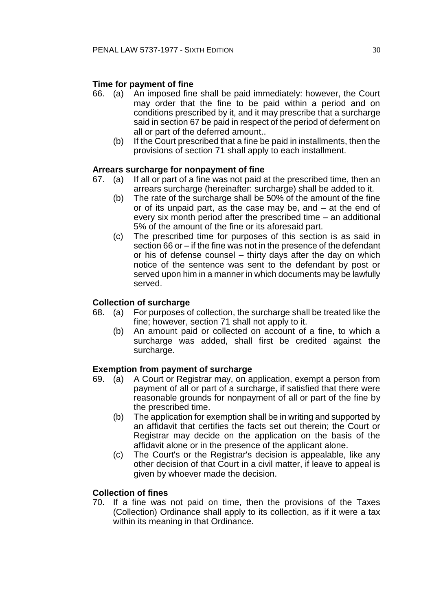# **Time for payment of fine**

- 66. (a) An imposed fine shall be paid immediately: however, the Court may order that the fine to be paid within a period and on conditions prescribed by it, and it may prescribe that a surcharge said in section 67 be paid in respect of the period of deferment on all or part of the deferred amount..
	- (b) If the Court prescribed that a fine be paid in installments, then the provisions of section 71 shall apply to each installment.

# **Arrears surcharge for nonpayment of fine**

- 67. (a) If all or part of a fine was not paid at the prescribed time, then an arrears surcharge (hereinafter: surcharge) shall be added to it.
	- (b) The rate of the surcharge shall be 50% of the amount of the fine or of its unpaid part, as the case may be, and – at the end of every six month period after the prescribed time – an additional 5% of the amount of the fine or its aforesaid part.
	- (c) The prescribed time for purposes of this section is as said in section 66 or – if the fine was not in the presence of the defendant or his of defense counsel – thirty days after the day on which notice of the sentence was sent to the defendant by post or served upon him in a manner in which documents may be lawfully served.

# **Collection of surcharge**

- 68. (a) For purposes of collection, the surcharge shall be treated like the fine; however, section 71 shall not apply to it.
	- (b) An amount paid or collected on account of a fine, to which a surcharge was added, shall first be credited against the surcharge.

### **Exemption from payment of surcharge**

- 69. (a) A Court or Registrar may, on application, exempt a person from payment of all or part of a surcharge, if satisfied that there were reasonable grounds for nonpayment of all or part of the fine by the prescribed time.
	- (b) The application for exemption shall be in writing and supported by an affidavit that certifies the facts set out therein; the Court or Registrar may decide on the application on the basis of the affidavit alone or in the presence of the applicant alone.
	- (c) The Court's or the Registrar's decision is appealable, like any other decision of that Court in a civil matter, if leave to appeal is given by whoever made the decision.

### **Collection of fines**

70. If a fine was not paid on time, then the provisions of the Taxes (Collection) Ordinance shall apply to its collection, as if it were a tax within its meaning in that Ordinance.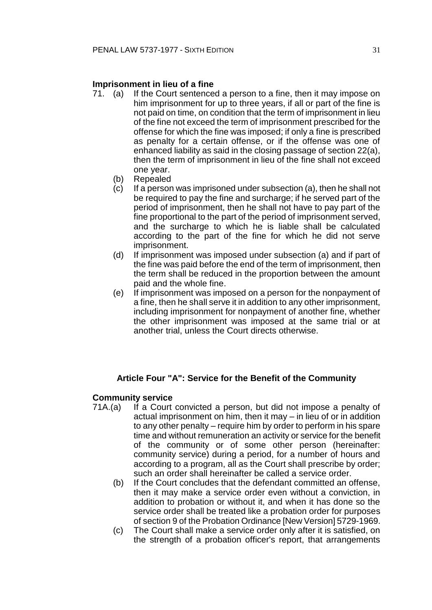# **Imprisonment in lieu of a fine**

- 71. (a) If the Court sentenced a person to a fine, then it may impose on him imprisonment for up to three years, if all or part of the fine is not paid on time, on condition that the term of imprisonment in lieu of the fine not exceed the term of imprisonment prescribed for the offense for which the fine was imposed; if only a fine is prescribed as penalty for a certain offense, or if the offense was one of enhanced liability as said in the closing passage of section 22(a), then the term of imprisonment in lieu of the fine shall not exceed one year.
	- (b) Repealed
	- (c) If a person was imprisoned under subsection (a), then he shall not be required to pay the fine and surcharge; if he served part of the period of imprisonment, then he shall not have to pay part of the fine proportional to the part of the period of imprisonment served, and the surcharge to which he is liable shall be calculated according to the part of the fine for which he did not serve imprisonment.
	- (d) If imprisonment was imposed under subsection (a) and if part of the fine was paid before the end of the term of imprisonment, then the term shall be reduced in the proportion between the amount paid and the whole fine.
	- (e) If imprisonment was imposed on a person for the nonpayment of a fine, then he shall serve it in addition to any other imprisonment, including imprisonment for nonpayment of another fine, whether the other imprisonment was imposed at the same trial or at another trial, unless the Court directs otherwise.

# **Article Four "A": Service for the Benefit of the Community**

### **Community service**

- 71A.(a) If a Court convicted a person, but did not impose a penalty of actual imprisonment on him, then it may – in lieu of or in addition to any other penalty – require him by order to perform in his spare time and without remuneration an activity or service for the benefit of the community or of some other person (hereinafter: community service) during a period, for a number of hours and according to a program, all as the Court shall prescribe by order; such an order shall hereinafter be called a service order.
	- (b) If the Court concludes that the defendant committed an offense, then it may make a service order even without a conviction, in addition to probation or without it, and when it has done so the service order shall be treated like a probation order for purposes of section 9 of the Probation Ordinance [New Version] 5729-1969.
	- (c) The Court shall make a service order only after it is satisfied, on the strength of a probation officer's report, that arrangements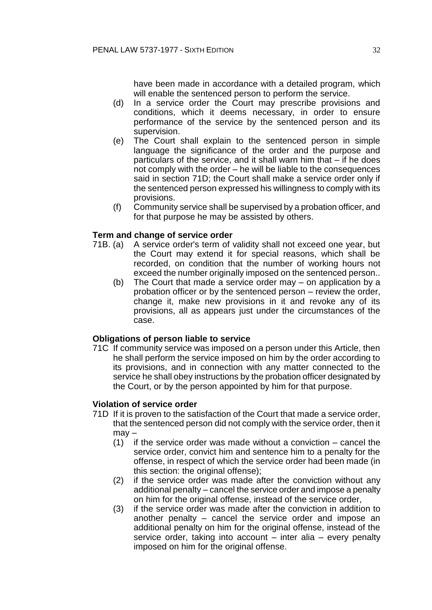have been made in accordance with a detailed program, which will enable the sentenced person to perform the service.

- (d) In a service order the Court may prescribe provisions and conditions, which it deems necessary, in order to ensure performance of the service by the sentenced person and its supervision.
- (e) The Court shall explain to the sentenced person in simple language the significance of the order and the purpose and particulars of the service, and it shall warn him that – if he does not comply with the order – he will be liable to the consequences said in section 71D; the Court shall make a service order only if the sentenced person expressed his willingness to comply with its provisions.
- (f) Community service shall be supervised by a probation officer, and for that purpose he may be assisted by others.

# **Term and change of service order**

- 71B. (a) A service order's term of validity shall not exceed one year, but the Court may extend it for special reasons, which shall be recorded, on condition that the number of working hours not exceed the number originally imposed on the sentenced person..
	- (b) The Court that made a service order may on application by a probation officer or by the sentenced person – review the order, change it, make new provisions in it and revoke any of its provisions, all as appears just under the circumstances of the case.

### **Obligations of person liable to service**

71C If community service was imposed on a person under this Article, then he shall perform the service imposed on him by the order according to its provisions, and in connection with any matter connected to the service he shall obey instructions by the probation officer designated by the Court, or by the person appointed by him for that purpose.

### **Violation of service order**

- 71D If it is proven to the satisfaction of the Court that made a service order, that the sentenced person did not comply with the service order, then it may –
	- (1) if the service order was made without a conviction cancel the service order, convict him and sentence him to a penalty for the offense, in respect of which the service order had been made (in this section: the original offense);
	- (2) if the service order was made after the conviction without any additional penalty – cancel the service order and impose a penalty on him for the original offense, instead of the service order,
	- (3) if the service order was made after the conviction in addition to another penalty – cancel the service order and impose an additional penalty on him for the original offense, instead of the service order, taking into account – inter alia – every penalty imposed on him for the original offense.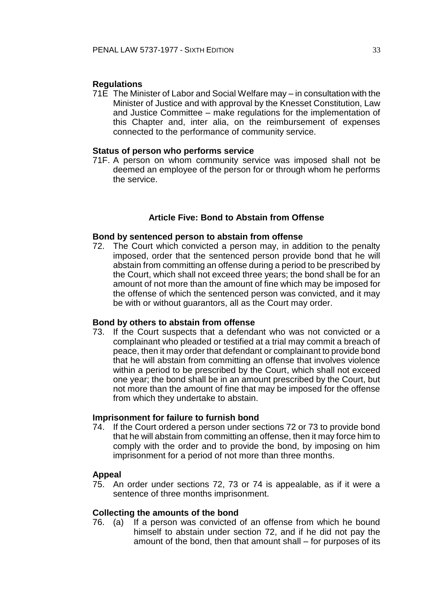# **Regulations**

71E The Minister of Labor and Social Welfare may – in consultation with the Minister of Justice and with approval by the Knesset Constitution, Law and Justice Committee – make regulations for the implementation of this Chapter and, inter alia, on the reimbursement of expenses connected to the performance of community service.

#### **Status of person who performs service**

71F. A person on whom community service was imposed shall not be deemed an employee of the person for or through whom he performs the service.

### **Article Five: Bond to Abstain from Offense**

#### **Bond by sentenced person to abstain from offense**

72. The Court which convicted a person may, in addition to the penalty imposed, order that the sentenced person provide bond that he will abstain from committing an offense during a period to be prescribed by the Court, which shall not exceed three years; the bond shall be for an amount of not more than the amount of fine which may be imposed for the offense of which the sentenced person was convicted, and it may be with or without guarantors, all as the Court may order.

## **Bond by others to abstain from offense**

73. If the Court suspects that a defendant who was not convicted or a complainant who pleaded or testified at a trial may commit a breach of peace, then it may order that defendant or complainant to provide bond that he will abstain from committing an offense that involves violence within a period to be prescribed by the Court, which shall not exceed one year; the bond shall be in an amount prescribed by the Court, but not more than the amount of fine that may be imposed for the offense from which they undertake to abstain.

# **Imprisonment for failure to furnish bond**

74. If the Court ordered a person under sections 72 or 73 to provide bond that he will abstain from committing an offense, then it may force him to comply with the order and to provide the bond, by imposing on him imprisonment for a period of not more than three months.

# **Appeal**

75. An order under sections 72, 73 or 74 is appealable, as if it were a sentence of three months imprisonment.

### **Collecting the amounts of the bond**

76. (a) If a person was convicted of an offense from which he bound himself to abstain under section 72, and if he did not pay the amount of the bond, then that amount shall – for purposes of its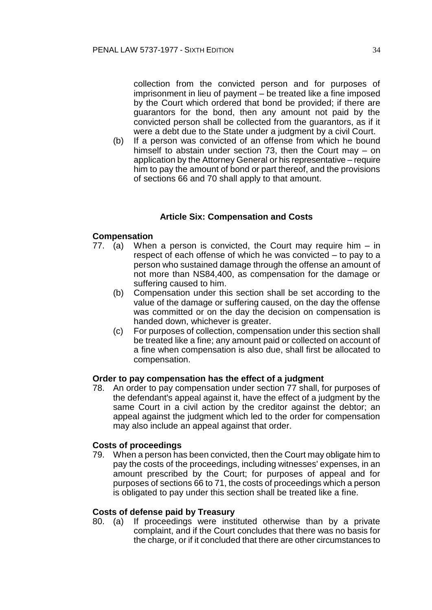collection from the convicted person and for purposes of imprisonment in lieu of payment – be treated like a fine imposed by the Court which ordered that bond be provided; if there are guarantors for the bond, then any amount not paid by the convicted person shall be collected from the guarantors, as if it were a debt due to the State under a judgment by a civil Court.

(b) If a person was convicted of an offense from which he bound himself to abstain under section 73, then the Court may – on application by the Attorney General or his representative – require him to pay the amount of bond or part thereof, and the provisions of sections 66 and 70 shall apply to that amount.

# **Article Six: Compensation and Costs**

# **Compensation**

- 77. (a) When a person is convicted, the Court may require him in respect of each offense of which he was convicted – to pay to a person who sustained damage through the offense an amount of not more than NS84,400, as compensation for the damage or suffering caused to him.
	- (b) Compensation under this section shall be set according to the value of the damage or suffering caused, on the day the offense was committed or on the day the decision on compensation is handed down, whichever is greater.
	- (c) For purposes of collection, compensation under this section shall be treated like a fine; any amount paid or collected on account of a fine when compensation is also due, shall first be allocated to compensation.

# **Order to pay compensation has the effect of a judgment**

78. An order to pay compensation under section 77 shall, for purposes of the defendant's appeal against it, have the effect of a judgment by the same Court in a civil action by the creditor against the debtor; an appeal against the judgment which led to the order for compensation may also include an appeal against that order.

### **Costs of proceedings**

79. When a person has been convicted, then the Court may obligate him to pay the costs of the proceedings, including witnesses' expenses, in an amount prescribed by the Court; for purposes of appeal and for purposes of sections 66 to 71, the costs of proceedings which a person is obligated to pay under this section shall be treated like a fine.

#### **Costs of defense paid by Treasury**

80. (a) If proceedings were instituted otherwise than by a private complaint, and if the Court concludes that there was no basis for the charge, or if it concluded that there are other circumstances to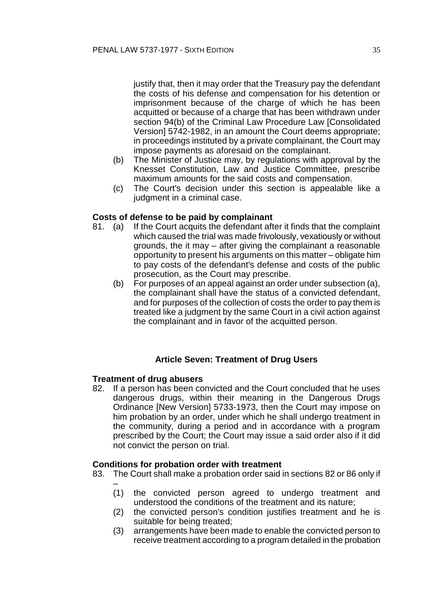justify that, then it may order that the Treasury pay the defendant the costs of his defense and compensation for his detention or imprisonment because of the charge of which he has been acquitted or because of a charge that has been withdrawn under section 94(b) of the Criminal Law Procedure Law [Consolidated Version] 5742-1982, in an amount the Court deems appropriate; in proceedings instituted by a private complainant, the Court may impose payments as aforesaid on the complainant.

- (b) The Minister of Justice may, by regulations with approval by the Knesset Constitution, Law and Justice Committee, prescribe maximum amounts for the said costs and compensation.
- (c) The Court's decision under this section is appealable like a judgment in a criminal case.

### **Costs of defense to be paid by complainant**

- 81. (a) If the Court acquits the defendant after it finds that the complaint which caused the trial was made frivolously, vexatiously or without grounds, the it may – after giving the complainant a reasonable opportunity to present his arguments on this matter – obligate him to pay costs of the defendant's defense and costs of the public prosecution, as the Court may prescribe.
	- (b) For purposes of an appeal against an order under subsection (a), the complainant shall have the status of a convicted defendant, and for purposes of the collection of costs the order to pay them is treated like a judgment by the same Court in a civil action against the complainant and in favor of the acquitted person.

# **Article Seven: Treatment of Drug Users**

### **Treatment of drug abusers**

82. If a person has been convicted and the Court concluded that he uses dangerous drugs, within their meaning in the Dangerous Drugs Ordinance [New Version] 5733-1973, then the Court may impose on him probation by an order, under which he shall undergo treatment in the community, during a period and in accordance with a program prescribed by the Court; the Court may issue a said order also if it did not convict the person on trial.

### **Conditions for probation order with treatment**

- 83. The Court shall make a probation order said in sections 82 or 86 only if –
	- (1) the convicted person agreed to undergo treatment and understood the conditions of the treatment and its nature;
	- (2) the convicted person's condition justifies treatment and he is suitable for being treated;
	- (3) arrangements have been made to enable the convicted person to receive treatment according to a program detailed in the probation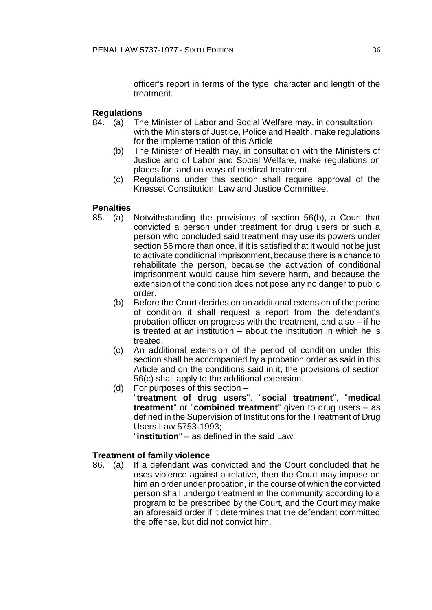officer's report in terms of the type, character and length of the treatment.

# **Regulations**

- 84. (a) The Minister of Labor and Social Welfare may, in consultation with the Ministers of Justice, Police and Health, make regulations for the implementation of this Article.
	- (b) The Minister of Health may, in consultation with the Ministers of Justice and of Labor and Social Welfare, make regulations on places for, and on ways of medical treatment.
	- (c) Regulations under this section shall require approval of the Knesset Constitution, Law and Justice Committee.

# **Penalties**

- 85. (a) Notwithstanding the provisions of section 56(b), a Court that convicted a person under treatment for drug users or such a person who concluded said treatment may use its powers under section 56 more than once, if it is satisfied that it would not be just to activate conditional imprisonment, because there is a chance to rehabilitate the person, because the activation of conditional imprisonment would cause him severe harm, and because the extension of the condition does not pose any no danger to public order.
	- (b) Before the Court decides on an additional extension of the period of condition it shall request a report from the defendant's probation officer on progress with the treatment, and also – if he is treated at an institution – about the institution in which he is treated.
	- (c) An additional extension of the period of condition under this section shall be accompanied by a probation order as said in this Article and on the conditions said in it; the provisions of section 56(c) shall apply to the additional extension.
	- (d) For purposes of this section "**treatment of drug users**", "**social treatment**", "**medical treatment**" or "**combined treatment**" given to drug users – as defined in the Supervision of Institutions for the Treatment of Drug Users Law 5753-1993;

"**institution**" – as defined in the said Law.

### **Treatment of family violence**

86. (a) If a defendant was convicted and the Court concluded that he uses violence against a relative, then the Court may impose on him an order under probation, in the course of which the convicted person shall undergo treatment in the community according to a program to be prescribed by the Court, and the Court may make an aforesaid order if it determines that the defendant committed the offense, but did not convict him.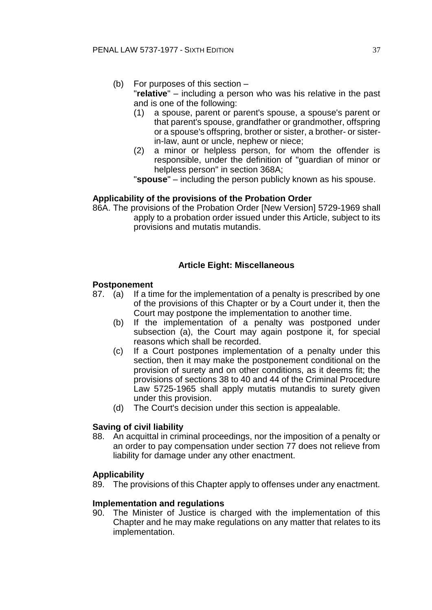- (b) For purposes of this section "**relative**" – including a person who was his relative in the past and is one of the following:
	- (1) a spouse, parent or parent's spouse, a spouse's parent or that parent's spouse, grandfather or grandmother, offspring or a spouse's offspring, brother or sister, a brother- or sisterin-law, aunt or uncle, nephew or niece;
	- (2) a minor or helpless person, for whom the offender is responsible, under the definition of "guardian of minor or helpless person" in section 368A;

"**spouse**" – including the person publicly known as his spouse.

## **Applicability of the provisions of the Probation Order**

86A. The provisions of the Probation Order [New Version] 5729-1969 shall apply to a probation order issued under this Article, subject to its provisions and mutatis mutandis.

## **Article Eight: Miscellaneous**

## **Postponement**

- 87. (a) If a time for the implementation of a penalty is prescribed by one of the provisions of this Chapter or by a Court under it, then the Court may postpone the implementation to another time.
	- (b) If the implementation of a penalty was postponed under subsection (a), the Court may again postpone it, for special reasons which shall be recorded.
	- (c) If a Court postpones implementation of a penalty under this section, then it may make the postponement conditional on the provision of surety and on other conditions, as it deems fit; the provisions of sections 38 to 40 and 44 of the Criminal Procedure Law 5725-1965 shall apply mutatis mutandis to surety given under this provision.
	- (d) The Court's decision under this section is appealable.

## **Saving of civil liability**

88. An acquittal in criminal proceedings, nor the imposition of a penalty or an order to pay compensation under section 77 does not relieve from liability for damage under any other enactment.

### **Applicability**

89. The provisions of this Chapter apply to offenses under any enactment.

### **Implementation and regulations**

90. The Minister of Justice is charged with the implementation of this Chapter and he may make regulations on any matter that relates to its implementation.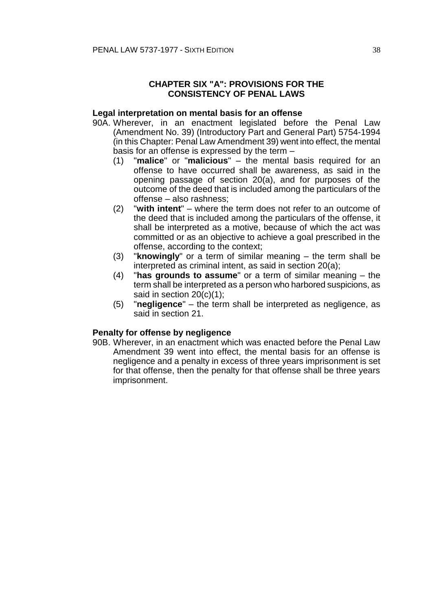## **CHAPTER SIX "A": PROVISIONS FOR THE CONSISTENCY OF PENAL LAWS**

### **Legal interpretation on mental basis for an offense**

- 90A. Wherever, in an enactment legislated before the Penal Law (Amendment No. 39) (Introductory Part and General Part) 5754-1994 (in this Chapter: Penal Law Amendment 39) went into effect, the mental basis for an offense is expressed by the term –
	- (1) "**malice**" or "**malicious**" the mental basis required for an offense to have occurred shall be awareness, as said in the opening passage of section 20(a), and for purposes of the outcome of the deed that is included among the particulars of the offense – also rashness;
	- (2) "**with intent**" where the term does not refer to an outcome of the deed that is included among the particulars of the offense, it shall be interpreted as a motive, because of which the act was committed or as an objective to achieve a goal prescribed in the offense, according to the context;
	- (3) "**knowingly**" or a term of similar meaning the term shall be interpreted as criminal intent, as said in section 20(a);
	- (4) "**has grounds to assume**" or a term of similar meaning the term shall be interpreted as a person who harbored suspicions, as said in section 20(c)(1);
	- (5) "**negligence**" the term shall be interpreted as negligence, as said in section 21.

### **Penalty for offense by negligence**

90B. Wherever, in an enactment which was enacted before the Penal Law Amendment 39 went into effect, the mental basis for an offense is negligence and a penalty in excess of three years imprisonment is set for that offense, then the penalty for that offense shall be three years imprisonment.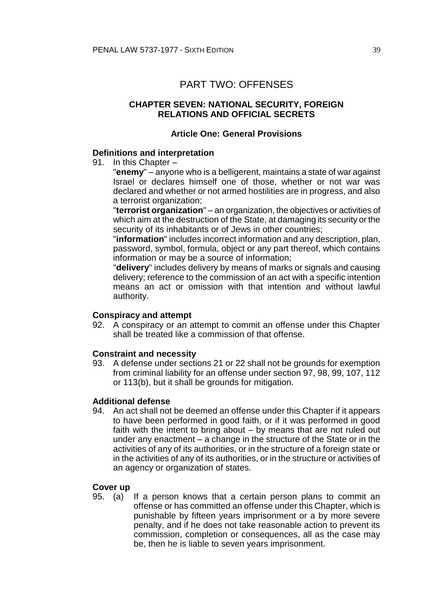# PART TWO: OFFENSES

## **CHAPTER SEVEN: NATIONAL SECURITY, FOREIGN RELATIONS AND OFFICIAL SECRETS**

## **Article One: General Provisions**

## **Definitions and interpretation**

91. In this Chapter –

"**enemy**" – anyone who is a belligerent, maintains a state of war against Israel or declares himself one of those, whether or not war was declared and whether or not armed hostilities are in progress, and also a terrorist organization;

"**terrorist organization**" – an organization, the objectives or activities of which aim at the destruction of the State, at damaging its security or the security of its inhabitants or of Jews in other countries;

"**information**" includes incorrect information and any description, plan, password, symbol, formula, object or any part thereof, which contains information or may be a source of information;

"**delivery**" includes delivery by means of marks or signals and causing delivery; reference to the commission of an act with a specific intention means an act or omission with that intention and without lawful authority.

### **Conspiracy and attempt**

92. A conspiracy or an attempt to commit an offense under this Chapter shall be treated like a commission of that offense.

### **Constraint and necessity**

93. A defense under sections 21 or 22 shall not be grounds for exemption from criminal liability for an offense under section 97, 98, 99, 107, 112 or 113(b), but it shall be grounds for mitigation.

### **Additional defense**

94. An act shall not be deemed an offense under this Chapter if it appears to have been performed in good faith, or if it was performed in good faith with the intent to bring about – by means that are not ruled out under any enactment – a change in the structure of the State or in the activities of any of its authorities, or in the structure of a foreign state or in the activities of any of its authorities, or in the structure or activities of an agency or organization of states.

### **Cover up**

95. (a) If a person knows that a certain person plans to commit an offense or has committed an offense under this Chapter, which is punishable by fifteen years imprisonment or a by more severe penalty, and if he does not take reasonable action to prevent its commission, completion or consequences, all as the case may be, then he is liable to seven years imprisonment.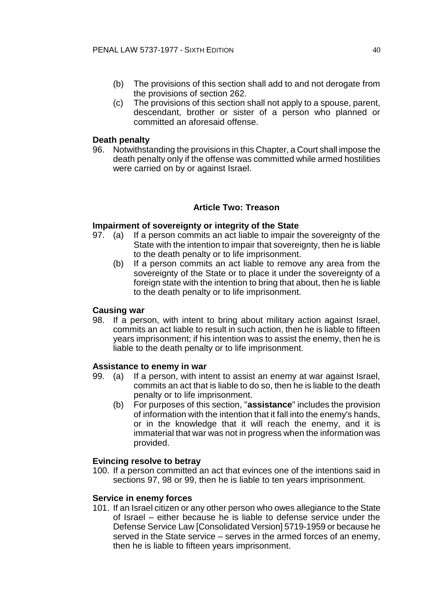- (b) The provisions of this section shall add to and not derogate from the provisions of section 262.
- (c) The provisions of this section shall not apply to a spouse, parent, descendant, brother or sister of a person who planned or committed an aforesaid offense.

### **Death penalty**

96. Notwithstanding the provisions in this Chapter, a Court shall impose the death penalty only if the offense was committed while armed hostilities were carried on by or against Israel.

## **Article Two: Treason**

### **Impairment of sovereignty or integrity of the State**

- 97. (a) If a person commits an act liable to impair the sovereignty of the State with the intention to impair that sovereignty, then he is liable to the death penalty or to life imprisonment.
	- (b) If a person commits an act liable to remove any area from the sovereignty of the State or to place it under the sovereignty of a foreign state with the intention to bring that about, then he is liable to the death penalty or to life imprisonment.

### **Causing war**

98. If a person, with intent to bring about military action against Israel, commits an act liable to result in such action, then he is liable to fifteen years imprisonment; if his intention was to assist the enemy, then he is liable to the death penalty or to life imprisonment.

#### **Assistance to enemy in war**

- 99. (a) If a person, with intent to assist an enemy at war against Israel, commits an act that is liable to do so, then he is liable to the death penalty or to life imprisonment.
	- (b) For purposes of this section, "**assistance**" includes the provision of information with the intention that it fall into the enemy's hands, or in the knowledge that it will reach the enemy, and it is immaterial that war was not in progress when the information was provided.

#### **Evincing resolve to betray**

100. If a person committed an act that evinces one of the intentions said in sections 97, 98 or 99, then he is liable to ten years imprisonment.

#### **Service in enemy forces**

101. If an Israel citizen or any other person who owes allegiance to the State of Israel – either because he is liable to defense service under the Defense Service Law [Consolidated Version] 5719-1959 or because he served in the State service – serves in the armed forces of an enemy, then he is liable to fifteen years imprisonment.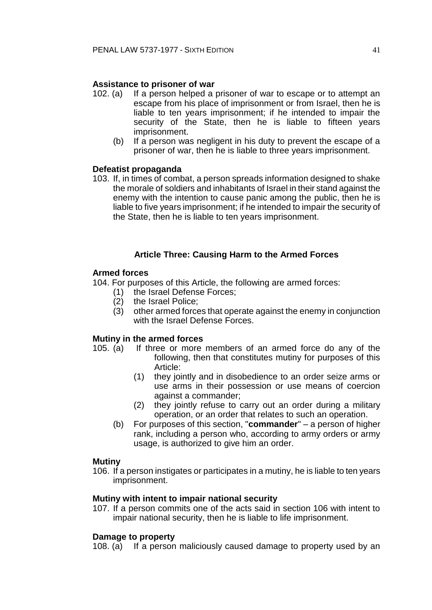## **Assistance to prisoner of war**

- 102. (a) If a person helped a prisoner of war to escape or to attempt an escape from his place of imprisonment or from Israel, then he is liable to ten years imprisonment; if he intended to impair the security of the State, then he is liable to fifteen years imprisonment.
	- (b) If a person was negligent in his duty to prevent the escape of a prisoner of war, then he is liable to three years imprisonment.

### **Defeatist propaganda**

103. If, in times of combat, a person spreads information designed to shake the morale of soldiers and inhabitants of Israel in their stand against the enemy with the intention to cause panic among the public, then he is liable to five years imprisonment; if he intended to impair the security of the State, then he is liable to ten years imprisonment.

## **Article Three: Causing Harm to the Armed Forces**

### **Armed forces**

104. For purposes of this Article, the following are armed forces:

- (1) the Israel Defense Forces;
- (2) the Israel Police;
- (3) other armed forces that operate against the enemy in conjunction with the Israel Defense Forces.

### **Mutiny in the armed forces**

- 105. (a) If three or more members of an armed force do any of the following, then that constitutes mutiny for purposes of this Article:
	- (1) they jointly and in disobedience to an order seize arms or use arms in their possession or use means of coercion against a commander;
	- (2) they jointly refuse to carry out an order during a military operation, or an order that relates to such an operation.
	- (b) For purposes of this section, "**commander**" a person of higher rank, including a person who, according to army orders or army usage, is authorized to give him an order.

### **Mutiny**

106. If a person instigates or participates in a mutiny, he is liable to ten years imprisonment.

### **Mutiny with intent to impair national security**

107. If a person commits one of the acts said in section 106 with intent to impair national security, then he is liable to life imprisonment.

### **Damage to property**

108. (a) If a person maliciously caused damage to property used by an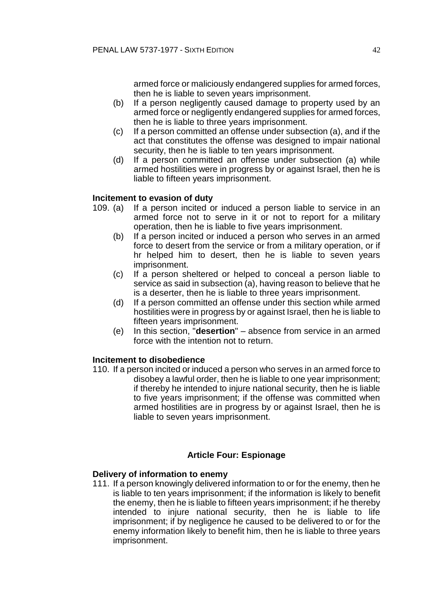armed force or maliciously endangered supplies for armed forces, then he is liable to seven years imprisonment.

- (b) If a person negligently caused damage to property used by an armed force or negligently endangered supplies for armed forces, then he is liable to three years imprisonment.
- (c) If a person committed an offense under subsection (a), and if the act that constitutes the offense was designed to impair national security, then he is liable to ten years imprisonment.
- (d) If a person committed an offense under subsection (a) while armed hostilities were in progress by or against Israel, then he is liable to fifteen years imprisonment.

## **Incitement to evasion of duty**

- 109. (a) If a person incited or induced a person liable to service in an armed force not to serve in it or not to report for a military operation, then he is liable to five years imprisonment.
	- (b) If a person incited or induced a person who serves in an armed force to desert from the service or from a military operation, or if hr helped him to desert, then he is liable to seven years imprisonment.
	- (c) If a person sheltered or helped to conceal a person liable to service as said in subsection (a), having reason to believe that he is a deserter, then he is liable to three years imprisonment.
	- (d) If a person committed an offense under this section while armed hostilities were in progress by or against Israel, then he is liable to fifteen years imprisonment.
	- (e) In this section, "**desertion**" absence from service in an armed force with the intention not to return.

## **Incitement to disobedience**

110. If a person incited or induced a person who serves in an armed force to disobey a lawful order, then he is liable to one year imprisonment; if thereby he intended to injure national security, then he is liable to five years imprisonment; if the offense was committed when armed hostilities are in progress by or against Israel, then he is liable to seven years imprisonment.

## **Article Four: Espionage**

### **Delivery of information to enemy**

111. If a person knowingly delivered information to or for the enemy, then he is liable to ten years imprisonment; if the information is likely to benefit the enemy, then he is liable to fifteen years imprisonment; if he thereby intended to injure national security, then he is liable to life imprisonment; if by negligence he caused to be delivered to or for the enemy information likely to benefit him, then he is liable to three years imprisonment.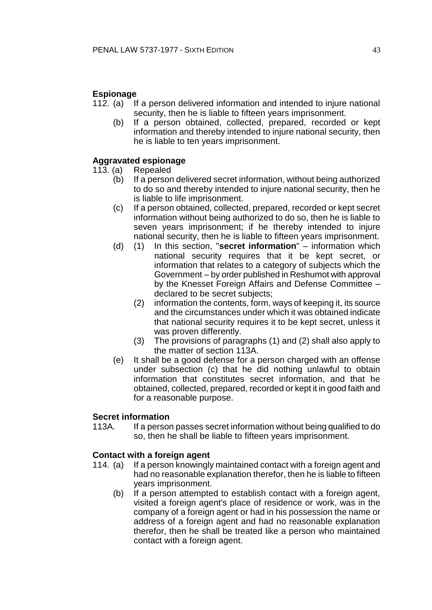## **Espionage**

- 112. (a) If a person delivered information and intended to injure national security, then he is liable to fifteen years imprisonment.
	- (b) If a person obtained, collected, prepared, recorded or kept information and thereby intended to injure national security, then he is liable to ten years imprisonment.

## **Aggravated espionage**

- 113. (a) Repealed
	- (b) If a person delivered secret information, without being authorized to do so and thereby intended to injure national security, then he is liable to life imprisonment.
	- (c) If a person obtained, collected, prepared, recorded or kept secret information without being authorized to do so, then he is liable to seven years imprisonment; if he thereby intended to injure national security, then he is liable to fifteen years imprisonment.
	- (d) (1) In this section, "**secret information**" information which national security requires that it be kept secret, or information that relates to a category of subjects which the Government – by order published in Reshumot with approval by the Knesset Foreign Affairs and Defense Committee – declared to be secret subjects;
		- (2) information the contents, form, ways of keeping it, its source and the circumstances under which it was obtained indicate that national security requires it to be kept secret, unless it was proven differently.
		- (3) The provisions of paragraphs (1) and (2) shall also apply to the matter of section 113A.
	- (e) It shall be a good defense for a person charged with an offense under subsection (c) that he did nothing unlawful to obtain information that constitutes secret information, and that he obtained, collected, prepared, recorded or kept it in good faith and for a reasonable purpose.

## **Secret information**

113A. If a person passes secret information without being qualified to do so, then he shall be liable to fifteen years imprisonment.

## **Contact with a foreign agent**

- 114. (a) If a person knowingly maintained contact with a foreign agent and had no reasonable explanation therefor, then he is liable to fifteen years imprisonment.
	- (b) If a person attempted to establish contact with a foreign agent, visited a foreign agent's place of residence or work, was in the company of a foreign agent or had in his possession the name or address of a foreign agent and had no reasonable explanation therefor, then he shall be treated like a person who maintained contact with a foreign agent.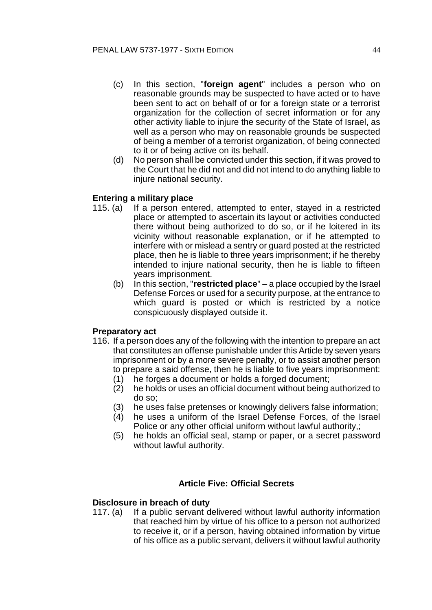- (c) In this section, "**foreign agent**" includes a person who on reasonable grounds may be suspected to have acted or to have been sent to act on behalf of or for a foreign state or a terrorist organization for the collection of secret information or for any other activity liable to injure the security of the State of Israel, as well as a person who may on reasonable grounds be suspected of being a member of a terrorist organization, of being connected to it or of being active on its behalf.
- (d) No person shall be convicted under this section, if it was proved to the Court that he did not and did not intend to do anything liable to injure national security.

## **Entering a military place**

- 115. (a) If a person entered, attempted to enter, stayed in a restricted place or attempted to ascertain its layout or activities conducted there without being authorized to do so, or if he loitered in its vicinity without reasonable explanation, or if he attempted to interfere with or mislead a sentry or guard posted at the restricted place, then he is liable to three years imprisonment; if he thereby intended to injure national security, then he is liable to fifteen years imprisonment.
	- (b) In this section, "**restricted place**" a place occupied by the Israel Defense Forces or used for a security purpose, at the entrance to which guard is posted or which is restricted by a notice conspicuously displayed outside it.

### **Preparatory act**

- 116. If a person does any of the following with the intention to prepare an act that constitutes an offense punishable under this Article by seven years imprisonment or by a more severe penalty, or to assist another person to prepare a said offense, then he is liable to five years imprisonment:
	- (1) he forges a document or holds a forged document;
	- (2) he holds or uses an official document without being authorized to do so;
	- (3) he uses false pretenses or knowingly delivers false information;
	- (4) he uses a uniform of the Israel Defense Forces, of the Israel Police or any other official uniform without lawful authority,:
	- (5) he holds an official seal, stamp or paper, or a secret password without lawful authority.

### **Article Five: Official Secrets**

## **Disclosure in breach of duty**

117. (a) If a public servant delivered without lawful authority information that reached him by virtue of his office to a person not authorized to receive it, or if a person, having obtained information by virtue of his office as a public servant, delivers it without lawful authority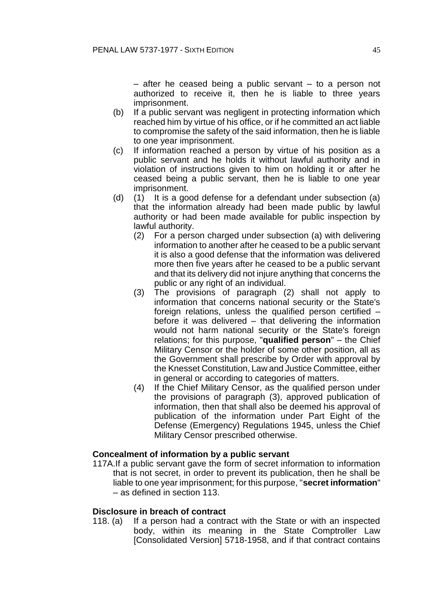– after he ceased being a public servant – to a person not authorized to receive it, then he is liable to three years imprisonment.

- (b) If a public servant was negligent in protecting information which reached him by virtue of his office, or if he committed an act liable to compromise the safety of the said information, then he is liable to one year imprisonment.
- (c) If information reached a person by virtue of his position as a public servant and he holds it without lawful authority and in violation of instructions given to him on holding it or after he ceased being a public servant, then he is liable to one year imprisonment.
- (d) (1) It is a good defense for a defendant under subsection (a) that the information already had been made public by lawful authority or had been made available for public inspection by lawful authority.
	- (2) For a person charged under subsection (a) with delivering information to another after he ceased to be a public servant it is also a good defense that the information was delivered more then five years after he ceased to be a public servant and that its delivery did not injure anything that concerns the public or any right of an individual.
	- (3) The provisions of paragraph (2) shall not apply to information that concerns national security or the State's foreign relations, unless the qualified person certified – before it was delivered – that delivering the information would not harm national security or the State's foreign relations; for this purpose, "**qualified person**" – the Chief Military Censor or the holder of some other position, all as the Government shall prescribe by Order with approval by the Knesset Constitution, Law and Justice Committee, either in general or according to categories of matters.
	- (4) If the Chief Military Censor, as the qualified person under the provisions of paragraph (3), approved publication of information, then that shall also be deemed his approval of publication of the information under Part Eight of the Defense (Emergency) Regulations 1945, unless the Chief Military Censor prescribed otherwise.

### **Concealment of information by a public servant**

117A.If a public servant gave the form of secret information to information that is not secret, in order to prevent its publication, then he shall be liable to one year imprisonment; for this purpose, "**secret information**" – as defined in section 113.

## **Disclosure in breach of contract**

118. (a) If a person had a contract with the State or with an inspected body, within its meaning in the State Comptroller Law [Consolidated Version] 5718-1958, and if that contract contains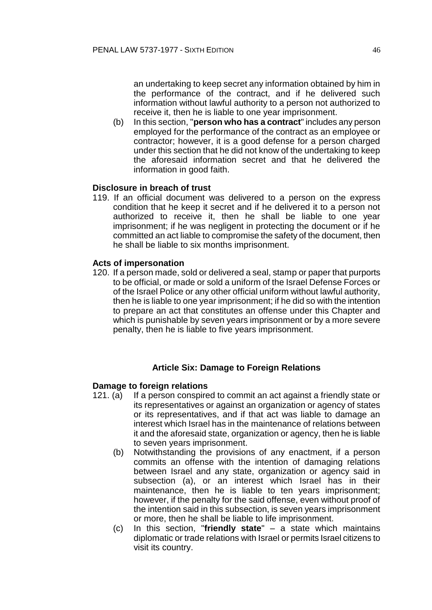an undertaking to keep secret any information obtained by him in the performance of the contract, and if he delivered such information without lawful authority to a person not authorized to receive it, then he is liable to one year imprisonment.

(b) In this section, "**person who has a contract**" includes any person employed for the performance of the contract as an employee or contractor; however, it is a good defense for a person charged under this section that he did not know of the undertaking to keep the aforesaid information secret and that he delivered the information in good faith.

## **Disclosure in breach of trust**

119. If an official document was delivered to a person on the express condition that he keep it secret and if he delivered it to a person not authorized to receive it, then he shall be liable to one year imprisonment; if he was negligent in protecting the document or if he committed an act liable to compromise the safety of the document, then he shall be liable to six months imprisonment.

### **Acts of impersonation**

120. If a person made, sold or delivered a seal, stamp or paper that purports to be official, or made or sold a uniform of the Israel Defense Forces or of the Israel Police or any other official uniform without lawful authority, then he is liable to one year imprisonment; if he did so with the intention to prepare an act that constitutes an offense under this Chapter and which is punishable by seven years imprisonment or by a more severe penalty, then he is liable to five years imprisonment.

## **Article Six: Damage to Foreign Relations**

### **Damage to foreign relations**

- 121. (a) If a person conspired to commit an act against a friendly state or its representatives or against an organization or agency of states or its representatives, and if that act was liable to damage an interest which Israel has in the maintenance of relations between it and the aforesaid state, organization or agency, then he is liable to seven years imprisonment.
	- (b) Notwithstanding the provisions of any enactment, if a person commits an offense with the intention of damaging relations between Israel and any state, organization or agency said in subsection (a), or an interest which Israel has in their maintenance, then he is liable to ten years imprisonment; however, if the penalty for the said offense, even without proof of the intention said in this subsection, is seven years imprisonment or more, then he shall be liable to life imprisonment.
	- (c) In this section, "**friendly state**" a state which maintains diplomatic or trade relations with Israel or permits Israel citizens to visit its country.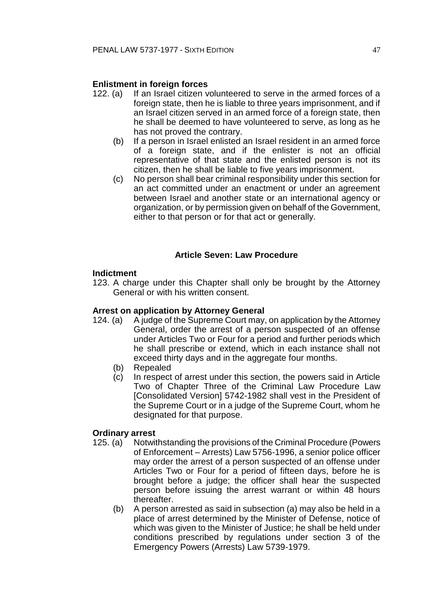## **Enlistment in foreign forces**

- 122. (a) If an Israel citizen volunteered to serve in the armed forces of a foreign state, then he is liable to three years imprisonment, and if an Israel citizen served in an armed force of a foreign state, then he shall be deemed to have volunteered to serve, as long as he has not proved the contrary.
	- (b) If a person in Israel enlisted an Israel resident in an armed force of a foreign state, and if the enlister is not an official representative of that state and the enlisted person is not its citizen, then he shall be liable to five years imprisonment.
	- (c) No person shall bear criminal responsibility under this section for an act committed under an enactment or under an agreement between Israel and another state or an international agency or organization, or by permission given on behalf of the Government, either to that person or for that act or generally.

## **Article Seven: Law Procedure**

### **Indictment**

123. A charge under this Chapter shall only be brought by the Attorney General or with his written consent.

### **Arrest on application by Attorney General**

- 124. (a) A judge of the Supreme Court may, on application by the Attorney General, order the arrest of a person suspected of an offense under Articles Two or Four for a period and further periods which he shall prescribe or extend, which in each instance shall not exceed thirty days and in the aggregate four months.
	- (b) Repealed
	- (c) In respect of arrest under this section, the powers said in Article Two of Chapter Three of the Criminal Law Procedure Law [Consolidated Version] 5742-1982 shall vest in the President of the Supreme Court or in a judge of the Supreme Court, whom he designated for that purpose.

### **Ordinary arrest**

- 125. (a) Notwithstanding the provisions of the Criminal Procedure (Powers of Enforcement – Arrests) Law 5756-1996, a senior police officer may order the arrest of a person suspected of an offense under Articles Two or Four for a period of fifteen days, before he is brought before a judge; the officer shall hear the suspected person before issuing the arrest warrant or within 48 hours thereafter.
	- (b) A person arrested as said in subsection (a) may also be held in a place of arrest determined by the Minister of Defense, notice of which was given to the Minister of Justice; he shall be held under conditions prescribed by regulations under section 3 of the Emergency Powers (Arrests) Law 5739-1979.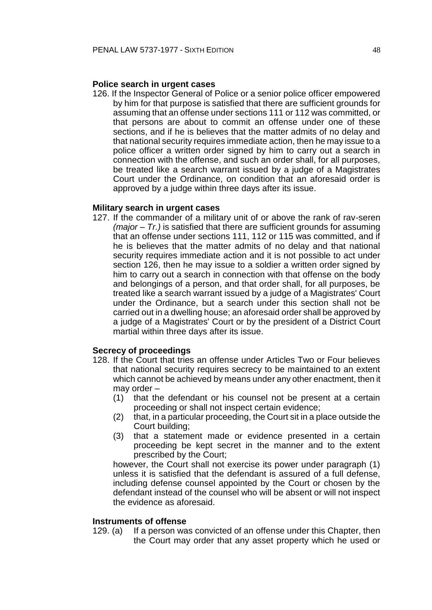### **Police search in urgent cases**

126. If the Inspector General of Police or a senior police officer empowered by him for that purpose is satisfied that there are sufficient grounds for assuming that an offense under sections 111 or 112 was committed, or that persons are about to commit an offense under one of these sections, and if he is believes that the matter admits of no delay and that national security requires immediate action, then he may issue to a police officer a written order signed by him to carry out a search in connection with the offense, and such an order shall, for all purposes, be treated like a search warrant issued by a judge of a Magistrates Court under the Ordinance, on condition that an aforesaid order is approved by a judge within three days after its issue.

#### **Military search in urgent cases**

127. If the commander of a military unit of or above the rank of rav-seren *(major – Tr.)* is satisfied that there are sufficient grounds for assuming that an offense under sections 111, 112 or 115 was committed, and if he is believes that the matter admits of no delay and that national security requires immediate action and it is not possible to act under section 126, then he may issue to a soldier a written order signed by him to carry out a search in connection with that offense on the body and belongings of a person, and that order shall, for all purposes, be treated like a search warrant issued by a judge of a Magistrates' Court under the Ordinance, but a search under this section shall not be carried out in a dwelling house; an aforesaid order shall be approved by a judge of a Magistrates' Court or by the president of a District Court martial within three days after its issue.

#### **Secrecy of proceedings**

- 128. If the Court that tries an offense under Articles Two or Four believes that national security requires secrecy to be maintained to an extent which cannot be achieved by means under any other enactment, then it may order –
	- (1) that the defendant or his counsel not be present at a certain proceeding or shall not inspect certain evidence;
	- (2) that, in a particular proceeding, the Court sit in a place outside the Court building;
	- (3) that a statement made or evidence presented in a certain proceeding be kept secret in the manner and to the extent prescribed by the Court;

however, the Court shall not exercise its power under paragraph (1) unless it is satisfied that the defendant is assured of a full defense, including defense counsel appointed by the Court or chosen by the defendant instead of the counsel who will be absent or will not inspect the evidence as aforesaid.

### **Instruments of offense**

129. (a) If a person was convicted of an offense under this Chapter, then the Court may order that any asset property which he used or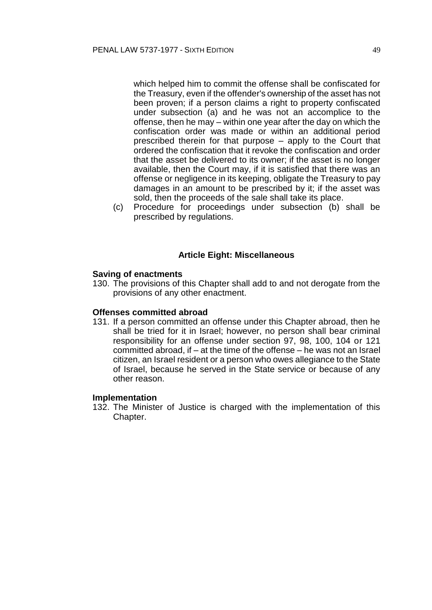which helped him to commit the offense shall be confiscated for the Treasury, even if the offender's ownership of the asset has not been proven; if a person claims a right to property confiscated under subsection (a) and he was not an accomplice to the offense, then he may – within one year after the day on which the confiscation order was made or within an additional period prescribed therein for that purpose – apply to the Court that ordered the confiscation that it revoke the confiscation and order that the asset be delivered to its owner; if the asset is no longer available, then the Court may, if it is satisfied that there was an offense or negligence in its keeping, obligate the Treasury to pay damages in an amount to be prescribed by it; if the asset was sold, then the proceeds of the sale shall take its place.

(c) Procedure for proceedings under subsection (b) shall be prescribed by regulations.

#### **Article Eight: Miscellaneous**

#### **Saving of enactments**

130. The provisions of this Chapter shall add to and not derogate from the provisions of any other enactment.

#### **Offenses committed abroad**

131. If a person committed an offense under this Chapter abroad, then he shall be tried for it in Israel; however, no person shall bear criminal responsibility for an offense under section 97, 98, 100, 104 or 121 committed abroad, if – at the time of the offense – he was not an Israel citizen, an Israel resident or a person who owes allegiance to the State of Israel, because he served in the State service or because of any other reason.

#### **Implementation**

132. The Minister of Justice is charged with the implementation of this Chapter.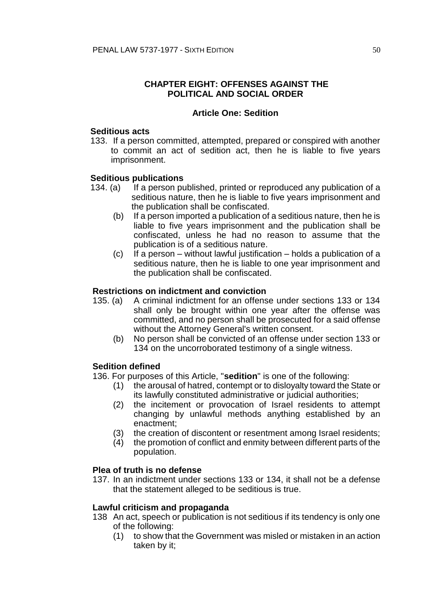## **CHAPTER EIGHT: OFFENSES AGAINST THE POLITICAL AND SOCIAL ORDER**

### **Article One: Sedition**

### **Seditious acts**

133. If a person committed, attempted, prepared or conspired with another to commit an act of sedition act, then he is liable to five years imprisonment.

### **Seditious publications**

- 134. (a) If a person published, printed or reproduced any publication of a seditious nature, then he is liable to five years imprisonment and the publication shall be confiscated.
	- (b) If a person imported a publication of a seditious nature, then he is liable to five years imprisonment and the publication shall be confiscated, unless he had no reason to assume that the publication is of a seditious nature.
	- (c) If a person without lawful justification holds a publication of a seditious nature, then he is liable to one year imprisonment and the publication shall be confiscated.

### **Restrictions on indictment and conviction**

- 135. (a) A criminal indictment for an offense under sections 133 or 134 shall only be brought within one year after the offense was committed, and no person shall be prosecuted for a said offense without the Attorney General's written consent.
	- (b) No person shall be convicted of an offense under section 133 or 134 on the uncorroborated testimony of a single witness.

### **Sedition defined**

136. For purposes of this Article, "**sedition**" is one of the following:

- (1) the arousal of hatred, contempt or to disloyalty toward the State or its lawfully constituted administrative or judicial authorities;
- (2) the incitement or provocation of Israel residents to attempt changing by unlawful methods anything established by an enactment;
- (3) the creation of discontent or resentment among Israel residents;
- $(4)$  the promotion of conflict and enmity between different parts of the population.

#### **Plea of truth is no defense**

137. In an indictment under sections 133 or 134, it shall not be a defense that the statement alleged to be seditious is true.

#### **Lawful criticism and propaganda**

- 138 An act, speech or publication is not seditious if its tendency is only one of the following:
	- (1) to show that the Government was misled or mistaken in an action taken by it;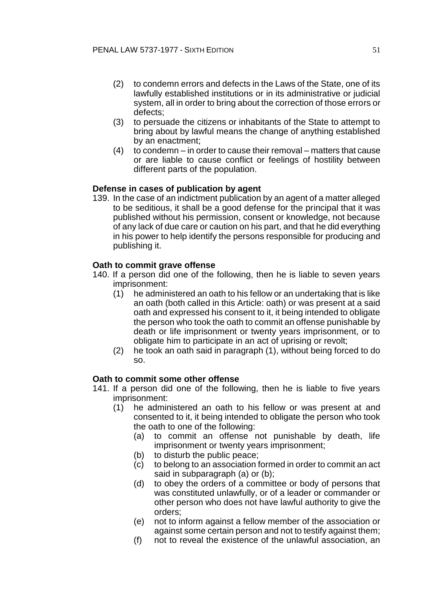- (2) to condemn errors and defects in the Laws of the State, one of its lawfully established institutions or in its administrative or judicial system, all in order to bring about the correction of those errors or defects;
- (3) to persuade the citizens or inhabitants of the State to attempt to bring about by lawful means the change of anything established by an enactment;
- (4) to condemn in order to cause their removal matters that cause or are liable to cause conflict or feelings of hostility between different parts of the population.

## **Defense in cases of publication by agent**

139. In the case of an indictment publication by an agent of a matter alleged to be seditious, it shall be a good defense for the principal that it was published without his permission, consent or knowledge, not because of any lack of due care or caution on his part, and that he did everything in his power to help identify the persons responsible for producing and publishing it.

## **Oath to commit grave offense**

- 140. If a person did one of the following, then he is liable to seven years imprisonment:
	- (1) he administered an oath to his fellow or an undertaking that is like an oath (both called in this Article: oath) or was present at a said oath and expressed his consent to it, it being intended to obligate the person who took the oath to commit an offense punishable by death or life imprisonment or twenty years imprisonment, or to obligate him to participate in an act of uprising or revolt;
	- (2) he took an oath said in paragraph (1), without being forced to do so.

### **Oath to commit some other offense**

- 141. If a person did one of the following, then he is liable to five years imprisonment:
	- (1) he administered an oath to his fellow or was present at and consented to it, it being intended to obligate the person who took the oath to one of the following:
		- (a) to commit an offense not punishable by death, life imprisonment or twenty years imprisonment;
		- (b) to disturb the public peace;
		- (c) to belong to an association formed in order to commit an act said in subparagraph (a) or (b);
		- (d) to obey the orders of a committee or body of persons that was constituted unlawfully, or of a leader or commander or other person who does not have lawful authority to give the orders;
		- (e) not to inform against a fellow member of the association or against some certain person and not to testify against them;
		- (f) not to reveal the existence of the unlawful association, an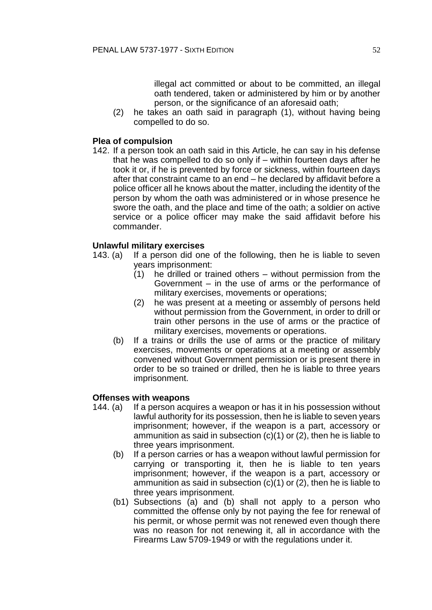illegal act committed or about to be committed, an illegal oath tendered, taken or administered by him or by another person, or the significance of an aforesaid oath;

(2) he takes an oath said in paragraph (1), without having being compelled to do so.

## **Plea of compulsion**

142. If a person took an oath said in this Article, he can say in his defense that he was compelled to do so only if – within fourteen days after he took it or, if he is prevented by force or sickness, within fourteen days after that constraint came to an end – he declared by affidavit before a police officer all he knows about the matter, including the identity of the person by whom the oath was administered or in whose presence he swore the oath, and the place and time of the oath; a soldier on active service or a police officer may make the said affidavit before his commander.

## **Unlawful military exercises**

- 143. (a) If a person did one of the following, then he is liable to seven years imprisonment:
	- (1) he drilled or trained others without permission from the Government – in the use of arms or the performance of military exercises, movements or operations;
	- (2) he was present at a meeting or assembly of persons held without permission from the Government, in order to drill or train other persons in the use of arms or the practice of military exercises, movements or operations.
	- (b) If a trains or drills the use of arms or the practice of military exercises, movements or operations at a meeting or assembly convened without Government permission or is present there in order to be so trained or drilled, then he is liable to three years imprisonment.

### **Offenses with weapons**

- 144. (a) If a person acquires a weapon or has it in his possession without lawful authority for its possession, then he is liable to seven years imprisonment; however, if the weapon is a part, accessory or ammunition as said in subsection (c)(1) or (2), then he is liable to three years imprisonment.
	- (b) If a person carries or has a weapon without lawful permission for carrying or transporting it, then he is liable to ten years imprisonment; however, if the weapon is a part, accessory or ammunition as said in subsection (c)(1) or (2), then he is liable to three years imprisonment.
	- (b1) Subsections (a) and (b) shall not apply to a person who committed the offense only by not paying the fee for renewal of his permit, or whose permit was not renewed even though there was no reason for not renewing it, all in accordance with the Firearms Law 5709-1949 or with the regulations under it.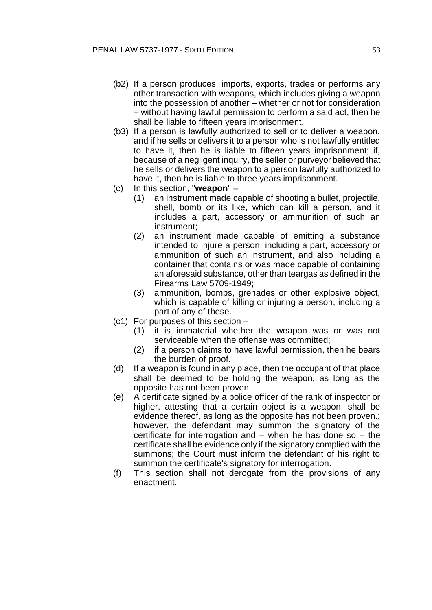- (b2) If a person produces, imports, exports, trades or performs any other transaction with weapons, which includes giving a weapon into the possession of another – whether or not for consideration – without having lawful permission to perform a said act, then he shall be liable to fifteen years imprisonment.
- (b3) If a person is lawfully authorized to sell or to deliver a weapon, and if he sells or delivers it to a person who is not lawfully entitled to have it, then he is liable to fifteen years imprisonment; if, because of a negligent inquiry, the seller or purveyor believed that he sells or delivers the weapon to a person lawfully authorized to have it, then he is liable to three years imprisonment.
- (c) In this section, "**weapon**"
	- (1) an instrument made capable of shooting a bullet, projectile, shell, bomb or its like, which can kill a person, and it includes a part, accessory or ammunition of such an instrument;
	- (2) an instrument made capable of emitting a substance intended to injure a person, including a part, accessory or ammunition of such an instrument, and also including a container that contains or was made capable of containing an aforesaid substance, other than teargas as defined in the Firearms Law 5709-1949;
	- (3) ammunition, bombs, grenades or other explosive object, which is capable of killing or injuring a person, including a part of any of these.
- (c1) For purposes of this section
	- (1) it is immaterial whether the weapon was or was not serviceable when the offense was committed;
	- (2) if a person claims to have lawful permission, then he bears the burden of proof.
- (d) If a weapon is found in any place, then the occupant of that place shall be deemed to be holding the weapon, as long as the opposite has not been proven.
- (e) A certificate signed by a police officer of the rank of inspector or higher, attesting that a certain object is a weapon, shall be evidence thereof, as long as the opposite has not been proven.; however, the defendant may summon the signatory of the certificate for interrogation and – when he has done so – the certificate shall be evidence only if the signatory complied with the summons; the Court must inform the defendant of his right to summon the certificate's signatory for interrogation.
- (f) This section shall not derogate from the provisions of any enactment.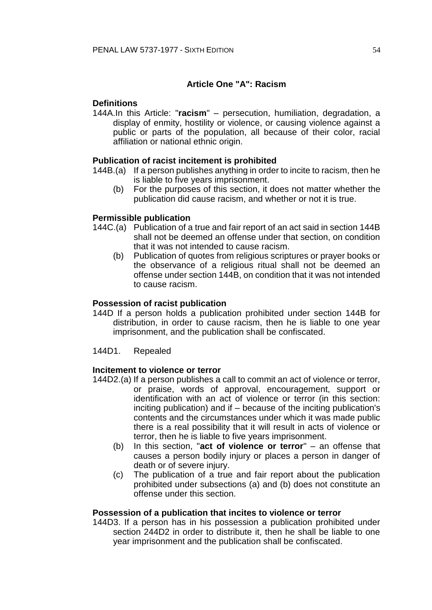## **Article One "A": Racism**

## **Definitions**

144A.In this Article: "**racism**" – persecution, humiliation, degradation, a display of enmity, hostility or violence, or causing violence against a public or parts of the population, all because of their color, racial affiliation or national ethnic origin.

## **Publication of racist incitement is prohibited**

- 144B.(a) If a person publishes anything in order to incite to racism, then he is liable to five years imprisonment.
	- (b) For the purposes of this section, it does not matter whether the publication did cause racism, and whether or not it is true.

## **Permissible publication**

- 144C.(a) Publication of a true and fair report of an act said in section 144B shall not be deemed an offense under that section, on condition that it was not intended to cause racism.
	- (b) Publication of quotes from religious scriptures or prayer books or the observance of a religious ritual shall not be deemed an offense under section 144B, on condition that it was not intended to cause racism.

## **Possession of racist publication**

- 144D If a person holds a publication prohibited under section 144B for distribution, in order to cause racism, then he is liable to one year imprisonment, and the publication shall be confiscated.
- 144D1. Repealed

### **Incitement to violence or terror**

- 144D2.(a) If a person publishes a call to commit an act of violence or terror, or praise, words of approval, encouragement, support or identification with an act of violence or terror (in this section: inciting publication) and if – because of the inciting publication's contents and the circumstances under which it was made public there is a real possibility that it will result in acts of violence or terror, then he is liable to five years imprisonment.
	- (b) In this section, "**act of violence or terror**" an offense that causes a person bodily injury or places a person in danger of death or of severe injury.
	- (c) The publication of a true and fair report about the publication prohibited under subsections (a) and (b) does not constitute an offense under this section.

### **Possession of a publication that incites to violence or terror**

144D3. If a person has in his possession a publication prohibited under section 244D2 in order to distribute it, then he shall be liable to one year imprisonment and the publication shall be confiscated.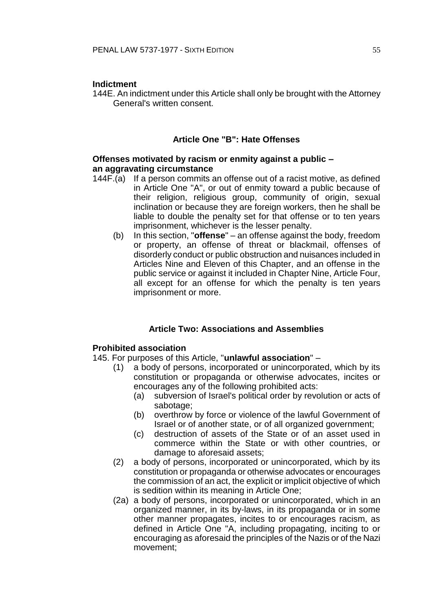### **Indictment**

144E. An indictment under this Article shall only be brought with the Attorney General's written consent.

## **Article One "B": Hate Offenses**

### **Offenses motivated by racism or enmity against a public – an aggravating circumstance**

- 144F.(a) If a person commits an offense out of a racist motive, as defined in Article One "A", or out of enmity toward a public because of their religion, religious group, community of origin, sexual inclination or because they are foreign workers, then he shall be liable to double the penalty set for that offense or to ten years imprisonment, whichever is the lesser penalty.
	- (b) In this section, "**offense**" an offense against the body, freedom or property, an offense of threat or blackmail, offenses of disorderly conduct or public obstruction and nuisances included in Articles Nine and Eleven of this Chapter, and an offense in the public service or against it included in Chapter Nine, Article Four, all except for an offense for which the penalty is ten years imprisonment or more.

## **Article Two: Associations and Assemblies**

### **Prohibited association**

145. For purposes of this Article, "**unlawful association**" –

- (1) a body of persons, incorporated or unincorporated, which by its constitution or propaganda or otherwise advocates, incites or encourages any of the following prohibited acts:
	- (a) subversion of Israel's political order by revolution or acts of sabotage;
	- (b) overthrow by force or violence of the lawful Government of Israel or of another state, or of all organized government;
	- (c) destruction of assets of the State or of an asset used in commerce within the State or with other countries, or damage to aforesaid assets;
- (2) a body of persons, incorporated or unincorporated, which by its constitution or propaganda or otherwise advocates or encourages the commission of an act, the explicit or implicit objective of which is sedition within its meaning in Article One;
- (2a) a body of persons, incorporated or unincorporated, which in an organized manner, in its by-laws, in its propaganda or in some other manner propagates, incites to or encourages racism, as defined in Article One "A, including propagating, inciting to or encouraging as aforesaid the principles of the Nazis or of the Nazi movement;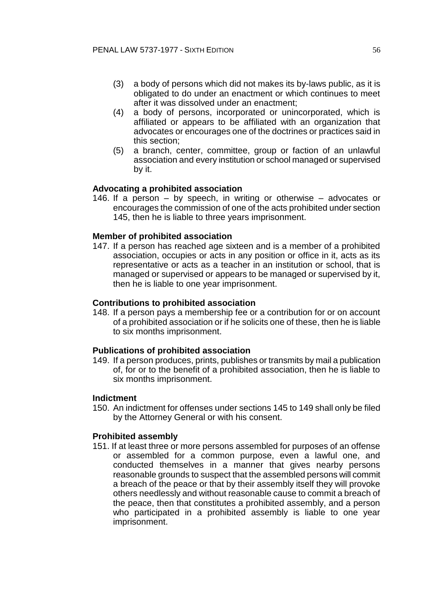- (3) a body of persons which did not makes its by-laws public, as it is obligated to do under an enactment or which continues to meet after it was dissolved under an enactment;
- (4) a body of persons, incorporated or unincorporated, which is affiliated or appears to be affiliated with an organization that advocates or encourages one of the doctrines or practices said in this section;
- (5) a branch, center, committee, group or faction of an unlawful association and every institution or school managed or supervised by it.

## **Advocating a prohibited association**

146. If a person – by speech, in writing or otherwise – advocates or encourages the commission of one of the acts prohibited under section 145, then he is liable to three years imprisonment.

### **Member of prohibited association**

147. If a person has reached age sixteen and is a member of a prohibited association, occupies or acts in any position or office in it, acts as its representative or acts as a teacher in an institution or school, that is managed or supervised or appears to be managed or supervised by it, then he is liable to one year imprisonment.

#### **Contributions to prohibited association**

148. If a person pays a membership fee or a contribution for or on account of a prohibited association or if he solicits one of these, then he is liable to six months imprisonment.

#### **Publications of prohibited association**

149. If a person produces, prints, publishes or transmits by mail a publication of, for or to the benefit of a prohibited association, then he is liable to six months imprisonment.

#### **Indictment**

150. An indictment for offenses under sections 145 to 149 shall only be filed by the Attorney General or with his consent.

#### **Prohibited assembly**

151. If at least three or more persons assembled for purposes of an offense or assembled for a common purpose, even a lawful one, and conducted themselves in a manner that gives nearby persons reasonable grounds to suspect that the assembled persons will commit a breach of the peace or that by their assembly itself they will provoke others needlessly and without reasonable cause to commit a breach of the peace, then that constitutes a prohibited assembly, and a person who participated in a prohibited assembly is liable to one year imprisonment.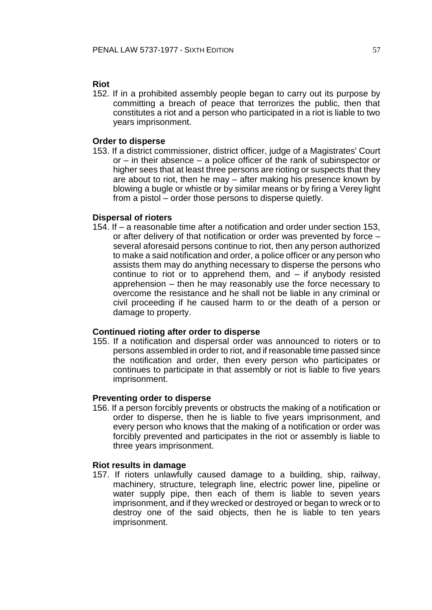### **Riot**

152. If in a prohibited assembly people began to carry out its purpose by committing a breach of peace that terrorizes the public, then that constitutes a riot and a person who participated in a riot is liable to two years imprisonment.

### **Order to disperse**

153. If a district commissioner, district officer, judge of a Magistrates' Court or – in their absence – a police officer of the rank of subinspector or higher sees that at least three persons are rioting or suspects that they are about to riot, then he may – after making his presence known by blowing a bugle or whistle or by similar means or by firing a Verey light from a pistol – order those persons to disperse quietly.

### **Dispersal of rioters**

154. If – a reasonable time after a notification and order under section 153, or after delivery of that notification or order was prevented by force – several aforesaid persons continue to riot, then any person authorized to make a said notification and order, a police officer or any person who assists them may do anything necessary to disperse the persons who continue to riot or to apprehend them, and – if anybody resisted apprehension – then he may reasonably use the force necessary to overcome the resistance and he shall not be liable in any criminal or civil proceeding if he caused harm to or the death of a person or damage to property.

#### **Continued rioting after order to disperse**

155. If a notification and dispersal order was announced to rioters or to persons assembled in order to riot, and if reasonable time passed since the notification and order, then every person who participates or continues to participate in that assembly or riot is liable to five years imprisonment.

#### **Preventing order to disperse**

156. If a person forcibly prevents or obstructs the making of a notification or order to disperse, then he is liable to five years imprisonment, and every person who knows that the making of a notification or order was forcibly prevented and participates in the riot or assembly is liable to three years imprisonment.

#### **Riot results in damage**

157. If rioters unlawfully caused damage to a building, ship, railway, machinery, structure, telegraph line, electric power line, pipeline or water supply pipe, then each of them is liable to seven years imprisonment, and if they wrecked or destroyed or began to wreck or to destroy one of the said objects, then he is liable to ten years imprisonment.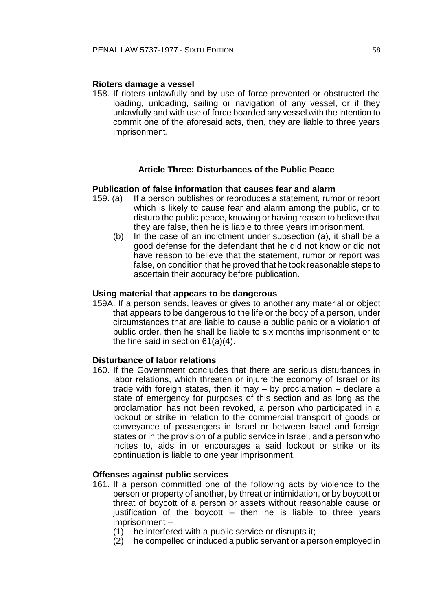### **Rioters damage a vessel**

158. If rioters unlawfully and by use of force prevented or obstructed the loading, unloading, sailing or navigation of any vessel, or if they unlawfully and with use of force boarded any vessel with the intention to commit one of the aforesaid acts, then, they are liable to three years imprisonment.

### **Article Three: Disturbances of the Public Peace**

### **Publication of false information that causes fear and alarm**

- 159. (a) If a person publishes or reproduces a statement, rumor or report which is likely to cause fear and alarm among the public, or to disturb the public peace, knowing or having reason to believe that they are false, then he is liable to three years imprisonment.
	- (b) In the case of an indictment under subsection (a), it shall be a good defense for the defendant that he did not know or did not have reason to believe that the statement, rumor or report was false, on condition that he proved that he took reasonable steps to ascertain their accuracy before publication.

#### **Using material that appears to be dangerous**

159A. If a person sends, leaves or gives to another any material or object that appears to be dangerous to the life or the body of a person, under circumstances that are liable to cause a public panic or a violation of public order, then he shall be liable to six months imprisonment or to the fine said in section 61(a)(4).

## **Disturbance of labor relations**

160. If the Government concludes that there are serious disturbances in labor relations, which threaten or injure the economy of Israel or its trade with foreign states, then it may – by proclamation – declare a state of emergency for purposes of this section and as long as the proclamation has not been revoked, a person who participated in a lockout or strike in relation to the commercial transport of goods or conveyance of passengers in Israel or between Israel and foreign states or in the provision of a public service in Israel, and a person who incites to, aids in or encourages a said lockout or strike or its continuation is liable to one year imprisonment.

### **Offenses against public services**

- 161. If a person committed one of the following acts by violence to the person or property of another, by threat or intimidation, or by boycott or threat of boycott of a person or assets without reasonable cause or justification of the boycott – then he is liable to three years imprisonment –
	- (1) he interfered with a public service or disrupts it;
	- (2) he compelled or induced a public servant or a person employed in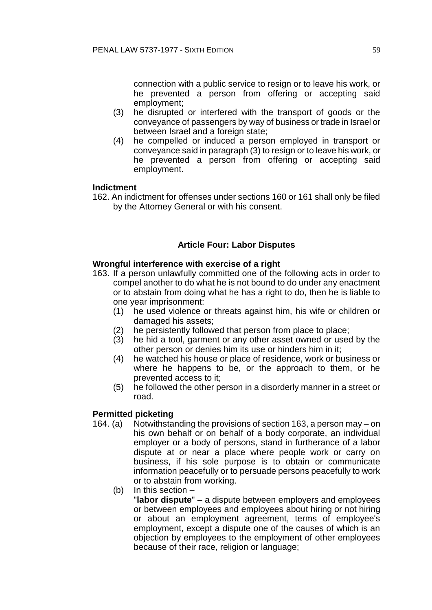connection with a public service to resign or to leave his work, or he prevented a person from offering or accepting said employment;

- (3) he disrupted or interfered with the transport of goods or the conveyance of passengers by way of business or trade in Israel or between Israel and a foreign state;
- (4) he compelled or induced a person employed in transport or conveyance said in paragraph (3) to resign or to leave his work, or he prevented a person from offering or accepting said employment.

### **Indictment**

162. An indictment for offenses under sections 160 or 161 shall only be filed by the Attorney General or with his consent.

## **Article Four: Labor Disputes**

### **Wrongful interference with exercise of a right**

- 163. If a person unlawfully committed one of the following acts in order to compel another to do what he is not bound to do under any enactment or to abstain from doing what he has a right to do, then he is liable to one year imprisonment:
	- (1) he used violence or threats against him, his wife or children or damaged his assets;
	- (2) he persistently followed that person from place to place;
	- (3) he hid a tool, garment or any other asset owned or used by the other person or denies him its use or hinders him in it;
	- (4) he watched his house or place of residence, work or business or where he happens to be, or the approach to them, or he prevented access to it;
	- (5) he followed the other person in a disorderly manner in a street or road.

#### **Permitted picketing**

- 164. (a) Notwithstanding the provisions of section 163, a person may on his own behalf or on behalf of a body corporate, an individual employer or a body of persons, stand in furtherance of a labor dispute at or near a place where people work or carry on business, if his sole purpose is to obtain or communicate information peacefully or to persuade persons peacefully to work or to abstain from working.
	- (b) In this section –

"**labor dispute**" – a dispute between employers and employees or between employees and employees about hiring or not hiring or about an employment agreement, terms of employee's employment, except a dispute one of the causes of which is an objection by employees to the employment of other employees because of their race, religion or language;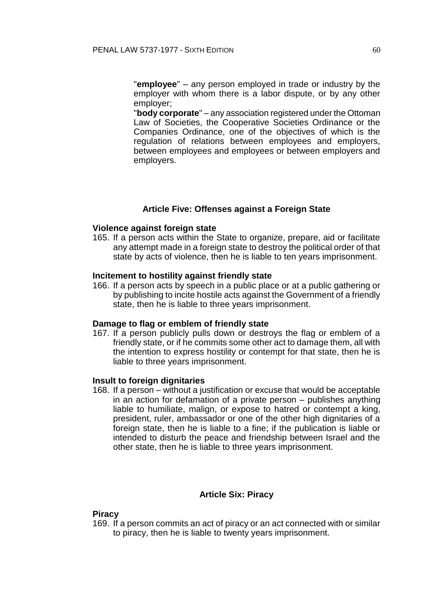"**employee**" – any person employed in trade or industry by the employer with whom there is a labor dispute, or by any other employer;

"**body corporate**" – any association registered under the Ottoman Law of Societies, the Cooperative Societies Ordinance or the Companies Ordinance, one of the objectives of which is the regulation of relations between employees and employers, between employees and employees or between employers and employers.

### **Article Five: Offenses against a Foreign State**

#### **Violence against foreign state**

165. If a person acts within the State to organize, prepare, aid or facilitate any attempt made in a foreign state to destroy the political order of that state by acts of violence, then he is liable to ten years imprisonment.

#### **Incitement to hostility against friendly state**

166. If a person acts by speech in a public place or at a public gathering or by publishing to incite hostile acts against the Government of a friendly state, then he is liable to three years imprisonment.

#### **Damage to flag or emblem of friendly state**

167. If a person publicly pulls down or destroys the flag or emblem of a friendly state, or if he commits some other act to damage them, all with the intention to express hostility or contempt for that state, then he is liable to three years imprisonment.

#### **Insult to foreign dignitaries**

168. If a person – without a justification or excuse that would be acceptable in an action for defamation of a private person – publishes anything liable to humiliate, malign, or expose to hatred or contempt a king, president, ruler, ambassador or one of the other high dignitaries of a foreign state, then he is liable to a fine; if the publication is liable or intended to disturb the peace and friendship between Israel and the other state, then he is liable to three years imprisonment.

### **Article Six: Piracy**

#### **Piracy**

169. If a person commits an act of piracy or an act connected with or similar to piracy, then he is liable to twenty years imprisonment.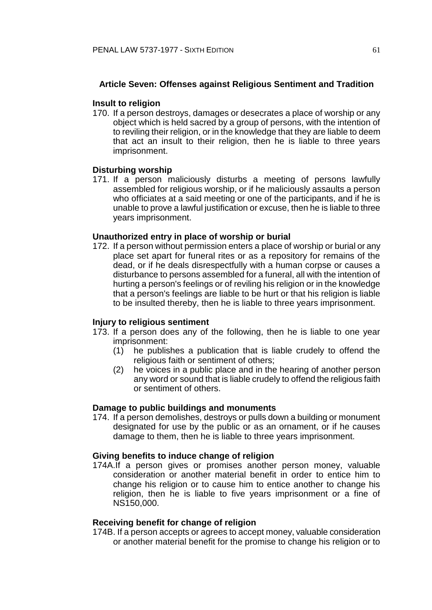## **Article Seven: Offenses against Religious Sentiment and Tradition**

### **Insult to religion**

170. If a person destroys, damages or desecrates a place of worship or any object which is held sacred by a group of persons, with the intention of to reviling their religion, or in the knowledge that they are liable to deem that act an insult to their religion, then he is liable to three years imprisonment.

### **Disturbing worship**

171. If a person maliciously disturbs a meeting of persons lawfully assembled for religious worship, or if he maliciously assaults a person who officiates at a said meeting or one of the participants, and if he is unable to prove a lawful justification or excuse, then he is liable to three years imprisonment.

### **Unauthorized entry in place of worship or burial**

172. If a person without permission enters a place of worship or burial or any place set apart for funeral rites or as a repository for remains of the dead, or if he deals disrespectfully with a human corpse or causes a disturbance to persons assembled for a funeral, all with the intention of hurting a person's feelings or of reviling his religion or in the knowledge that a person's feelings are liable to be hurt or that his religion is liable to be insulted thereby, then he is liable to three years imprisonment.

### **Injury to religious sentiment**

- 173. If a person does any of the following, then he is liable to one year imprisonment:
	- (1) he publishes a publication that is liable crudely to offend the religious faith or sentiment of others;
	- (2) he voices in a public place and in the hearing of another person any word or sound that is liable crudely to offend the religious faith or sentiment of others.

## **Damage to public buildings and monuments**

174. If a person demolishes, destroys or pulls down a building or monument designated for use by the public or as an ornament, or if he causes damage to them, then he is liable to three years imprisonment.

## **Giving benefits to induce change of religion**

174A.If a person gives or promises another person money, valuable consideration or another material benefit in order to entice him to change his religion or to cause him to entice another to change his religion, then he is liable to five years imprisonment or a fine of NS150,000.

#### **Receiving benefit for change of religion**

174B. If a person accepts or agrees to accept money, valuable consideration or another material benefit for the promise to change his religion or to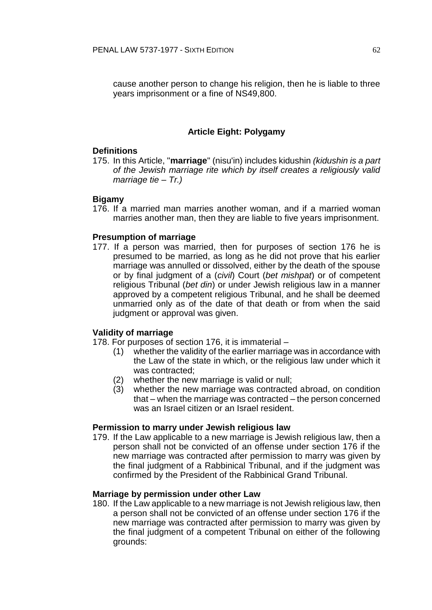cause another person to change his religion, then he is liable to three years imprisonment or a fine of NS49,800.

## **Article Eight: Polygamy**

### **Definitions**

175. In this Article, "**marriage**" (nisu'in) includes kidushin *(kidushin is a part of the Jewish marriage rite which by itself creates a religiously valid marriage tie – Tr.)*

### **Bigamy**

176. If a married man marries another woman, and if a married woman marries another man, then they are liable to five years imprisonment.

## **Presumption of marriage**

177. If a person was married, then for purposes of section 176 he is presumed to be married, as long as he did not prove that his earlier marriage was annulled or dissolved, either by the death of the spouse or by final judgment of a (*civil*) Court (*bet mishpat*) or of competent religious Tribunal (*bet din*) or under Jewish religious law in a manner approved by a competent religious Tribunal, and he shall be deemed unmarried only as of the date of that death or from when the said judgment or approval was given.

### **Validity of marriage**

178. For purposes of section 176, it is immaterial –

- (1) whether the validity of the earlier marriage was in accordance with the Law of the state in which, or the religious law under which it was contracted;
- (2) whether the new marriage is valid or null;
- (3) whether the new marriage was contracted abroad, on condition that – when the marriage was contracted – the person concerned was an Israel citizen or an Israel resident.

### **Permission to marry under Jewish religious law**

179. If the Law applicable to a new marriage is Jewish religious law, then a person shall not be convicted of an offense under section 176 if the new marriage was contracted after permission to marry was given by the final judgment of a Rabbinical Tribunal, and if the judgment was confirmed by the President of the Rabbinical Grand Tribunal.

### **Marriage by permission under other Law**

180. If the Law applicable to a new marriage is not Jewish religious law, then a person shall not be convicted of an offense under section 176 if the new marriage was contracted after permission to marry was given by the final judgment of a competent Tribunal on either of the following grounds: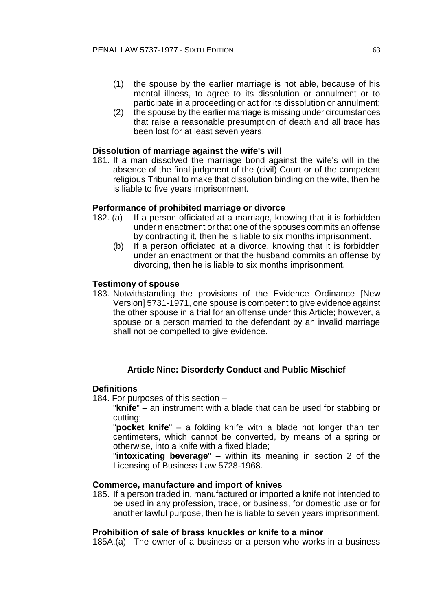- (1) the spouse by the earlier marriage is not able, because of his mental illness, to agree to its dissolution or annulment or to participate in a proceeding or act for its dissolution or annulment;
- (2) the spouse by the earlier marriage is missing under circumstances that raise a reasonable presumption of death and all trace has been lost for at least seven years.

### **Dissolution of marriage against the wife's will**

181. If a man dissolved the marriage bond against the wife's will in the absence of the final judgment of the (civil) Court or of the competent religious Tribunal to make that dissolution binding on the wife, then he is liable to five years imprisonment.

### **Performance of prohibited marriage or divorce**

- 182. (a) If a person officiated at a marriage, knowing that it is forbidden under n enactment or that one of the spouses commits an offense by contracting it, then he is liable to six months imprisonment.
	- (b) If a person officiated at a divorce, knowing that it is forbidden under an enactment or that the husband commits an offense by divorcing, then he is liable to six months imprisonment.

### **Testimony of spouse**

183. Notwithstanding the provisions of the Evidence Ordinance [New Version] 5731-1971, one spouse is competent to give evidence against the other spouse in a trial for an offense under this Article; however, a spouse or a person married to the defendant by an invalid marriage shall not be compelled to give evidence.

### **Article Nine: Disorderly Conduct and Public Mischief**

#### **Definitions**

184. For purposes of this section –

"**knife**" – an instrument with a blade that can be used for stabbing or cutting;

"**pocket knife**" – a folding knife with a blade not longer than ten centimeters, which cannot be converted, by means of a spring or otherwise, into a knife with a fixed blade;

"**intoxicating beverage**" – within its meaning in section 2 of the Licensing of Business Law 5728-1968.

#### **Commerce, manufacture and import of knives**

185. If a person traded in, manufactured or imported a knife not intended to be used in any profession, trade, or business, for domestic use or for another lawful purpose, then he is liable to seven years imprisonment.

#### **Prohibition of sale of brass knuckles or knife to a minor**

185A.(a) The owner of a business or a person who works in a business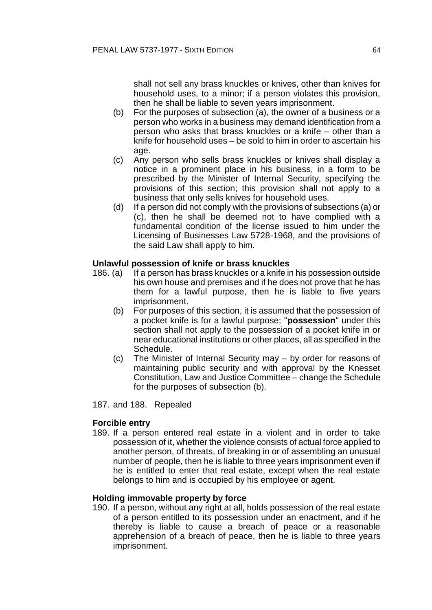shall not sell any brass knuckles or knives, other than knives for household uses, to a minor; if a person violates this provision, then he shall be liable to seven years imprisonment.

- (b) For the purposes of subsection (a), the owner of a business or a person who works in a business may demand identification from a person who asks that brass knuckles or a knife – other than a knife for household uses – be sold to him in order to ascertain his age.
- (c) Any person who sells brass knuckles or knives shall display a notice in a prominent place in his business, in a form to be prescribed by the Minister of Internal Security, specifying the provisions of this section; this provision shall not apply to a business that only sells knives for household uses.
- (d) If a person did not comply with the provisions of subsections (a) or (c), then he shall be deemed not to have complied with a fundamental condition of the license issued to him under the Licensing of Businesses Law 5728-1968, and the provisions of the said Law shall apply to him.

### **Unlawful possession of knife or brass knuckles**

- 186. (a) If a person has brass knuckles or a knife in his possession outside his own house and premises and if he does not prove that he has them for a lawful purpose, then he is liable to five years imprisonment.
	- (b) For purposes of this section, it is assumed that the possession of a pocket knife is for a lawful purpose; "**possession**" under this section shall not apply to the possession of a pocket knife in or near educational institutions or other places, all as specified in the Schedule.
	- (c) The Minister of Internal Security may by order for reasons of maintaining public security and with approval by the Knesset Constitution, Law and Justice Committee – change the Schedule for the purposes of subsection (b).
- 187. and 188. Repealed

### **Forcible entry**

189. If a person entered real estate in a violent and in order to take possession of it, whether the violence consists of actual force applied to another person, of threats, of breaking in or of assembling an unusual number of people, then he is liable to three years imprisonment even if he is entitled to enter that real estate, except when the real estate belongs to him and is occupied by his employee or agent.

#### **Holding immovable property by force**

190. If a person, without any right at all, holds possession of the real estate of a person entitled to its possession under an enactment, and if he thereby is liable to cause a breach of peace or a reasonable apprehension of a breach of peace, then he is liable to three years imprisonment.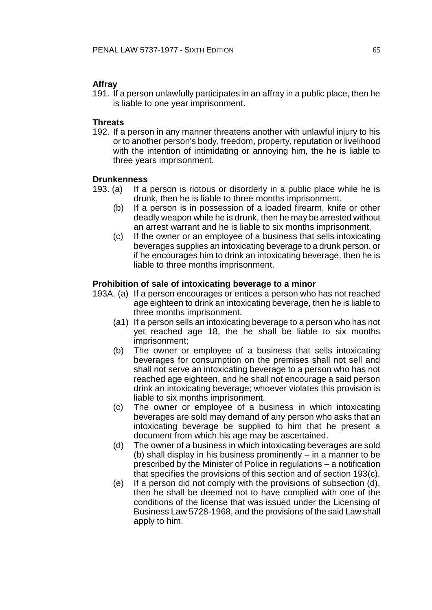## **Affray**

191. If a person unlawfully participates in an affray in a public place, then he is liable to one year imprisonment.

## **Threats**

192. If a person in any manner threatens another with unlawful injury to his or to another person's body, freedom, property, reputation or livelihood with the intention of intimidating or annoying him, the he is liable to three years imprisonment.

## **Drunkenness**

- 193. (a) If a person is riotous or disorderly in a public place while he is drunk, then he is liable to three months imprisonment.
	- (b) If a person is in possession of a loaded firearm, knife or other deadly weapon while he is drunk, then he may be arrested without an arrest warrant and he is liable to six months imprisonment.
	- (c) If the owner or an employee of a business that sells intoxicating beverages supplies an intoxicating beverage to a drunk person, or if he encourages him to drink an intoxicating beverage, then he is liable to three months imprisonment.

## **Prohibition of sale of intoxicating beverage to a minor**

- 193A. (a) If a person encourages or entices a person who has not reached age eighteen to drink an intoxicating beverage, then he is liable to three months imprisonment.
	- (a1) If a person sells an intoxicating beverage to a person who has not yet reached age 18, the he shall be liable to six months imprisonment;
	- (b) The owner or employee of a business that sells intoxicating beverages for consumption on the premises shall not sell and shall not serve an intoxicating beverage to a person who has not reached age eighteen, and he shall not encourage a said person drink an intoxicating beverage; whoever violates this provision is liable to six months imprisonment.
	- (c) The owner or employee of a business in which intoxicating beverages are sold may demand of any person who asks that an intoxicating beverage be supplied to him that he present a document from which his age may be ascertained.
	- (d) The owner of a business in which intoxicating beverages are sold (b) shall display in his business prominently – in a manner to be prescribed by the Minister of Police in regulations – a notification that specifies the provisions of this section and of section 193(c).
	- (e) If a person did not comply with the provisions of subsection (d), then he shall be deemed not to have complied with one of the conditions of the license that was issued under the Licensing of Business Law 5728-1968, and the provisions of the said Law shall apply to him.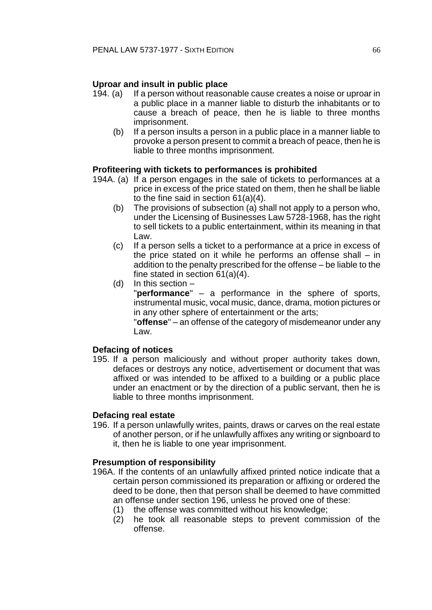## **Uproar and insult in public place**

- 194. (a) If a person without reasonable cause creates a noise or uproar in a public place in a manner liable to disturb the inhabitants or to cause a breach of peace, then he is liable to three months imprisonment.
	- (b) If a person insults a person in a public place in a manner liable to provoke a person present to commit a breach of peace, then he is liable to three months imprisonment.

## **Profiteering with tickets to performances is prohibited**

- 194A. (a) If a person engages in the sale of tickets to performances at a price in excess of the price stated on them, then he shall be liable to the fine said in section 61(a)(4).
	- (b) The provisions of subsection (a) shall not apply to a person who, under the Licensing of Businesses Law 5728-1968, has the right to sell tickets to a public entertainment, within its meaning in that Law.
	- (c) If a person sells a ticket to a performance at a price in excess of the price stated on it while he performs an offense shall – in addition to the penalty prescribed for the offense – be liable to the fine stated in section 61(a)(4).
	- (d) In this section –

"**performance**" – a performance in the sphere of sports, instrumental music, vocal music, dance, drama, motion pictures or in any other sphere of entertainment or the arts;

"**offense**" – an offense of the category of misdemeanor under any Law.

### **Defacing of notices**

195. If a person maliciously and without proper authority takes down, defaces or destroys any notice, advertisement or document that was affixed or was intended to be affixed to a building or a public place under an enactment or by the direction of a public servant, then he is liable to three months imprisonment.

### **Defacing real estate**

196. If a person unlawfully writes, paints, draws or carves on the real estate of another person, or if he unlawfully affixes any writing or signboard to it, then he is liable to one year imprisonment.

### **Presumption of responsibility**

- 196A. If the contents of an unlawfully affixed printed notice indicate that a certain person commissioned its preparation or affixing or ordered the deed to be done, then that person shall be deemed to have committed an offense under section 196, unless he proved one of these:
	- (1) the offense was committed without his knowledge;
	- (2) he took all reasonable steps to prevent commission of the offense.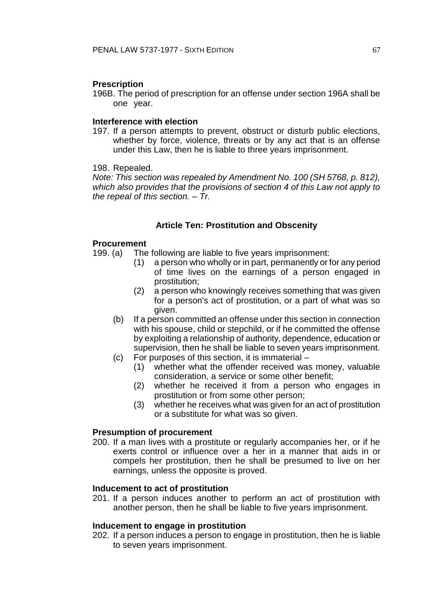#### **Prescription**

196B. The period of prescription for an offense under section 196A shall be one year.

### **Interference with election**

197. If a person attempts to prevent, obstruct or disturb public elections, whether by force, violence, threats or by any act that is an offense under this Law, then he is liable to three years imprisonment.

#### 198. Repealed.

*Note: This section was repealed by Amendment No. 100 (SH 5768, p. 812), which also provides that the provisions of section 4 of this Law not apply to the repeal of this section. – Tr.* 

### **Article Ten: Prostitution and Obscenity**

#### **Procurement**

- 199. (a) The following are liable to five years imprisonment:
	- (1) a person who wholly or in part, permanently or for any period of time lives on the earnings of a person engaged in prostitution;
	- (2) a person who knowingly receives something that was given for a person's act of prostitution, or a part of what was so given.
	- (b) If a person committed an offense under this section in connection with his spouse, child or stepchild, or if he committed the offense by exploiting a relationship of authority, dependence, education or supervision, then he shall be liable to seven years imprisonment.
	- (c) For purposes of this section, it is immaterial
		- (1) whether what the offender received was money, valuable consideration, a service or some other benefit;
		- (2) whether he received it from a person who engages in prostitution or from some other person;
		- (3) whether he receives what was given for an act of prostitution or a substitute for what was so given.

#### **Presumption of procurement**

200. If a man lives with a prostitute or regularly accompanies her, or if he exerts control or influence over a her in a manner that aids in or compels her prostitution, then he shall be presumed to live on her earnings, unless the opposite is proved.

### **Inducement to act of prostitution**

201. If a person induces another to perform an act of prostitution with another person, then he shall be liable to five years imprisonment.

#### **Inducement to engage in prostitution**

202. If a person induces a person to engage in prostitution, then he is liable to seven years imprisonment.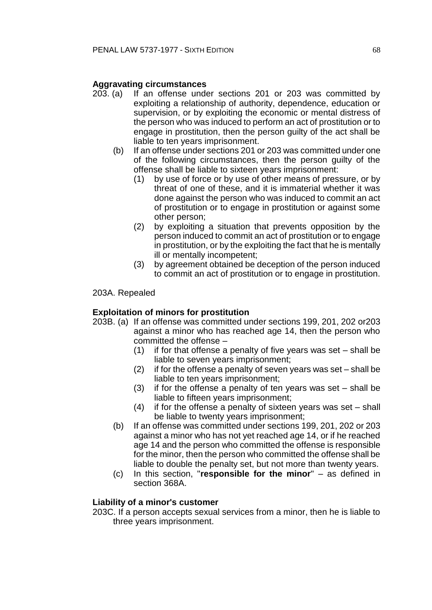## **Aggravating circumstances**

- 203. (a) If an offense under sections 201 or 203 was committed by exploiting a relationship of authority, dependence, education or supervision, or by exploiting the economic or mental distress of the person who was induced to perform an act of prostitution or to engage in prostitution, then the person guilty of the act shall be liable to ten years imprisonment.
	- (b) If an offense under sections 201 or 203 was committed under one of the following circumstances, then the person guilty of the offense shall be liable to sixteen years imprisonment:
		- (1) by use of force or by use of other means of pressure, or by threat of one of these, and it is immaterial whether it was done against the person who was induced to commit an act of prostitution or to engage in prostitution or against some other person;
		- (2) by exploiting a situation that prevents opposition by the person induced to commit an act of prostitution or to engage in prostitution, or by the exploiting the fact that he is mentally ill or mentally incompetent;
		- (3) by agreement obtained be deception of the person induced to commit an act of prostitution or to engage in prostitution.

### 203A. Repealed

### **Exploitation of minors for prostitution**

- 203B. (a) If an offense was committed under sections 199, 201, 202 or203 against a minor who has reached age 14, then the person who committed the offense –
	- (1) if for that offense a penalty of five years was set shall be liable to seven years imprisonment;
	- (2) if for the offense a penalty of seven years was set shall be liable to ten years imprisonment;
	- (3) if for the offense a penalty of ten years was set shall be liable to fifteen years imprisonment;
	- (4) if for the offense a penalty of sixteen years was set shall be liable to twenty years imprisonment;
	- (b) If an offense was committed under sections 199, 201, 202 or 203 against a minor who has not yet reached age 14, or if he reached age 14 and the person who committed the offense is responsible for the minor, then the person who committed the offense shall be liable to double the penalty set, but not more than twenty years.
	- (c) In this section, "**responsible for the minor**" as defined in section 368A.

### **Liability of a minor's customer**

203C. If a person accepts sexual services from a minor, then he is liable to three years imprisonment.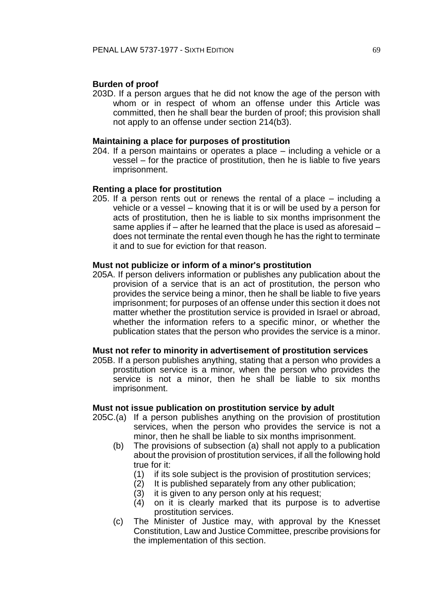### **Burden of proof**

203D. If a person argues that he did not know the age of the person with whom or in respect of whom an offense under this Article was committed, then he shall bear the burden of proof; this provision shall not apply to an offense under section 214(b3).

### **Maintaining a place for purposes of prostitution**

204. If a person maintains or operates a place – including a vehicle or a vessel – for the practice of prostitution, then he is liable to five years imprisonment.

### **Renting a place for prostitution**

205. If a person rents out or renews the rental of a place – including a vehicle or a vessel – knowing that it is or will be used by a person for acts of prostitution, then he is liable to six months imprisonment the same applies if – after he learned that the place is used as aforesaid – does not terminate the rental even though he has the right to terminate it and to sue for eviction for that reason.

### **Must not publicize or inform of a minor's prostitution**

205A. If person delivers information or publishes any publication about the provision of a service that is an act of prostitution, the person who provides the service being a minor, then he shall be liable to five years imprisonment; for purposes of an offense under this section it does not matter whether the prostitution service is provided in Israel or abroad, whether the information refers to a specific minor, or whether the publication states that the person who provides the service is a minor.

#### **Must not refer to minority in advertisement of prostitution services**

205B. If a person publishes anything, stating that a person who provides a prostitution service is a minor, when the person who provides the service is not a minor, then he shall be liable to six months imprisonment.

## **Must not issue publication on prostitution service by adult**

- 205C.(a) If a person publishes anything on the provision of prostitution services, when the person who provides the service is not a minor, then he shall be liable to six months imprisonment.
	- (b) The provisions of subsection (a) shall not apply to a publication about the provision of prostitution services, if all the following hold true for it:
		- (1) if its sole subject is the provision of prostitution services;
		- (2) It is published separately from any other publication;
		- (3) it is given to any person only at his request;
		- (4) on it is clearly marked that its purpose is to advertise prostitution services.
	- (c) The Minister of Justice may, with approval by the Knesset Constitution, Law and Justice Committee, prescribe provisions for the implementation of this section.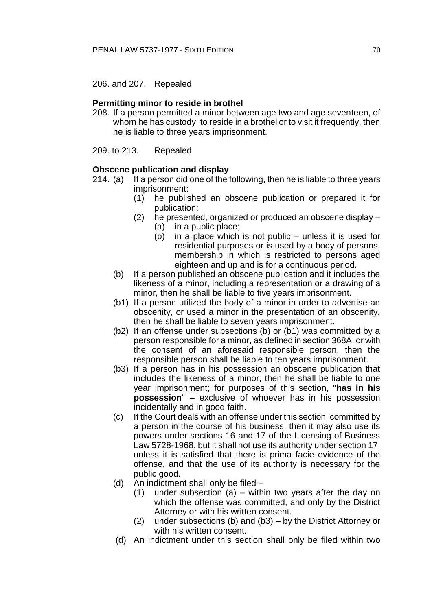206. and 207. Repealed

### **Permitting minor to reside in brothel**

208. If a person permitted a minor between age two and age seventeen, of whom he has custody, to reside in a brothel or to visit it frequently, then he is liable to three years imprisonment.

209. to 213. Repealed

### **Obscene publication and display**

- 214. (a) If a person did one of the following, then he is liable to three years imprisonment:
	- (1) he published an obscene publication or prepared it for publication;
	- (2) he presented, organized or produced an obscene display (a) in a public place;
		- (b) in a place which is not public unless it is used for residential purposes or is used by a body of persons, membership in which is restricted to persons aged eighteen and up and is for a continuous period.
	- (b) If a person published an obscene publication and it includes the likeness of a minor, including a representation or a drawing of a minor, then he shall be liable to five years imprisonment.
	- (b1) If a person utilized the body of a minor in order to advertise an obscenity, or used a minor in the presentation of an obscenity, then he shall be liable to seven years imprisonment.
	- (b2) If an offense under subsections (b) or (b1) was committed by a person responsible for a minor, as defined in section 368A, or with the consent of an aforesaid responsible person, then the responsible person shall be liable to ten years imprisonment.
	- (b3) If a person has in his possession an obscene publication that includes the likeness of a minor, then he shall be liable to one year imprisonment; for purposes of this section, "**has in his possession**" – exclusive of whoever has in his possession incidentally and in good faith.
	- (c) If the Court deals with an offense under this section, committed by a person in the course of his business, then it may also use its powers under sections 16 and 17 of the Licensing of Business Law 5728-1968, but it shall not use its authority under section 17, unless it is satisfied that there is prima facie evidence of the offense, and that the use of its authority is necessary for the public good.
	- (d) An indictment shall only be filed
		- (1) under subsection (a) within two years after the day on which the offense was committed, and only by the District Attorney or with his written consent.
		- (2) under subsections (b) and (b3) by the District Attorney or with his written consent.
	- (d) An indictment under this section shall only be filed within two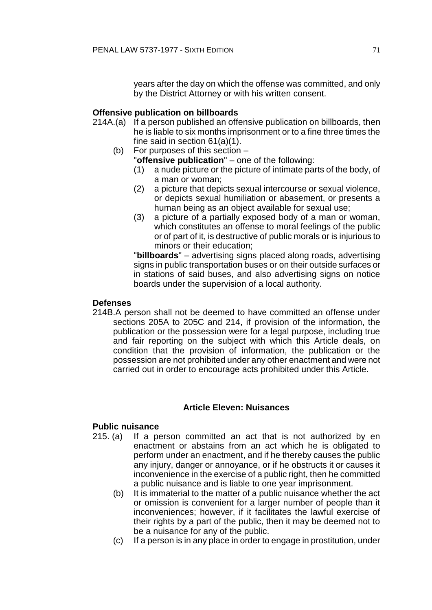years after the day on which the offense was committed, and only by the District Attorney or with his written consent.

## **Offensive publication on billboards**

- 214A.(a) If a person published an offensive publication on billboards, then he is liable to six months imprisonment or to a fine three times the fine said in section 61(a)(1).
	- (b) For purposes of this section
		- "**offensive publication**" one of the following:
		- (1) a nude picture or the picture of intimate parts of the body, of a man or woman;
		- (2) a picture that depicts sexual intercourse or sexual violence, or depicts sexual humiliation or abasement, or presents a human being as an object available for sexual use;
		- (3) a picture of a partially exposed body of a man or woman, which constitutes an offense to moral feelings of the public or of part of it, is destructive of public morals or is injurious to minors or their education;

"**billboards**" – advertising signs placed along roads, advertising signs in public transportation buses or on their outside surfaces or in stations of said buses, and also advertising signs on notice boards under the supervision of a local authority.

## **Defenses**

214B.A person shall not be deemed to have committed an offense under sections 205A to 205C and 214, if provision of the information, the publication or the possession were for a legal purpose, including true and fair reporting on the subject with which this Article deals, on condition that the provision of information, the publication or the possession are not prohibited under any other enactment and were not carried out in order to encourage acts prohibited under this Article.

### **Article Eleven: Nuisances**

## **Public nuisance**

- 215. (a) If a person committed an act that is not authorized by en enactment or abstains from an act which he is obligated to perform under an enactment, and if he thereby causes the public any injury, danger or annoyance, or if he obstructs it or causes it inconvenience in the exercise of a public right, then he committed a public nuisance and is liable to one year imprisonment.
	- (b) It is immaterial to the matter of a public nuisance whether the act or omission is convenient for a larger number of people than it inconveniences; however, if it facilitates the lawful exercise of their rights by a part of the public, then it may be deemed not to be a nuisance for any of the public.
	- (c) If a person is in any place in order to engage in prostitution, under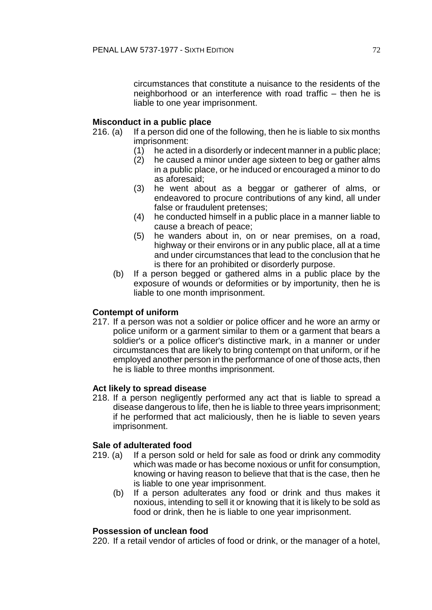circumstances that constitute a nuisance to the residents of the neighborhood or an interference with road traffic – then he is liable to one year imprisonment.

## **Misconduct in a public place**

- 216. (a) If a person did one of the following, then he is liable to six months imprisonment:
	- (1) he acted in a disorderly or indecent manner in a public place;
	- (2) he caused a minor under age sixteen to beg or gather alms in a public place, or he induced or encouraged a minor to do as aforesaid;
	- (3) he went about as a beggar or gatherer of alms, or endeavored to procure contributions of any kind, all under false or fraudulent pretenses;
	- (4) he conducted himself in a public place in a manner liable to cause a breach of peace;
	- (5) he wanders about in, on or near premises, on a road, highway or their environs or in any public place, all at a time and under circumstances that lead to the conclusion that he is there for an prohibited or disorderly purpose.
	- (b) If a person begged or gathered alms in a public place by the exposure of wounds or deformities or by importunity, then he is liable to one month imprisonment.

### **Contempt of uniform**

217. If a person was not a soldier or police officer and he wore an army or police uniform or a garment similar to them or a garment that bears a soldier's or a police officer's distinctive mark, in a manner or under circumstances that are likely to bring contempt on that uniform, or if he employed another person in the performance of one of those acts, then he is liable to three months imprisonment.

### **Act likely to spread disease**

218. If a person negligently performed any act that is liable to spread a disease dangerous to life, then he is liable to three years imprisonment; if he performed that act maliciously, then he is liable to seven years imprisonment.

### **Sale of adulterated food**

- 219. (a) If a person sold or held for sale as food or drink any commodity which was made or has become noxious or unfit for consumption, knowing or having reason to believe that that is the case, then he is liable to one year imprisonment.
	- (b) If a person adulterates any food or drink and thus makes it noxious, intending to sell it or knowing that it is likely to be sold as food or drink, then he is liable to one year imprisonment.

### **Possession of unclean food**

220. If a retail vendor of articles of food or drink, or the manager of a hotel,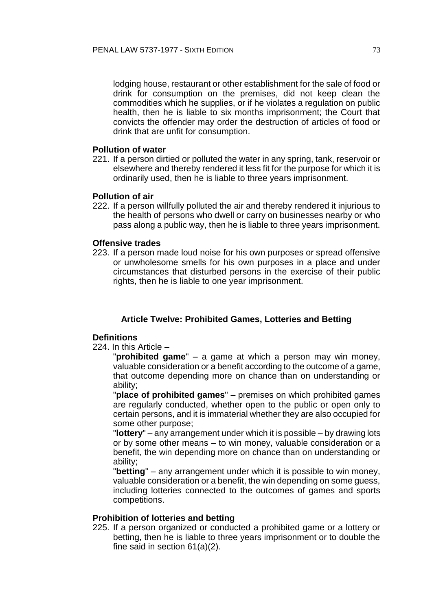lodging house, restaurant or other establishment for the sale of food or drink for consumption on the premises, did not keep clean the commodities which he supplies, or if he violates a regulation on public health, then he is liable to six months imprisonment; the Court that convicts the offender may order the destruction of articles of food or drink that are unfit for consumption.

#### **Pollution of water**

221. If a person dirtied or polluted the water in any spring, tank, reservoir or elsewhere and thereby rendered it less fit for the purpose for which it is ordinarily used, then he is liable to three years imprisonment.

## **Pollution of air**

222. If a person willfully polluted the air and thereby rendered it injurious to the health of persons who dwell or carry on businesses nearby or who pass along a public way, then he is liable to three years imprisonment.

#### **Offensive trades**

223. If a person made loud noise for his own purposes or spread offensive or unwholesome smells for his own purposes in a place and under circumstances that disturbed persons in the exercise of their public rights, then he is liable to one year imprisonment.

## **Article Twelve: Prohibited Games, Lotteries and Betting**

## **Definitions**

224. In this Article –

"**prohibited game**" – a game at which a person may win money, valuable consideration or a benefit according to the outcome of a game, that outcome depending more on chance than on understanding or ability;

"**place of prohibited games**" – premises on which prohibited games are regularly conducted, whether open to the public or open only to certain persons, and it is immaterial whether they are also occupied for some other purpose;

"**lottery**" – any arrangement under which it is possible – by drawing lots or by some other means – to win money, valuable consideration or a benefit, the win depending more on chance than on understanding or ability;

"**betting**" – any arrangement under which it is possible to win money, valuable consideration or a benefit, the win depending on some guess, including lotteries connected to the outcomes of games and sports competitions.

## **Prohibition of lotteries and betting**

225. If a person organized or conducted a prohibited game or a lottery or betting, then he is liable to three years imprisonment or to double the fine said in section 61(a)(2).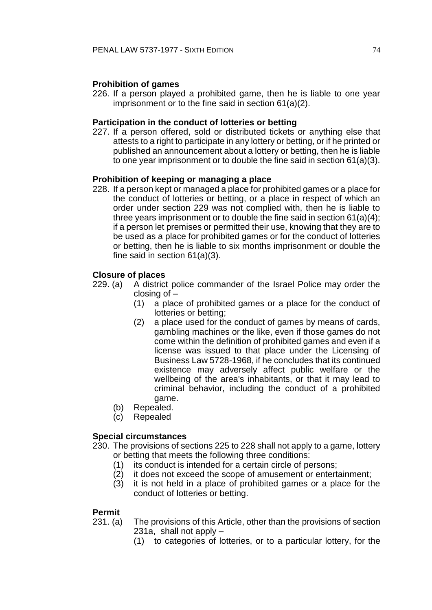## **Prohibition of games**

226. If a person played a prohibited game, then he is liable to one year imprisonment or to the fine said in section 61(a)(2).

## **Participation in the conduct of lotteries or betting**

227. If a person offered, sold or distributed tickets or anything else that attests to a right to participate in any lottery or betting, or if he printed or published an announcement about a lottery or betting, then he is liable to one year imprisonment or to double the fine said in section 61(a)(3).

## **Prohibition of keeping or managing a place**

228. If a person kept or managed a place for prohibited games or a place for the conduct of lotteries or betting, or a place in respect of which an order under section 229 was not complied with, then he is liable to three years imprisonment or to double the fine said in section 61(a)(4); if a person let premises or permitted their use, knowing that they are to be used as a place for prohibited games or for the conduct of lotteries or betting, then he is liable to six months imprisonment or double the fine said in section 61(a)(3).

#### **Closure of places**

- 229. (a) A district police commander of the Israel Police may order the closing of –
	- (1) a place of prohibited games or a place for the conduct of lotteries or betting;
	- (2) a place used for the conduct of games by means of cards, gambling machines or the like, even if those games do not come within the definition of prohibited games and even if a license was issued to that place under the Licensing of Business Law 5728-1968, if he concludes that its continued existence may adversely affect public welfare or the wellbeing of the area's inhabitants, or that it may lead to criminal behavior, including the conduct of a prohibited game.
	- (b) Repealed.
	- (c) Repealed

## **Special circumstances**

- 230. The provisions of sections 225 to 228 shall not apply to a game, lottery or betting that meets the following three conditions:
	- (1) its conduct is intended for a certain circle of persons;
	- (2) it does not exceed the scope of amusement or entertainment;
	- (3) it is not held in a place of prohibited games or a place for the conduct of lotteries or betting.

#### **Permit**

- 231. (a) The provisions of this Article, other than the provisions of section 231a, shall not apply –
	- (1) to categories of lotteries, or to a particular lottery, for the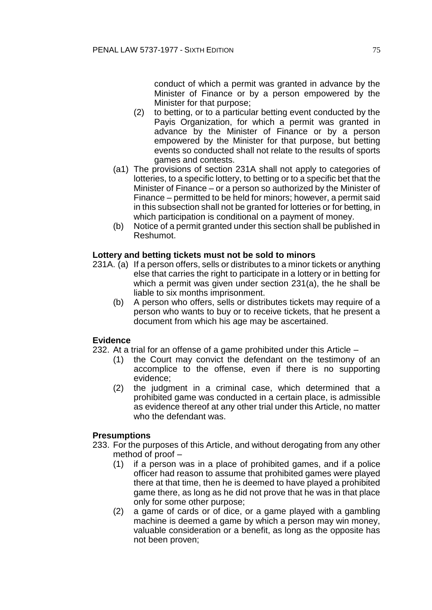conduct of which a permit was granted in advance by the Minister of Finance or by a person empowered by the Minister for that purpose;

- (2) to betting, or to a particular betting event conducted by the Payis Organization, for which a permit was granted in advance by the Minister of Finance or by a person empowered by the Minister for that purpose, but betting events so conducted shall not relate to the results of sports games and contests.
- (a1) The provisions of section 231A shall not apply to categories of lotteries, to a specific lottery, to betting or to a specific bet that the Minister of Finance – or a person so authorized by the Minister of Finance – permitted to be held for minors; however, a permit said in this subsection shall not be granted for lotteries or for betting, in which participation is conditional on a payment of money.
- (b) Notice of a permit granted under this section shall be published in Reshumot.

# **Lottery and betting tickets must not be sold to minors**

- 231A. (a) If a person offers, sells or distributes to a minor tickets or anything else that carries the right to participate in a lottery or in betting for which a permit was given under section 231(a), the he shall be liable to six months imprisonment.
	- (b) A person who offers, sells or distributes tickets may require of a person who wants to buy or to receive tickets, that he present a document from which his age may be ascertained.

## **Evidence**

232. At a trial for an offense of a game prohibited under this Article –

- (1) the Court may convict the defendant on the testimony of an accomplice to the offense, even if there is no supporting evidence;
- (2) the judgment in a criminal case, which determined that a prohibited game was conducted in a certain place, is admissible as evidence thereof at any other trial under this Article, no matter who the defendant was.

# **Presumptions**

- 233. For the purposes of this Article, and without derogating from any other method of proof –
	- (1) if a person was in a place of prohibited games, and if a police officer had reason to assume that prohibited games were played there at that time, then he is deemed to have played a prohibited game there, as long as he did not prove that he was in that place only for some other purpose;
	- (2) a game of cards or of dice, or a game played with a gambling machine is deemed a game by which a person may win money, valuable consideration or a benefit, as long as the opposite has not been proven;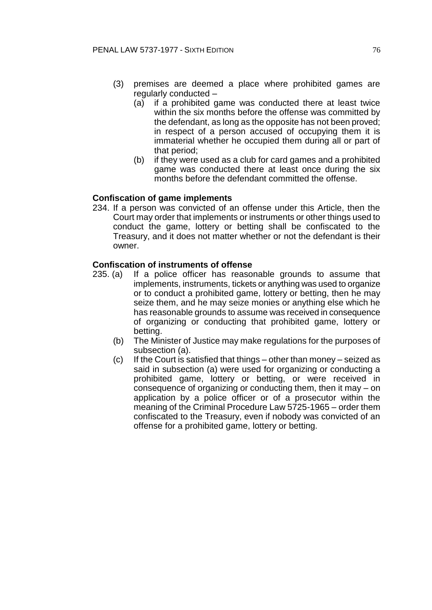- (3) premises are deemed a place where prohibited games are regularly conducted –
	- (a) if a prohibited game was conducted there at least twice within the six months before the offense was committed by the defendant, as long as the opposite has not been proved; in respect of a person accused of occupying them it is immaterial whether he occupied them during all or part of that period;
	- (b) if they were used as a club for card games and a prohibited game was conducted there at least once during the six months before the defendant committed the offense.

# **Confiscation of game implements**

234. If a person was convicted of an offense under this Article, then the Court may order that implements or instruments or other things used to conduct the game, lottery or betting shall be confiscated to the Treasury, and it does not matter whether or not the defendant is their owner.

## **Confiscation of instruments of offense**

- 235. (a) If a police officer has reasonable grounds to assume that implements, instruments, tickets or anything was used to organize or to conduct a prohibited game, lottery or betting, then he may seize them, and he may seize monies or anything else which he has reasonable grounds to assume was received in consequence of organizing or conducting that prohibited game, lottery or betting.
	- (b) The Minister of Justice may make regulations for the purposes of subsection (a).
	- (c) If the Court is satisfied that things other than money seized as said in subsection (a) were used for organizing or conducting a prohibited game, lottery or betting, or were received in consequence of organizing or conducting them, then it may – on application by a police officer or of a prosecutor within the meaning of the Criminal Procedure Law 5725-1965 – order them confiscated to the Treasury, even if nobody was convicted of an offense for a prohibited game, lottery or betting.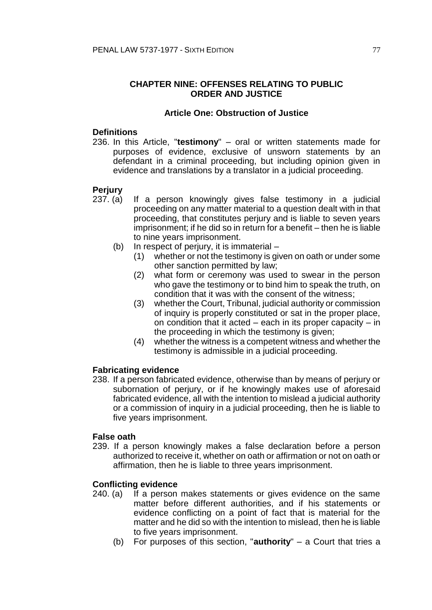# **CHAPTER NINE: OFFENSES RELATING TO PUBLIC ORDER AND JUSTICE**

## **Article One: Obstruction of Justice**

## **Definitions**

236. In this Article, "**testimony**" – oral or written statements made for purposes of evidence, exclusive of unsworn statements by an defendant in a criminal proceeding, but including opinion given in evidence and translations by a translator in a judicial proceeding.

# **Perjury**

- 237. (a) If a person knowingly gives false testimony in a judicial proceeding on any matter material to a question dealt with in that proceeding, that constitutes perjury and is liable to seven years imprisonment; if he did so in return for a benefit – then he is liable to nine years imprisonment.
	- (b) In respect of perjury, it is immaterial
		- (1) whether or not the testimony is given on oath or under some other sanction permitted by law;
		- (2) what form or ceremony was used to swear in the person who gave the testimony or to bind him to speak the truth, on condition that it was with the consent of the witness;
		- (3) whether the Court, Tribunal, judicial authority or commission of inquiry is properly constituted or sat in the proper place, on condition that it acted – each in its proper capacity – in the proceeding in which the testimony is given;
		- (4) whether the witness is a competent witness and whether the testimony is admissible in a judicial proceeding.

## **Fabricating evidence**

238. If a person fabricated evidence, otherwise than by means of perjury or subornation of perjury, or if he knowingly makes use of aforesaid fabricated evidence, all with the intention to mislead a judicial authority or a commission of inquiry in a judicial proceeding, then he is liable to five years imprisonment.

## **False oath**

239. If a person knowingly makes a false declaration before a person authorized to receive it, whether on oath or affirmation or not on oath or affirmation, then he is liable to three years imprisonment.

## **Conflicting evidence**

- 240. (a) If a person makes statements or gives evidence on the same matter before different authorities, and if his statements or evidence conflicting on a point of fact that is material for the matter and he did so with the intention to mislead, then he is liable to five years imprisonment.
	- (b) For purposes of this section, "**authority**" a Court that tries a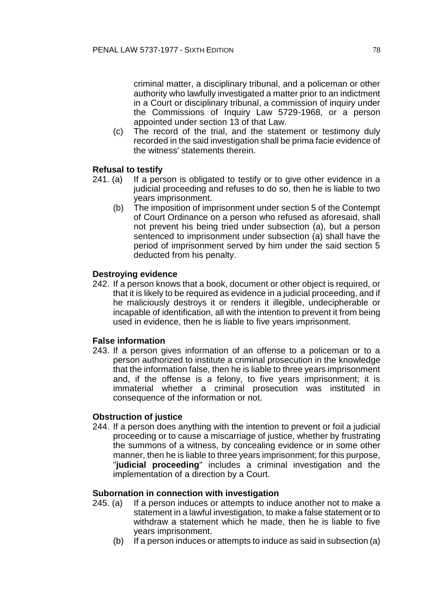criminal matter, a disciplinary tribunal, and a policeman or other authority who lawfully investigated a matter prior to an indictment in a Court or disciplinary tribunal, a commission of inquiry under the Commissions of Inquiry Law 5729-1968, or a person appointed under section 13 of that Law.

(c) The record of the trial, and the statement or testimony duly recorded in the said investigation shall be prima facie evidence of the witness' statements therein.

# **Refusal to testify**

- 241. (a) If a person is obligated to testify or to give other evidence in a judicial proceeding and refuses to do so, then he is liable to two years imprisonment.
	- (b) The imposition of imprisonment under section 5 of the Contempt of Court Ordinance on a person who refused as aforesaid, shall not prevent his being tried under subsection (a), but a person sentenced to imprisonment under subsection (a) shall have the period of imprisonment served by him under the said section 5 deducted from his penalty.

# **Destroying evidence**

242. If a person knows that a book, document or other object is required, or that it is likely to be required as evidence in a judicial proceeding, and if he maliciously destroys it or renders it illegible, undecipherable or incapable of identification, all with the intention to prevent it from being used in evidence, then he is liable to five years imprisonment.

## **False information**

243. If a person gives information of an offense to a policeman or to a person authorized to institute a criminal prosecution in the knowledge that the information false, then he is liable to three years imprisonment and, if the offense is a felony, to five years imprisonment; it is immaterial whether a criminal prosecution was instituted in consequence of the information or not.

## **Obstruction of justice**

244. If a person does anything with the intention to prevent or foil a judicial proceeding or to cause a miscarriage of justice, whether by frustrating the summons of a witness, by concealing evidence or in some other manner, then he is liable to three years imprisonment; for this purpose, "**judicial proceeding**" includes a criminal investigation and the implementation of a direction by a Court.

## **Subornation in connection with investigation**

- 245. (a) If a person induces or attempts to induce another not to make a statement in a lawful investigation, to make a false statement or to withdraw a statement which he made, then he is liable to five years imprisonment.
	- (b) If a person induces or attempts to induce as said in subsection (a)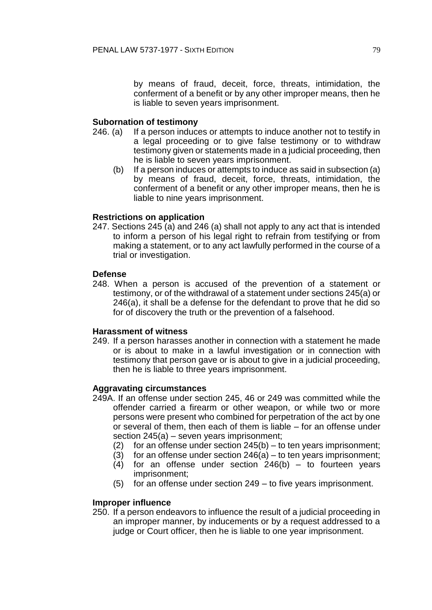by means of fraud, deceit, force, threats, intimidation, the conferment of a benefit or by any other improper means, then he is liable to seven years imprisonment.

## **Subornation of testimony**

- 246. (a) If a person induces or attempts to induce another not to testify in a legal proceeding or to give false testimony or to withdraw testimony given or statements made in a judicial proceeding, then he is liable to seven years imprisonment.
	- (b) If a person induces or attempts to induce as said in subsection (a) by means of fraud, deceit, force, threats, intimidation, the conferment of a benefit or any other improper means, then he is liable to nine years imprisonment.

## **Restrictions on application**

247. Sections 245 (a) and 246 (a) shall not apply to any act that is intended to inform a person of his legal right to refrain from testifying or from making a statement, or to any act lawfully performed in the course of a trial or investigation.

## **Defense**

248. When a person is accused of the prevention of a statement or testimony, or of the withdrawal of a statement under sections 245(a) or 246(a), it shall be a defense for the defendant to prove that he did so for of discovery the truth or the prevention of a falsehood.

## **Harassment of witness**

249. If a person harasses another in connection with a statement he made or is about to make in a lawful investigation or in connection with testimony that person gave or is about to give in a judicial proceeding, then he is liable to three years imprisonment.

## **Aggravating circumstances**

- 249A. If an offense under section 245, 46 or 249 was committed while the offender carried a firearm or other weapon, or while two or more persons were present who combined for perpetration of the act by one or several of them, then each of them is liable – for an offense under section 245(a) – seven years imprisonment;
	- (2) for an offense under section  $245(b) -$  to ten years imprisonment;
	- (3) for an offense under section  $246(a) -$  to ten years imprisonment;
	- (4) for an offense under section 246(b) to fourteen years imprisonment;
	- (5) for an offense under section 249 to five years imprisonment.

## **Improper influence**

250. If a person endeavors to influence the result of a judicial proceeding in an improper manner, by inducements or by a request addressed to a judge or Court officer, then he is liable to one year imprisonment.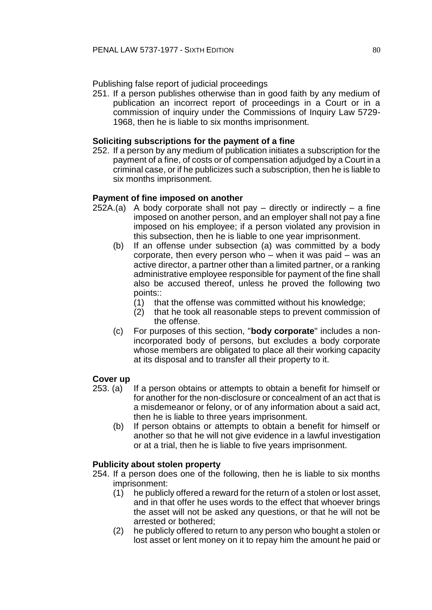Publishing false report of judicial proceedings

251. If a person publishes otherwise than in good faith by any medium of publication an incorrect report of proceedings in a Court or in a commission of inquiry under the Commissions of Inquiry Law 5729- 1968, then he is liable to six months imprisonment.

# **Soliciting subscriptions for the payment of a fine**

252. If a person by any medium of publication initiates a subscription for the payment of a fine, of costs or of compensation adjudged by a Court in a criminal case, or if he publicizes such a subscription, then he is liable to six months imprisonment.

# **Payment of fine imposed on another**

- $252A.(a)$  A body corporate shall not pay directly or indirectly a fine imposed on another person, and an employer shall not pay a fine imposed on his employee; if a person violated any provision in this subsection, then he is liable to one year imprisonment.
	- (b) If an offense under subsection (a) was committed by a body corporate, then every person who – when it was paid – was an active director, a partner other than a limited partner, or a ranking administrative employee responsible for payment of the fine shall also be accused thereof, unless he proved the following two points::
		- (1) that the offense was committed without his knowledge;
		- (2) that he took all reasonable steps to prevent commission of the offense.
	- (c) For purposes of this section, "**body corporate**" includes a nonincorporated body of persons, but excludes a body corporate whose members are obligated to place all their working capacity at its disposal and to transfer all their property to it.

## **Cover up**

- 253. (a) If a person obtains or attempts to obtain a benefit for himself or for another for the non-disclosure or concealment of an act that is a misdemeanor or felony, or of any information about a said act, then he is liable to three years imprisonment.
	- (b) If person obtains or attempts to obtain a benefit for himself or another so that he will not give evidence in a lawful investigation or at a trial, then he is liable to five years imprisonment.

# **Publicity about stolen property**

- 254. If a person does one of the following, then he is liable to six months imprisonment:
	- (1) he publicly offered a reward for the return of a stolen or lost asset, and in that offer he uses words to the effect that whoever brings the asset will not be asked any questions, or that he will not be arrested or bothered;
	- (2) he publicly offered to return to any person who bought a stolen or lost asset or lent money on it to repay him the amount he paid or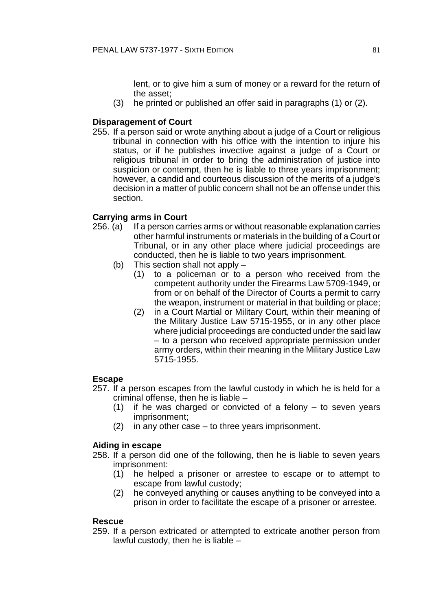lent, or to give him a sum of money or a reward for the return of the asset;

(3) he printed or published an offer said in paragraphs (1) or (2).

# **Disparagement of Court**

255. If a person said or wrote anything about a judge of a Court or religious tribunal in connection with his office with the intention to injure his status, or if he publishes invective against a judge of a Court or religious tribunal in order to bring the administration of justice into suspicion or contempt, then he is liable to three years imprisonment; however, a candid and courteous discussion of the merits of a judge's decision in a matter of public concern shall not be an offense under this section.

# **Carrying arms in Court**

- 256. (a) If a person carries arms or without reasonable explanation carries other harmful instruments or materials in the building of a Court or Tribunal, or in any other place where judicial proceedings are conducted, then he is liable to two years imprisonment.
	- (b) This section shall not apply
		- (1) to a policeman or to a person who received from the competent authority under the Firearms Law 5709-1949, or from or on behalf of the Director of Courts a permit to carry the weapon, instrument or material in that building or place;
			- (2) in a Court Martial or Military Court, within their meaning of the Military Justice Law 5715-1955, or in any other place where judicial proceedings are conducted under the said law – to a person who received appropriate permission under army orders, within their meaning in the Military Justice Law 5715-1955.

## **Escape**

- 257. If a person escapes from the lawful custody in which he is held for a criminal offense, then he is liable –
	- (1) if he was charged or convicted of a felony to seven years imprisonment;
	- (2) in any other case to three years imprisonment.

## **Aiding in escape**

- 258. If a person did one of the following, then he is liable to seven years imprisonment:
	- (1) he helped a prisoner or arrestee to escape or to attempt to escape from lawful custody;
	- (2) he conveyed anything or causes anything to be conveyed into a prison in order to facilitate the escape of a prisoner or arrestee.

## **Rescue**

259. If a person extricated or attempted to extricate another person from lawful custody, then he is liable –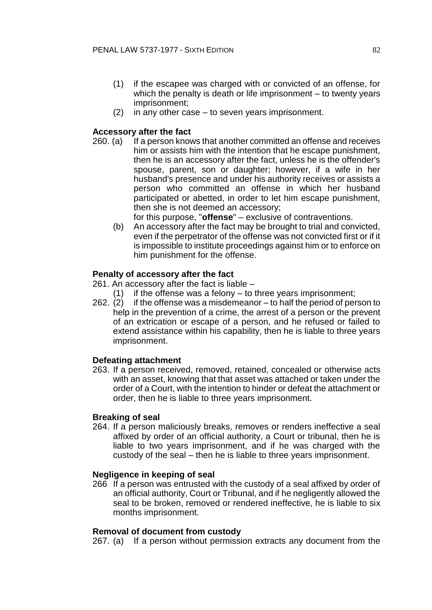- (1) if the escapee was charged with or convicted of an offense, for which the penalty is death or life imprisonment – to twenty years imprisonment;
- (2) in any other case to seven years imprisonment.

# **Accessory after the fact**

260. (a) If a person knows that another committed an offense and receives him or assists him with the intention that he escape punishment, then he is an accessory after the fact, unless he is the offender's spouse, parent, son or daughter; however, if a wife in her husband's presence and under his authority receives or assists a person who committed an offense in which her husband participated or abetted, in order to let him escape punishment, then she is not deemed an accessory;

for this purpose, "**offense**" – exclusive of contraventions.

(b) An accessory after the fact may be brought to trial and convicted, even if the perpetrator of the offense was not convicted first or if it is impossible to institute proceedings against him or to enforce on him punishment for the offense.

# **Penalty of accessory after the fact**

261. An accessory after the fact is liable –

- $(1)$  if the offense was a felony to three years imprisonment;
- 262. (2) if the offense was a misdemeanor to half the period of person to help in the prevention of a crime, the arrest of a person or the prevent of an extrication or escape of a person, and he refused or failed to extend assistance within his capability, then he is liable to three years imprisonment.

## **Defeating attachment**

263. If a person received, removed, retained, concealed or otherwise acts with an asset, knowing that that asset was attached or taken under the order of a Court, with the intention to hinder or defeat the attachment or order, then he is liable to three years imprisonment.

## **Breaking of seal**

264. If a person maliciously breaks, removes or renders ineffective a seal affixed by order of an official authority, a Court or tribunal, then he is liable to two years imprisonment, and if he was charged with the custody of the seal – then he is liable to three years imprisonment.

## **Negligence in keeping of seal**

266 If a person was entrusted with the custody of a seal affixed by order of an official authority, Court or Tribunal, and if he negligently allowed the seal to be broken, removed or rendered ineffective, he is liable to six months imprisonment.

## **Removal of document from custody**

267. (a) If a person without permission extracts any document from the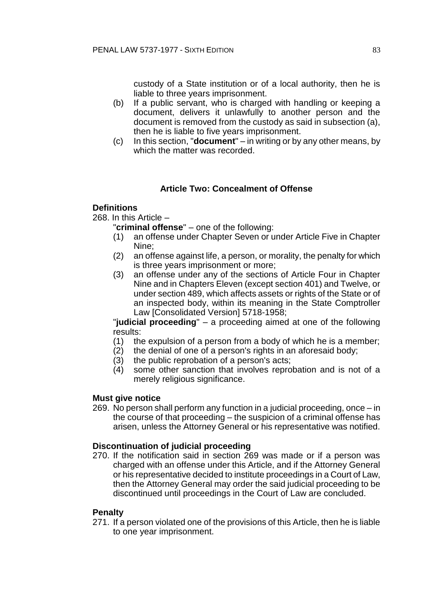custody of a State institution or of a local authority, then he is liable to three years imprisonment.

- (b) If a public servant, who is charged with handling or keeping a document, delivers it unlawfully to another person and the document is removed from the custody as said in subsection (a), then he is liable to five years imprisonment.
- (c) In this section, "**document**" in writing or by any other means, by which the matter was recorded.

# **Article Two: Concealment of Offense**

# **Definitions**

268. In this Article –

"**criminal offense**" – one of the following:

- (1) an offense under Chapter Seven or under Article Five in Chapter Nine;
- (2) an offense against life, a person, or morality, the penalty for which is three years imprisonment or more;
- (3) an offense under any of the sections of Article Four in Chapter Nine and in Chapters Eleven (except section 401) and Twelve, or under section 489, which affects assets or rights of the State or of an inspected body, within its meaning in the State Comptroller Law [Consolidated Version] 5718-1958;

"**judicial proceeding**" – a proceeding aimed at one of the following results:

- (1) the expulsion of a person from a body of which he is a member;
- (2) the denial of one of a person's rights in an aforesaid body;
- (3) the public reprobation of a person's acts;
- (4) some other sanction that involves reprobation and is not of a merely religious significance.

## **Must give notice**

269. No person shall perform any function in a judicial proceeding, once – in the course of that proceeding – the suspicion of a criminal offense has arisen, unless the Attorney General or his representative was notified.

# **Discontinuation of judicial proceeding**

270. If the notification said in section 269 was made or if a person was charged with an offense under this Article, and if the Attorney General or his representative decided to institute proceedings in a Court of Law, then the Attorney General may order the said judicial proceeding to be discontinued until proceedings in the Court of Law are concluded.

## **Penalty**

271. If a person violated one of the provisions of this Article, then he is liable to one year imprisonment.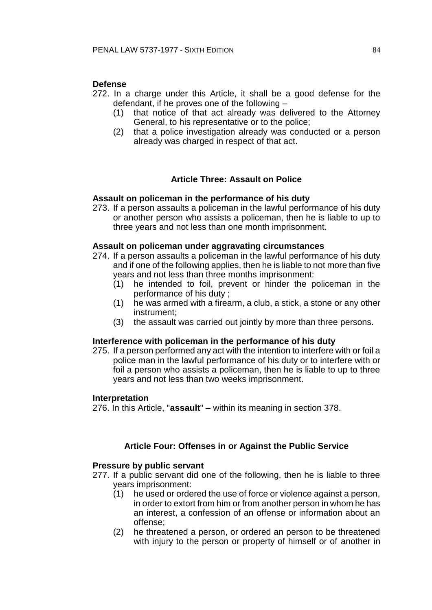# **Defense**

- 272. In a charge under this Article, it shall be a good defense for the defendant, if he proves one of the following –
	- (1) that notice of that act already was delivered to the Attorney General, to his representative or to the police;
	- (2) that a police investigation already was conducted or a person already was charged in respect of that act.

# **Article Three: Assault on Police**

## **Assault on policeman in the performance of his duty**

273. If a person assaults a policeman in the lawful performance of his duty or another person who assists a policeman, then he is liable to up to three years and not less than one month imprisonment.

#### **Assault on policeman under aggravating circumstances**

- 274. If a person assaults a policeman in the lawful performance of his duty and if one of the following applies, then he is liable to not more than five years and not less than three months imprisonment:
	- (1) he intended to foil, prevent or hinder the policeman in the performance of his duty ;
	- (1) he was armed with a firearm, a club, a stick, a stone or any other instrument;
	- (3) the assault was carried out jointly by more than three persons.

#### **Interference with policeman in the performance of his duty**

275. If a person performed any act with the intention to interfere with or foil a police man in the lawful performance of his duty or to interfere with or foil a person who assists a policeman, then he is liable to up to three years and not less than two weeks imprisonment.

#### **Interpretation**

276. In this Article, "**assault**" – within its meaning in section 378.

## **Article Four: Offenses in or Against the Public Service**

#### **Pressure by public servant**

277. If a public servant did one of the following, then he is liable to three years imprisonment:

- (1) he used or ordered the use of force or violence against a person, in order to extort from him or from another person in whom he has an interest, a confession of an offense or information about an offense;
- (2) he threatened a person, or ordered an person to be threatened with injury to the person or property of himself or of another in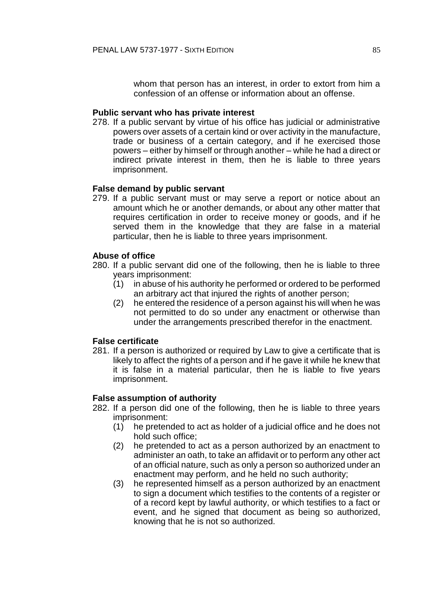whom that person has an interest, in order to extort from him a confession of an offense or information about an offense.

#### **Public servant who has private interest**

278. If a public servant by virtue of his office has judicial or administrative powers over assets of a certain kind or over activity in the manufacture, trade or business of a certain category, and if he exercised those powers – either by himself or through another – while he had a direct or indirect private interest in them, then he is liable to three years imprisonment.

#### **False demand by public servant**

279. If a public servant must or may serve a report or notice about an amount which he or another demands, or about any other matter that requires certification in order to receive money or goods, and if he served them in the knowledge that they are false in a material particular, then he is liable to three years imprisonment.

#### **Abuse of office**

- 280. If a public servant did one of the following, then he is liable to three years imprisonment:
	- (1) in abuse of his authority he performed or ordered to be performed an arbitrary act that injured the rights of another person;
	- (2) he entered the residence of a person against his will when he was not permitted to do so under any enactment or otherwise than under the arrangements prescribed therefor in the enactment.

#### **False certificate**

281. If a person is authorized or required by Law to give a certificate that is likely to affect the rights of a person and if he gave it while he knew that it is false in a material particular, then he is liable to five years imprisonment.

#### **False assumption of authority**

- 282. If a person did one of the following, then he is liable to three years imprisonment:
	- (1) he pretended to act as holder of a judicial office and he does not hold such office;
	- (2) he pretended to act as a person authorized by an enactment to administer an oath, to take an affidavit or to perform any other act of an official nature, such as only a person so authorized under an enactment may perform, and he held no such authority;
	- (3) he represented himself as a person authorized by an enactment to sign a document which testifies to the contents of a register or of a record kept by lawful authority, or which testifies to a fact or event, and he signed that document as being so authorized, knowing that he is not so authorized.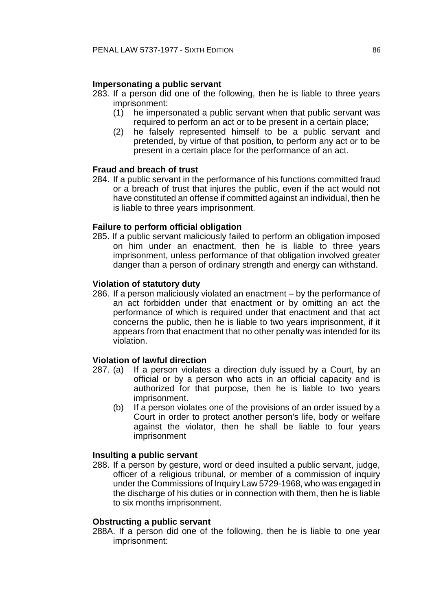# **Impersonating a public servant**

- 283. If a person did one of the following, then he is liable to three years imprisonment:
	- (1) he impersonated a public servant when that public servant was required to perform an act or to be present in a certain place;
	- (2) he falsely represented himself to be a public servant and pretended, by virtue of that position, to perform any act or to be present in a certain place for the performance of an act.

# **Fraud and breach of trust**

284. If a public servant in the performance of his functions committed fraud or a breach of trust that injures the public, even if the act would not have constituted an offense if committed against an individual, then he is liable to three years imprisonment.

# **Failure to perform official obligation**

285. If a public servant maliciously failed to perform an obligation imposed on him under an enactment, then he is liable to three years imprisonment, unless performance of that obligation involved greater danger than a person of ordinary strength and energy can withstand.

# **Violation of statutory duty**

286. If a person maliciously violated an enactment – by the performance of an act forbidden under that enactment or by omitting an act the performance of which is required under that enactment and that act concerns the public, then he is liable to two years imprisonment, if it appears from that enactment that no other penalty was intended for its violation.

## **Violation of lawful direction**

- 287. (a) If a person violates a direction duly issued by a Court, by an official or by a person who acts in an official capacity and is authorized for that purpose, then he is liable to two years imprisonment.
	- (b) If a person violates one of the provisions of an order issued by a Court in order to protect another person's life, body or welfare against the violator, then he shall be liable to four years imprisonment

## **Insulting a public servant**

288. If a person by gesture, word or deed insulted a public servant, judge, officer of a religious tribunal, or member of a commission of inquiry under the Commissions of Inquiry Law 5729-1968, who was engaged in the discharge of his duties or in connection with them, then he is liable to six months imprisonment.

#### **Obstructing a public servant**

288A. If a person did one of the following, then he is liable to one year imprisonment: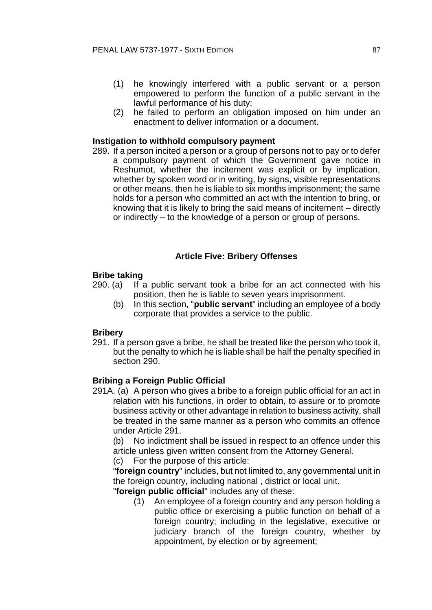- (1) he knowingly interfered with a public servant or a person empowered to perform the function of a public servant in the lawful performance of his duty;
- (2) he failed to perform an obligation imposed on him under an enactment to deliver information or a document.

# **Instigation to withhold compulsory payment**

289. If a person incited a person or a group of persons not to pay or to defer a compulsory payment of which the Government gave notice in Reshumot, whether the incitement was explicit or by implication, whether by spoken word or in writing, by signs, visible representations or other means, then he is liable to six months imprisonment; the same holds for a person who committed an act with the intention to bring, or knowing that it is likely to bring the said means of incitement – directly or indirectly – to the knowledge of a person or group of persons.

#### **Article Five: Bribery Offenses**

#### **Bribe taking**

- 290. (a) If a public servant took a bribe for an act connected with his position, then he is liable to seven years imprisonment.
	- (b) In this section, "**public servant**" including an employee of a body corporate that provides a service to the public.

#### **Bribery**

291. If a person gave a bribe, he shall be treated like the person who took it, but the penalty to which he is liable shall be half the penalty specified in section 290.

#### **Bribing a Foreign Public Official**

291A. (a) A person who gives a bribe to a foreign public official for an act in relation with his functions, in order to obtain, to assure or to promote business activity or other advantage in relation to business activity, shall be treated in the same manner as a person who commits an offence under Article 291.

(b) No indictment shall be issued in respect to an offence under this article unless given written consent from the Attorney General.

(c) For the purpose of this article:

"**foreign country**" includes, but not limited to, any governmental unit in the foreign country, including national , district or local unit.

"**foreign public official**" includes any of these:

(1) An employee of a foreign country and any person holding a public office or exercising a public function on behalf of a foreign country; including in the legislative, executive or judiciary branch of the foreign country, whether by appointment, by election or by agreement;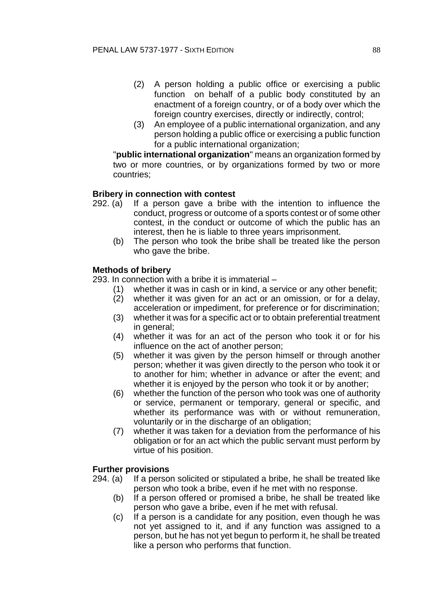- (2) A person holding a public office or exercising a public function on behalf of a public body constituted by an enactment of a foreign country, or of a body over which the foreign country exercises, directly or indirectly, control;
- (3) An employee of a public international organization, and any person holding a public office or exercising a public function for a public international organization;

"**public international organization**" means an organization formed by two or more countries, or by organizations formed by two or more countries;

## **Bribery in connection with contest**

- 292. (a) If a person gave a bribe with the intention to influence the conduct, progress or outcome of a sports contest or of some other contest, in the conduct or outcome of which the public has an interest, then he is liable to three years imprisonment.
	- (b) The person who took the bribe shall be treated like the person who gave the bribe.

# **Methods of bribery**

293. In connection with a bribe it is immaterial –

- (1) whether it was in cash or in kind, a service or any other benefit;
- (2) whether it was given for an act or an omission, or for a delay, acceleration or impediment, for preference or for discrimination;
- (3) whether it was for a specific act or to obtain preferential treatment in general;
- (4) whether it was for an act of the person who took it or for his influence on the act of another person;
- (5) whether it was given by the person himself or through another person; whether it was given directly to the person who took it or to another for him; whether in advance or after the event; and whether it is enjoyed by the person who took it or by another;
- (6) whether the function of the person who took was one of authority or service, permanent or temporary, general or specific, and whether its performance was with or without remuneration, voluntarily or in the discharge of an obligation;
- (7) whether it was taken for a deviation from the performance of his obligation or for an act which the public servant must perform by virtue of his position.

# **Further provisions**

- 294. (a) If a person solicited or stipulated a bribe, he shall be treated like person who took a bribe, even if he met with no response.
	- (b) If a person offered or promised a bribe, he shall be treated like person who gave a bribe, even if he met with refusal.
	- (c) If a person is a candidate for any position, even though he was not yet assigned to it, and if any function was assigned to a person, but he has not yet begun to perform it, he shall be treated like a person who performs that function.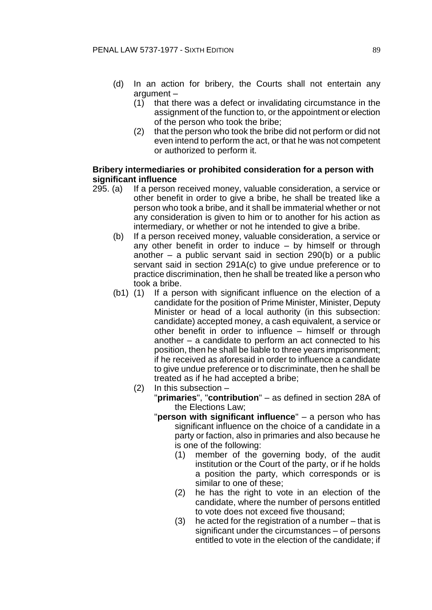- (d) In an action for bribery, the Courts shall not entertain any argument –
	- (1) that there was a defect or invalidating circumstance in the assignment of the function to, or the appointment or election of the person who took the bribe;
	- (2) that the person who took the bribe did not perform or did not even intend to perform the act, or that he was not competent or authorized to perform it.

# **Bribery intermediaries or prohibited consideration for a person with significant influence**

- 295. (a) If a person received money, valuable consideration, a service or other benefit in order to give a bribe, he shall be treated like a person who took a bribe, and it shall be immaterial whether or not any consideration is given to him or to another for his action as intermediary, or whether or not he intended to give a bribe.
	- (b) If a person received money, valuable consideration, a service or any other benefit in order to induce – by himself or through another – a public servant said in section 290(b) or a public servant said in section 291A(c) to give undue preference or to practice discrimination, then he shall be treated like a person who took a bribe.
	- (b1) (1) If a person with significant influence on the election of a candidate for the position of Prime Minister, Minister, Deputy Minister or head of a local authority (in this subsection: candidate) accepted money, a cash equivalent, a service or other benefit in order to influence – himself or through another – a candidate to perform an act connected to his position, then he shall be liable to three years imprisonment; if he received as aforesaid in order to influence a candidate to give undue preference or to discriminate, then he shall be treated as if he had accepted a bribe;
		- (2) In this subsection
			- "**primaries**", "**contribution**" as defined in section 28A of the Elections Law;
			- "**person with significant influence**" a person who has significant influence on the choice of a candidate in a party or faction, also in primaries and also because he is one of the following:
				- (1) member of the governing body, of the audit institution or the Court of the party, or if he holds a position the party, which corresponds or is similar to one of these;
				- (2) he has the right to vote in an election of the candidate, where the number of persons entitled to vote does not exceed five thousand;
				- (3) he acted for the registration of a number that is significant under the circumstances – of persons entitled to vote in the election of the candidate; if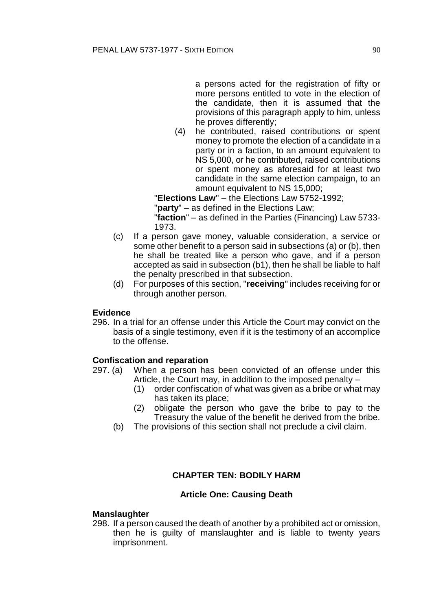a persons acted for the registration of fifty or more persons entitled to vote in the election of the candidate, then it is assumed that the provisions of this paragraph apply to him, unless he proves differently;

(4) he contributed, raised contributions or spent money to promote the election of a candidate in a party or in a faction, to an amount equivalent to NS 5,000, or he contributed, raised contributions or spent money as aforesaid for at least two candidate in the same election campaign, to an amount equivalent to NS 15,000;

"**Elections Law**" – the Elections Law 5752-1992;

"**party**" – as defined in the Elections Law;

"**faction**" – as defined in the Parties (Financing) Law 5733- 1973.

- (c) If a person gave money, valuable consideration, a service or some other benefit to a person said in subsections (a) or (b), then he shall be treated like a person who gave, and if a person accepted as said in subsection (b1), then he shall be liable to half the penalty prescribed in that subsection.
- (d) For purposes of this section, "**receiving**" includes receiving for or through another person.

# **Evidence**

296. In a trial for an offense under this Article the Court may convict on the basis of a single testimony, even if it is the testimony of an accomplice to the offense.

# **Confiscation and reparation**

- 297. (a) When a person has been convicted of an offense under this Article, the Court may, in addition to the imposed penalty –
	- (1) order confiscation of what was given as a bribe or what may has taken its place;
	- (2) obligate the person who gave the bribe to pay to the Treasury the value of the benefit he derived from the bribe.
	- (b) The provisions of this section shall not preclude a civil claim.

# **CHAPTER TEN: BODILY HARM**

## **Article One: Causing Death**

## **Manslaughter**

298. If a person caused the death of another by a prohibited act or omission, then he is guilty of manslaughter and is liable to twenty years imprisonment.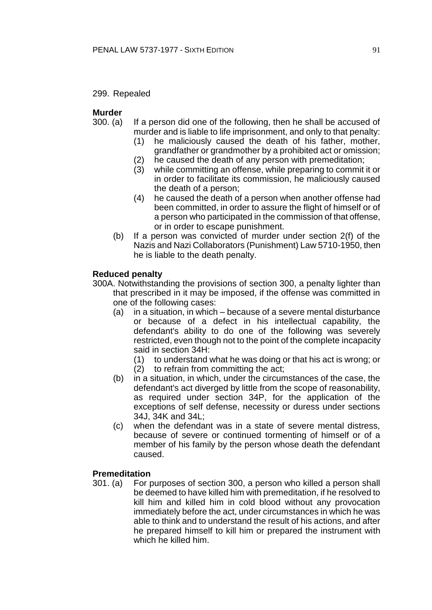299. Repealed

# **Murder**

- 300. (a) If a person did one of the following, then he shall be accused of murder and is liable to life imprisonment, and only to that penalty:
	- (1) he maliciously caused the death of his father, mother, grandfather or grandmother by a prohibited act or omission;
	- (2) he caused the death of any person with premeditation;
	- (3) while committing an offense, while preparing to commit it or in order to facilitate its commission, he maliciously caused the death of a person;
	- (4) he caused the death of a person when another offense had been committed, in order to assure the flight of himself or of a person who participated in the commission of that offense, or in order to escape punishment.
	- (b) If a person was convicted of murder under section 2(f) of the Nazis and Nazi Collaborators (Punishment) Law 5710-1950, then he is liable to the death penalty.

# **Reduced penalty**

- 300A. Notwithstanding the provisions of section 300, a penalty lighter than that prescribed in it may be imposed, if the offense was committed in one of the following cases:
	- (a) in a situation, in which because of a severe mental disturbance or because of a defect in his intellectual capability, the defendant's ability to do one of the following was severely restricted, even though not to the point of the complete incapacity said in section 34H:
		- (1) to understand what he was doing or that his act is wrong; or
		- (2) to refrain from committing the act;
	- (b) in a situation, in which, under the circumstances of the case, the defendant's act diverged by little from the scope of reasonability, as required under section 34P, for the application of the exceptions of self defense, necessity or duress under sections 34J, 34K and 34L;
	- (c) when the defendant was in a state of severe mental distress, because of severe or continued tormenting of himself or of a member of his family by the person whose death the defendant caused.

# **Premeditation**

301. (a) For purposes of section 300, a person who killed a person shall be deemed to have killed him with premeditation, if he resolved to kill him and killed him in cold blood without any provocation immediately before the act, under circumstances in which he was able to think and to understand the result of his actions, and after he prepared himself to kill him or prepared the instrument with which he killed him.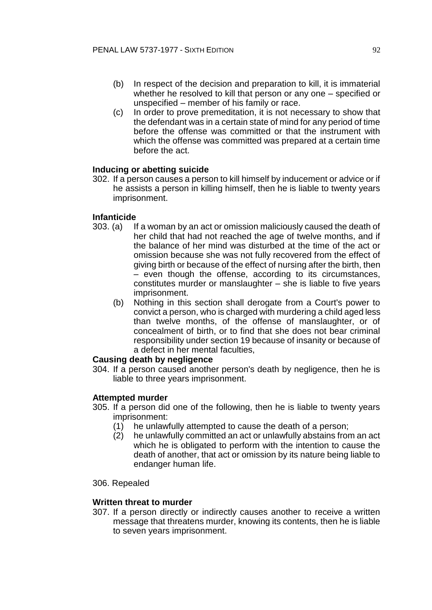- (b) In respect of the decision and preparation to kill, it is immaterial whether he resolved to kill that person or any one – specified or unspecified – member of his family or race.
- (c) In order to prove premeditation, it is not necessary to show that the defendant was in a certain state of mind for any period of time before the offense was committed or that the instrument with which the offense was committed was prepared at a certain time before the act.

# **Inducing or abetting suicide**

302. If a person causes a person to kill himself by inducement or advice or if he assists a person in killing himself, then he is liable to twenty years imprisonment.

# **Infanticide**

- 303. (a) If a woman by an act or omission maliciously caused the death of her child that had not reached the age of twelve months, and if the balance of her mind was disturbed at the time of the act or omission because she was not fully recovered from the effect of giving birth or because of the effect of nursing after the birth, then – even though the offense, according to its circumstances, constitutes murder or manslaughter – she is liable to five years imprisonment.
	- (b) Nothing in this section shall derogate from a Court's power to convict a person, who is charged with murdering a child aged less than twelve months, of the offense of manslaughter, or of concealment of birth, or to find that she does not bear criminal responsibility under section 19 because of insanity or because of a defect in her mental faculties,

## **Causing death by negligence**

304. If a person caused another person's death by negligence, then he is liable to three years imprisonment.

## **Attempted murder**

- 305. If a person did one of the following, then he is liable to twenty years imprisonment:
	- (1) he unlawfully attempted to cause the death of a person;
	- (2) he unlawfully committed an act or unlawfully abstains from an act which he is obligated to perform with the intention to cause the death of another, that act or omission by its nature being liable to endanger human life.

#### 306. Repealed

## **Written threat to murder**

307. If a person directly or indirectly causes another to receive a written message that threatens murder, knowing its contents, then he is liable to seven years imprisonment.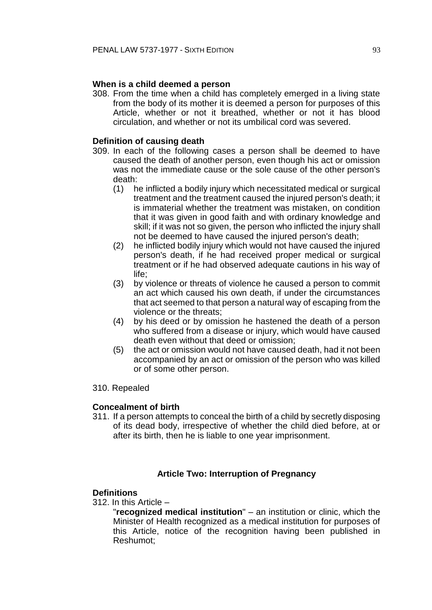# **When is a child deemed a person**

308. From the time when a child has completely emerged in a living state from the body of its mother it is deemed a person for purposes of this Article, whether or not it breathed, whether or not it has blood circulation, and whether or not its umbilical cord was severed.

# **Definition of causing death**

- 309. In each of the following cases a person shall be deemed to have caused the death of another person, even though his act or omission was not the immediate cause or the sole cause of the other person's death:
	- (1) he inflicted a bodily injury which necessitated medical or surgical treatment and the treatment caused the injured person's death; it is immaterial whether the treatment was mistaken, on condition that it was given in good faith and with ordinary knowledge and skill; if it was not so given, the person who inflicted the injury shall not be deemed to have caused the injured person's death;
	- (2) he inflicted bodily injury which would not have caused the injured person's death, if he had received proper medical or surgical treatment or if he had observed adequate cautions in his way of life;
	- (3) by violence or threats of violence he caused a person to commit an act which caused his own death, if under the circumstances that act seemed to that person a natural way of escaping from the violence or the threats;
	- (4) by his deed or by omission he hastened the death of a person who suffered from a disease or injury, which would have caused death even without that deed or omission;
	- (5) the act or omission would not have caused death, had it not been accompanied by an act or omission of the person who was killed or of some other person.

## 310. Repealed

## **Concealment of birth**

311. If a person attempts to conceal the birth of a child by secretly disposing of its dead body, irrespective of whether the child died before, at or after its birth, then he is liable to one year imprisonment.

# **Article Two: Interruption of Pregnancy**

## **Definitions**

312. In this Article –

"**recognized medical institution**" – an institution or clinic, which the Minister of Health recognized as a medical institution for purposes of this Article, notice of the recognition having been published in Reshumot;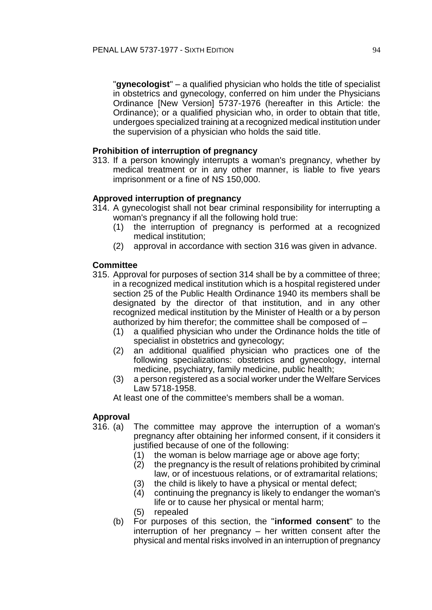"**gynecologist**" – a qualified physician who holds the title of specialist in obstetrics and gynecology, conferred on him under the Physicians Ordinance [New Version] 5737-1976 (hereafter in this Article: the Ordinance); or a qualified physician who, in order to obtain that title, undergoes specialized training at a recognized medical institution under the supervision of a physician who holds the said title.

# **Prohibition of interruption of pregnancy**

313. If a person knowingly interrupts a woman's pregnancy, whether by medical treatment or in any other manner, is liable to five years imprisonment or a fine of NS 150,000.

# **Approved interruption of pregnancy**

- 314. A gynecologist shall not bear criminal responsibility for interrupting a woman's pregnancy if all the following hold true:
	- (1) the interruption of pregnancy is performed at a recognized medical institution;
	- (2) approval in accordance with section 316 was given in advance.

# **Committee**

- 315. Approval for purposes of section 314 shall be by a committee of three; in a recognized medical institution which is a hospital registered under section 25 of the Public Health Ordinance 1940 its members shall be designated by the director of that institution, and in any other recognized medical institution by the Minister of Health or a by person authorized by him therefor; the committee shall be composed of –
	- (1) a qualified physician who under the Ordinance holds the title of specialist in obstetrics and gynecology;
	- (2) an additional qualified physician who practices one of the following specializations: obstetrics and gynecology, internal medicine, psychiatry, family medicine, public health;
	- (3) a person registered as a social worker under the Welfare Services Law 5718-1958.

At least one of the committee's members shall be a woman.

## **Approval**

- 316. (a) The committee may approve the interruption of a woman's pregnancy after obtaining her informed consent, if it considers it justified because of one of the following:
	- (1) the woman is below marriage age or above age forty;
	- (2) the pregnancy is the result of relations prohibited by criminal law, or of incestuous relations, or of extramarital relations;
	- (3) the child is likely to have a physical or mental defect;
	- (4) continuing the pregnancy is likely to endanger the woman's life or to cause her physical or mental harm;
	- (5) repealed
	- (b) For purposes of this section, the "**informed consent**" to the interruption of her pregnancy – her written consent after the physical and mental risks involved in an interruption of pregnancy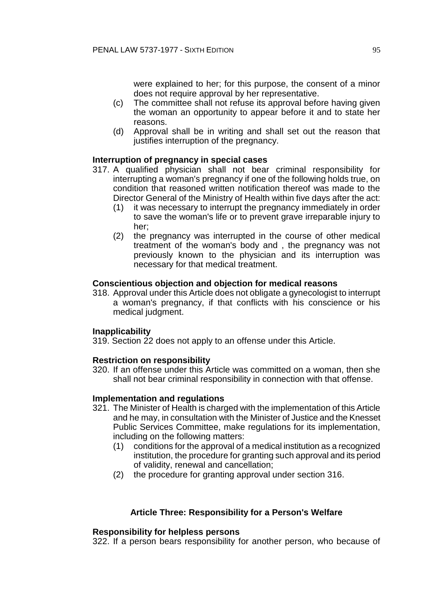were explained to her; for this purpose, the consent of a minor does not require approval by her representative.

- (c) The committee shall not refuse its approval before having given the woman an opportunity to appear before it and to state her reasons.
- (d) Approval shall be in writing and shall set out the reason that justifies interruption of the pregnancy.

## **Interruption of pregnancy in special cases**

- 317. A qualified physician shall not bear criminal responsibility for interrupting a woman's pregnancy if one of the following holds true, on condition that reasoned written notification thereof was made to the Director General of the Ministry of Health within five days after the act:
	- (1) it was necessary to interrupt the pregnancy immediately in order to save the woman's life or to prevent grave irreparable injury to her;
	- (2) the pregnancy was interrupted in the course of other medical treatment of the woman's body and , the pregnancy was not previously known to the physician and its interruption was necessary for that medical treatment.

## **Conscientious objection and objection for medical reasons**

318. Approval under this Article does not obligate a gynecologist to interrupt a woman's pregnancy, if that conflicts with his conscience or his medical judgment.

## **Inapplicability**

319. Section 22 does not apply to an offense under this Article.

# **Restriction on responsibility**

320. If an offense under this Article was committed on a woman, then she shall not bear criminal responsibility in connection with that offense.

## **Implementation and regulations**

- 321. The Minister of Health is charged with the implementation of this Article and he may, in consultation with the Minister of Justice and the Knesset Public Services Committee, make regulations for its implementation, including on the following matters:
	- (1) conditions for the approval of a medical institution as a recognized institution, the procedure for granting such approval and its period of validity, renewal and cancellation;
	- (2) the procedure for granting approval under section 316.

## **Article Three: Responsibility for a Person's Welfare**

## **Responsibility for helpless persons**

322. If a person bears responsibility for another person, who because of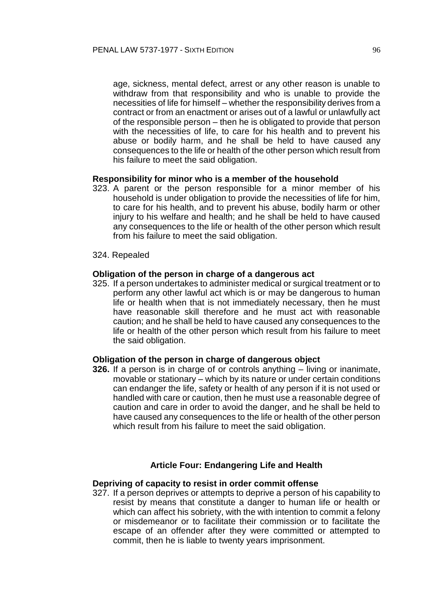age, sickness, mental defect, arrest or any other reason is unable to withdraw from that responsibility and who is unable to provide the necessities of life for himself – whether the responsibility derives from a contract or from an enactment or arises out of a lawful or unlawfully act of the responsible person – then he is obligated to provide that person with the necessities of life, to care for his health and to prevent his abuse or bodily harm, and he shall be held to have caused any consequences to the life or health of the other person which result from his failure to meet the said obligation.

#### **Responsibility for minor who is a member of the household**

- 323. A parent or the person responsible for a minor member of his household is under obligation to provide the necessities of life for him, to care for his health, and to prevent his abuse, bodily harm or other injury to his welfare and health; and he shall be held to have caused any consequences to the life or health of the other person which result from his failure to meet the said obligation.
- 324. Repealed

#### **Obligation of the person in charge of a dangerous act**

325. If a person undertakes to administer medical or surgical treatment or to perform any other lawful act which is or may be dangerous to human life or health when that is not immediately necessary, then he must have reasonable skill therefore and he must act with reasonable caution; and he shall be held to have caused any consequences to the life or health of the other person which result from his failure to meet the said obligation.

#### **Obligation of the person in charge of dangerous object**

**326.** If a person is in charge of or controls anything – living or inanimate, movable or stationary – which by its nature or under certain conditions can endanger the life, safety or health of any person if it is not used or handled with care or caution, then he must use a reasonable degree of caution and care in order to avoid the danger, and he shall be held to have caused any consequences to the life or health of the other person which result from his failure to meet the said obligation.

#### **Article Four: Endangering Life and Health**

#### **Depriving of capacity to resist in order commit offense**

327. If a person deprives or attempts to deprive a person of his capability to resist by means that constitute a danger to human life or health or which can affect his sobriety, with the with intention to commit a felony or misdemeanor or to facilitate their commission or to facilitate the escape of an offender after they were committed or attempted to commit, then he is liable to twenty years imprisonment.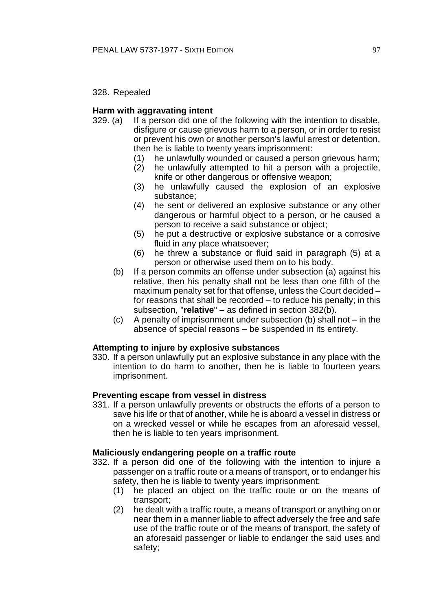328. Repealed

# **Harm with aggravating intent**

- 329. (a) If a person did one of the following with the intention to disable, disfigure or cause grievous harm to a person, or in order to resist or prevent his own or another person's lawful arrest or detention, then he is liable to twenty years imprisonment:
	- (1) he unlawfully wounded or caused a person grievous harm;
	- (2) he unlawfully attempted to hit a person with a projectile, knife or other dangerous or offensive weapon;
	- (3) he unlawfully caused the explosion of an explosive substance;
	- (4) he sent or delivered an explosive substance or any other dangerous or harmful object to a person, or he caused a person to receive a said substance or object;
	- (5) he put a destructive or explosive substance or a corrosive fluid in any place whatsoever;
	- (6) he threw a substance or fluid said in paragraph (5) at a person or otherwise used them on to his body.
	- (b) If a person commits an offense under subsection (a) against his relative, then his penalty shall not be less than one fifth of the maximum penalty set for that offense, unless the Court decided – for reasons that shall be recorded – to reduce his penalty; in this subsection, "**relative**" – as defined in section 382(b).
	- (c) A penalty of imprisonment under subsection (b) shall not in the absence of special reasons – be suspended in its entirety.

## **Attempting to injure by explosive substances**

330. If a person unlawfully put an explosive substance in any place with the intention to do harm to another, then he is liable to fourteen years imprisonment.

## **Preventing escape from vessel in distress**

331. If a person unlawfully prevents or obstructs the efforts of a person to save his life or that of another, while he is aboard a vessel in distress or on a wrecked vessel or while he escapes from an aforesaid vessel, then he is liable to ten years imprisonment.

## **Maliciously endangering people on a traffic route**

- 332. If a person did one of the following with the intention to injure a passenger on a traffic route or a means of transport, or to endanger his safety, then he is liable to twenty years imprisonment:
	- (1) he placed an object on the traffic route or on the means of transport;
	- (2) he dealt with a traffic route, a means of transport or anything on or near them in a manner liable to affect adversely the free and safe use of the traffic route or of the means of transport, the safety of an aforesaid passenger or liable to endanger the said uses and safety;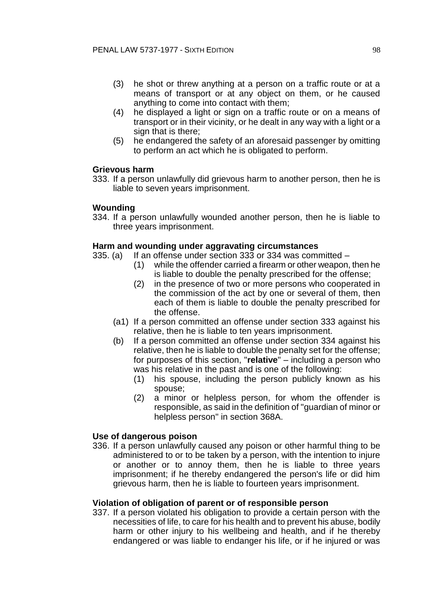- (3) he shot or threw anything at a person on a traffic route or at a means of transport or at any object on them, or he caused anything to come into contact with them;
- (4) he displayed a light or sign on a traffic route or on a means of transport or in their vicinity, or he dealt in any way with a light or a sign that is there;
- (5) he endangered the safety of an aforesaid passenger by omitting to perform an act which he is obligated to perform.

## **Grievous harm**

333. If a person unlawfully did grievous harm to another person, then he is liable to seven years imprisonment.

# **Wounding**

334. If a person unlawfully wounded another person, then he is liable to three years imprisonment.

# **Harm and wounding under aggravating circumstances**

- 335. (a) If an offense under section 333 or 334 was committed
	- (1) while the offender carried a firearm or other weapon, then he is liable to double the penalty prescribed for the offense;
	- (2) in the presence of two or more persons who cooperated in the commission of the act by one or several of them, then each of them is liable to double the penalty prescribed for the offense.
	- (a1) If a person committed an offense under section 333 against his relative, then he is liable to ten years imprisonment.
	- (b) If a person committed an offense under section 334 against his relative, then he is liable to double the penalty set for the offense; for purposes of this section, "**relative**" – including a person who was his relative in the past and is one of the following:
		- (1) his spouse, including the person publicly known as his spouse;
		- (2) a minor or helpless person, for whom the offender is responsible, as said in the definition of "guardian of minor or helpless person" in section 368A.

## **Use of dangerous poison**

336. If a person unlawfully caused any poison or other harmful thing to be administered to or to be taken by a person, with the intention to injure or another or to annoy them, then he is liable to three years imprisonment; if he thereby endangered the person's life or did him grievous harm, then he is liable to fourteen years imprisonment.

# **Violation of obligation of parent or of responsible person**

337. If a person violated his obligation to provide a certain person with the necessities of life, to care for his health and to prevent his abuse, bodily harm or other injury to his wellbeing and health, and if he thereby endangered or was liable to endanger his life, or if he injured or was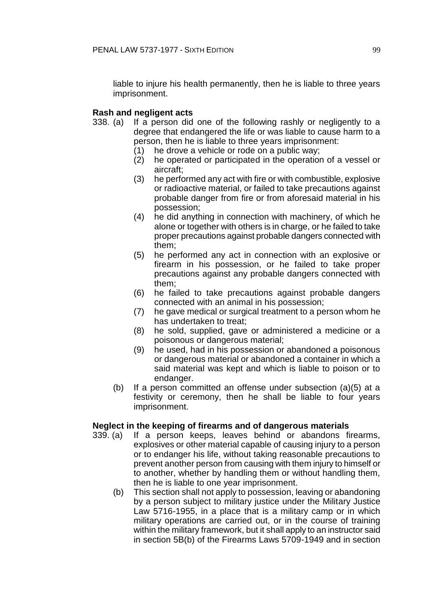liable to injure his health permanently, then he is liable to three years imprisonment.

# **Rash and negligent acts**

- 338. (a) If a person did one of the following rashly or negligently to a degree that endangered the life or was liable to cause harm to a person, then he is liable to three years imprisonment:
	- (1) he drove a vehicle or rode on a public way;
	- (2) he operated or participated in the operation of a vessel or aircraft;
	- (3) he performed any act with fire or with combustible, explosive or radioactive material, or failed to take precautions against probable danger from fire or from aforesaid material in his possession;
	- (4) he did anything in connection with machinery, of which he alone or together with others is in charge, or he failed to take proper precautions against probable dangers connected with them;
	- (5) he performed any act in connection with an explosive or firearm in his possession, or he failed to take proper precautions against any probable dangers connected with them;
	- (6) he failed to take precautions against probable dangers connected with an animal in his possession;
	- (7) he gave medical or surgical treatment to a person whom he has undertaken to treat;
	- (8) he sold, supplied, gave or administered a medicine or a poisonous or dangerous material;
	- (9) he used, had in his possession or abandoned a poisonous or dangerous material or abandoned a container in which a said material was kept and which is liable to poison or to endanger.
	- (b) If a person committed an offense under subsection (a)(5) at a festivity or ceremony, then he shall be liable to four years imprisonment.

## **Neglect in the keeping of firearms and of dangerous materials**

- 339. (a) If a person keeps, leaves behind or abandons firearms, explosives or other material capable of causing injury to a person or to endanger his life, without taking reasonable precautions to prevent another person from causing with them injury to himself or to another, whether by handling them or without handling them, then he is liable to one year imprisonment.
	- (b) This section shall not apply to possession, leaving or abandoning by a person subject to military justice under the Military Justice Law 5716-1955, in a place that is a military camp or in which military operations are carried out, or in the course of training within the military framework, but it shall apply to an instructor said in section 5B(b) of the Firearms Laws 5709-1949 and in section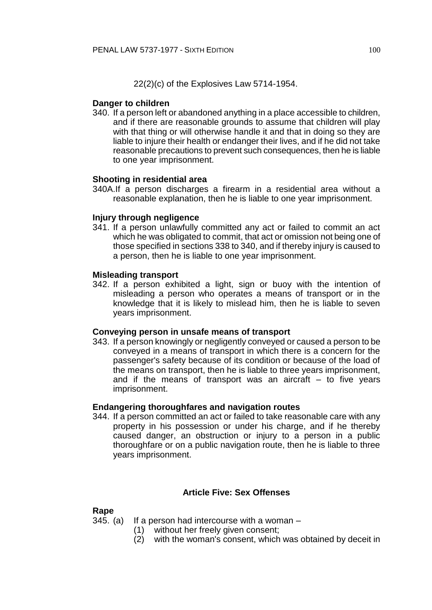22(2)(c) of the Explosives Law 5714-1954.

# **Danger to children**

340. If a person left or abandoned anything in a place accessible to children, and if there are reasonable grounds to assume that children will play with that thing or will otherwise handle it and that in doing so they are liable to injure their health or endanger their lives, and if he did not take reasonable precautions to prevent such consequences, then he is liable to one year imprisonment.

# **Shooting in residential area**

340A.If a person discharges a firearm in a residential area without a reasonable explanation, then he is liable to one year imprisonment.

# **Injury through negligence**

341. If a person unlawfully committed any act or failed to commit an act which he was obligated to commit, that act or omission not being one of those specified in sections 338 to 340, and if thereby injury is caused to a person, then he is liable to one year imprisonment.

## **Misleading transport**

342. If a person exhibited a light, sign or buoy with the intention of misleading a person who operates a means of transport or in the knowledge that it is likely to mislead him, then he is liable to seven years imprisonment.

## **Conveying person in unsafe means of transport**

343. If a person knowingly or negligently conveyed or caused a person to be conveyed in a means of transport in which there is a concern for the passenger's safety because of its condition or because of the load of the means on transport, then he is liable to three years imprisonment, and if the means of transport was an aircraft – to five years imprisonment.

## **Endangering thoroughfares and navigation routes**

344. If a person committed an act or failed to take reasonable care with any property in his possession or under his charge, and if he thereby caused danger, an obstruction or injury to a person in a public thoroughfare or on a public navigation route, then he is liable to three years imprisonment.

## **Article Five: Sex Offenses**

## **Rape**

345. (a) If a person had intercourse with a woman  $-$ 

- (1) without her freely given consent;
- (2) with the woman's consent, which was obtained by deceit in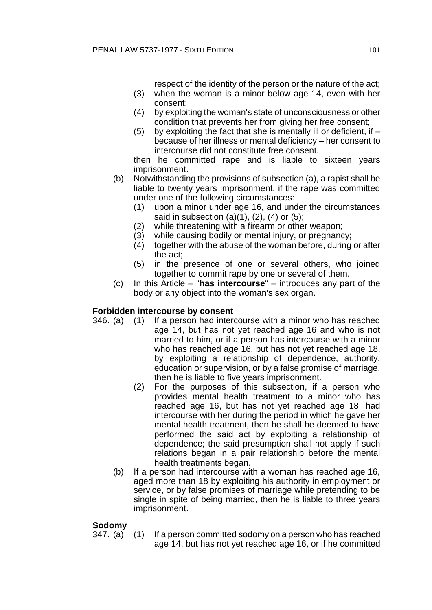respect of the identity of the person or the nature of the act;

- (3) when the woman is a minor below age 14, even with her consent;
- (4) by exploiting the woman's state of unconsciousness or other condition that prevents her from giving her free consent;
- (5) by exploiting the fact that she is mentally ill or deficient, if  $$ because of her illness or mental deficiency – her consent to intercourse did not constitute free consent.

then he committed rape and is liable to sixteen years imprisonment.

- (b) Notwithstanding the provisions of subsection (a), a rapist shall be liable to twenty years imprisonment, if the rape was committed under one of the following circumstances:
	- (1) upon a minor under age 16, and under the circumstances said in subsection  $(a)(1)$ ,  $(2)$ ,  $(4)$  or  $(5)$ ;
	- (2) while threatening with a firearm or other weapon;
	- (3) while causing bodily or mental injury, or pregnancy;
	- (4) together with the abuse of the woman before, during or after the act;
	- (5) in the presence of one or several others, who joined together to commit rape by one or several of them.
- (c) In this Article "**has intercourse**" introduces any part of the body or any object into the woman's sex organ.

## **Forbidden intercourse by consent**

- 346. (a) (1) If a person had intercourse with a minor who has reached age 14, but has not yet reached age 16 and who is not married to him, or if a person has intercourse with a minor who has reached age 16, but has not yet reached age 18, by exploiting a relationship of dependence, authority, education or supervision, or by a false promise of marriage, then he is liable to five years imprisonment.
	- (2) For the purposes of this subsection, if a person who provides mental health treatment to a minor who has reached age 16, but has not yet reached age 18, had intercourse with her during the period in which he gave her mental health treatment, then he shall be deemed to have performed the said act by exploiting a relationship of dependence; the said presumption shall not apply if such relations began in a pair relationship before the mental health treatments began.
	- (b) If a person had intercourse with a woman has reached age 16, aged more than 18 by exploiting his authority in employment or service, or by false promises of marriage while pretending to be single in spite of being married, then he is liable to three years imprisonment.

## **Sodomy**

347. (a) (1) If a person committed sodomy on a person who has reached age 14, but has not yet reached age 16, or if he committed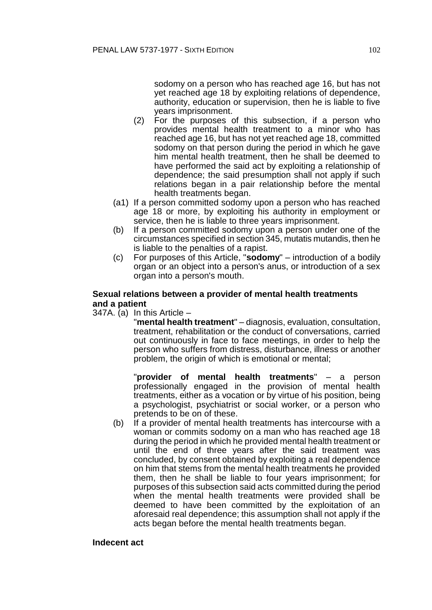sodomy on a person who has reached age 16, but has not yet reached age 18 by exploiting relations of dependence, authority, education or supervision, then he is liable to five years imprisonment.

- (2) For the purposes of this subsection, if a person who provides mental health treatment to a minor who has reached age 16, but has not yet reached age 18, committed sodomy on that person during the period in which he gave him mental health treatment, then he shall be deemed to have performed the said act by exploiting a relationship of dependence; the said presumption shall not apply if such relations began in a pair relationship before the mental health treatments began.
- (a1) If a person committed sodomy upon a person who has reached age 18 or more, by exploiting his authority in employment or service, then he is liable to three years imprisonment.
- (b) If a person committed sodomy upon a person under one of the circumstances specified in section 345, mutatis mutandis, then he is liable to the penalties of a rapist.
- (c) For purposes of this Article, "**sodomy**" introduction of a bodily organ or an object into a person's anus, or introduction of a sex organ into a person's mouth.

#### **Sexual relations between a provider of mental health treatments and a patient**

 $347A.$  (a) In this Article –

"**mental health treatment**" – diagnosis, evaluation, consultation, treatment, rehabilitation or the conduct of conversations, carried out continuously in face to face meetings, in order to help the person who suffers from distress, disturbance, illness or another problem, the origin of which is emotional or mental;

"**provider of mental health treatments**" – a person professionally engaged in the provision of mental health treatments, either as a vocation or by virtue of his position, being a psychologist, psychiatrist or social worker, or a person who pretends to be on of these.

(b) If a provider of mental health treatments has intercourse with a woman or commits sodomy on a man who has reached age 18 during the period in which he provided mental health treatment or until the end of three years after the said treatment was concluded, by consent obtained by exploiting a real dependence on him that stems from the mental health treatments he provided them, then he shall be liable to four years imprisonment; for purposes of this subsection said acts committed during the period when the mental health treatments were provided shall be deemed to have been committed by the exploitation of an aforesaid real dependence; this assumption shall not apply if the acts began before the mental health treatments began.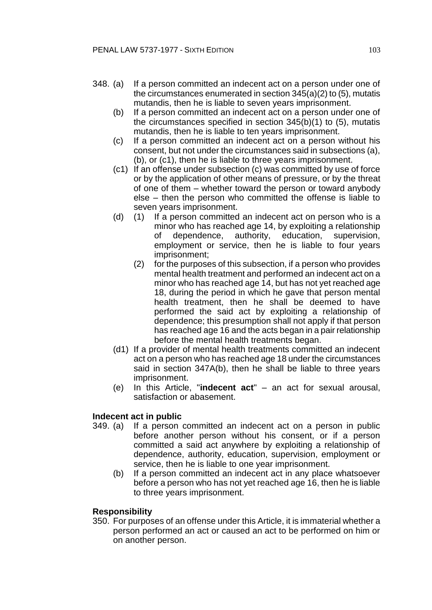- 348. (a) If a person committed an indecent act on a person under one of the circumstances enumerated in section 345(a)(2) to (5), mutatis mutandis, then he is liable to seven years imprisonment.
	- (b) If a person committed an indecent act on a person under one of the circumstances specified in section 345(b)(1) to (5), mutatis mutandis, then he is liable to ten years imprisonment.
	- (c) If a person committed an indecent act on a person without his consent, but not under the circumstances said in subsections (a), (b), or (c1), then he is liable to three years imprisonment.
	- (c1) If an offense under subsection (c) was committed by use of force or by the application of other means of pressure, or by the threat of one of them – whether toward the person or toward anybody else – then the person who committed the offense is liable to seven years imprisonment.
	- (d) (1) If a person committed an indecent act on person who is a minor who has reached age 14, by exploiting a relationship of dependence, authority, education, supervision, employment or service, then he is liable to four years imprisonment;
		- (2) for the purposes of this subsection, if a person who provides mental health treatment and performed an indecent act on a minor who has reached age 14, but has not yet reached age 18, during the period in which he gave that person mental health treatment, then he shall be deemed to have performed the said act by exploiting a relationship of dependence; this presumption shall not apply if that person has reached age 16 and the acts began in a pair relationship before the mental health treatments began.
	- (d1) If a provider of mental health treatments committed an indecent act on a person who has reached age 18 under the circumstances said in section 347A(b), then he shall be liable to three years imprisonment.
	- (e) In this Article, "**indecent act**" an act for sexual arousal, satisfaction or abasement.

# **Indecent act in public**

- 349. (a) If a person committed an indecent act on a person in public before another person without his consent, or if a person committed a said act anywhere by exploiting a relationship of dependence, authority, education, supervision, employment or service, then he is liable to one year imprisonment.
	- (b) If a person committed an indecent act in any place whatsoever before a person who has not yet reached age 16, then he is liable to three years imprisonment.

## **Responsibility**

350. For purposes of an offense under this Article, it is immaterial whether a person performed an act or caused an act to be performed on him or on another person.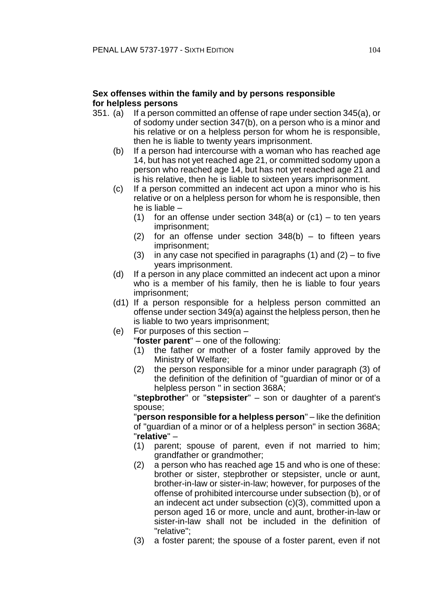# **Sex offenses within the family and by persons responsible for helpless persons**

- 351. (a) If a person committed an offense of rape under section 345(a), or of sodomy under section 347(b), on a person who is a minor and his relative or on a helpless person for whom he is responsible, then he is liable to twenty years imprisonment.
	- (b) If a person had intercourse with a woman who has reached age 14, but has not yet reached age 21, or committed sodomy upon a person who reached age 14, but has not yet reached age 21 and is his relative, then he is liable to sixteen years imprisonment.
	- (c) If a person committed an indecent act upon a minor who is his relative or on a helpless person for whom he is responsible, then he is liable –
		- (1) for an offense under section  $348(a)$  or  $(c1)$  to ten years imprisonment;
		- (2) for an offense under section  $348(b)$  to fifteen years imprisonment;
		- (3) in any case not specified in paragraphs  $(1)$  and  $(2)$  to five years imprisonment.
	- (d) If a person in any place committed an indecent act upon a minor who is a member of his family, then he is liable to four years imprisonment;
	- (d1) If a person responsible for a helpless person committed an offense under section 349(a) against the helpless person, then he is liable to two years imprisonment;
	- (e) For purposes of this section
		- "**foster parent**" one of the following:
		- (1) the father or mother of a foster family approved by the Ministry of Welfare;
		- (2) the person responsible for a minor under paragraph (3) of the definition of the definition of "guardian of minor or of a helpless person " in section 368A;

"**stepbrother**" or "**stepsister**" – son or daughter of a parent's spouse;

"**person responsible for a helpless person**" – like the definition of "guardian of a minor or of a helpless person" in section 368A; "**relative**" –

- (1) parent; spouse of parent, even if not married to him; grandfather or grandmother;
- (2) a person who has reached age 15 and who is one of these: brother or sister, stepbrother or stepsister, uncle or aunt, brother-in-law or sister-in-law; however, for purposes of the offense of prohibited intercourse under subsection (b), or of an indecent act under subsection (c)(3), committed upon a person aged 16 or more, uncle and aunt, brother-in-law or sister-in-law shall not be included in the definition of "relative";
- (3) a foster parent; the spouse of a foster parent, even if not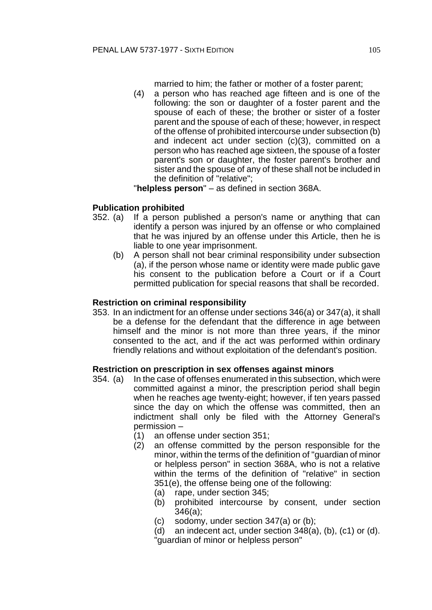married to him; the father or mother of a foster parent;

(4) a person who has reached age fifteen and is one of the following: the son or daughter of a foster parent and the spouse of each of these; the brother or sister of a foster parent and the spouse of each of these; however, in respect of the offense of prohibited intercourse under subsection (b) and indecent act under section (c)(3), committed on a person who has reached age sixteen, the spouse of a foster parent's son or daughter, the foster parent's brother and sister and the spouse of any of these shall not be included in the definition of "relative";

"**helpless person**" – as defined in section 368A.

# **Publication prohibited**

- 352. (a) If a person published a person's name or anything that can identify a person was injured by an offense or who complained that he was injured by an offense under this Article, then he is liable to one year imprisonment.
	- (b) A person shall not bear criminal responsibility under subsection (a), if the person whose name or identity were made public gave his consent to the publication before a Court or if a Court permitted publication for special reasons that shall be recorded.

# **Restriction on criminal responsibility**

353. In an indictment for an offense under sections 346(a) or 347(a), it shall be a defense for the defendant that the difference in age between himself and the minor is not more than three years, if the minor consented to the act, and if the act was performed within ordinary friendly relations and without exploitation of the defendant's position.

# **Restriction on prescription in sex offenses against minors**

- 354. (a) In the case of offenses enumerated in this subsection, which were committed against a minor, the prescription period shall begin when he reaches age twenty-eight; however, if ten years passed since the day on which the offense was committed, then an indictment shall only be filed with the Attorney General's permission –
	- (1) an offense under section 351;
	- (2) an offense committed by the person responsible for the minor, within the terms of the definition of "guardian of minor or helpless person" in section 368A, who is not a relative within the terms of the definition of "relative" in section 351(e), the offense being one of the following:
		- (a) rape, under section 345;
		- (b) prohibited intercourse by consent, under section 346(a);
		- (c) sodomy, under section 347(a) or (b);
		- (d) an indecent act, under section  $348(a)$ , (b), (c1) or (d). "guardian of minor or helpless person"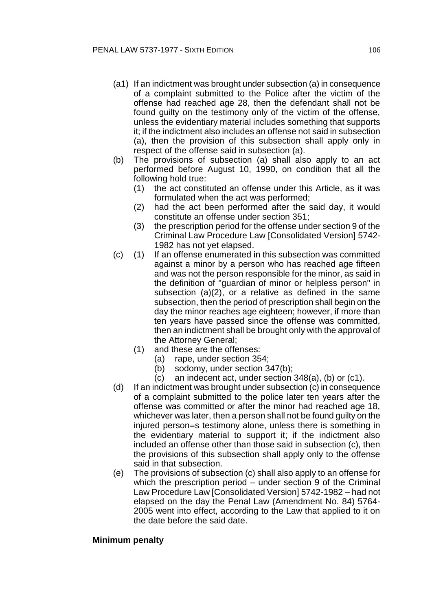- (a1) If an indictment was brought under subsection (a) in consequence of a complaint submitted to the Police after the victim of the offense had reached age 28, then the defendant shall not be found guilty on the testimony only of the victim of the offense, unless the evidentiary material includes something that supports it; if the indictment also includes an offense not said in subsection (a), then the provision of this subsection shall apply only in respect of the offense said in subsection (a).
- (b) The provisions of subsection (a) shall also apply to an act performed before August 10, 1990, on condition that all the following hold true:
	- (1) the act constituted an offense under this Article, as it was formulated when the act was performed;
	- (2) had the act been performed after the said day, it would constitute an offense under section 351;
	- (3) the prescription period for the offense under section 9 of the Criminal Law Procedure Law [Consolidated Version] 5742- 1982 has not yet elapsed.
- (c) (1) If an offense enumerated in this subsection was committed against a minor by a person who has reached age fifteen and was not the person responsible for the minor, as said in the definition of "guardian of minor or helpless person" in subsection (a)(2), or a relative as defined in the same subsection, then the period of prescription shall begin on the day the minor reaches age eighteen; however, if more than ten years have passed since the offense was committed, then an indictment shall be brought only with the approval of the Attorney General;
	- (1) and these are the offenses:
		- (a) rape, under section 354;
		- (b) sodomy, under section 347(b);
		- (c) an indecent act, under section 348(a), (b) or (c1).
- (d) If an indictment was brought under subsection (c) in consequence of a complaint submitted to the police later ten years after the offense was committed or after the minor had reached age 18, whichever was later, then a person shall not be found guilty on the injured person=s testimony alone, unless there is something in the evidentiary material to support it; if the indictment also included an offense other than those said in subsection (c), then the provisions of this subsection shall apply only to the offense said in that subsection.
- (e) The provisions of subsection (c) shall also apply to an offense for which the prescription period – under section 9 of the Criminal Law Procedure Law [Consolidated Version] 5742-1982 – had not elapsed on the day the Penal Law (Amendment No. 84) 5764- 2005 went into effect, according to the Law that applied to it on the date before the said date.

## **Minimum penalty**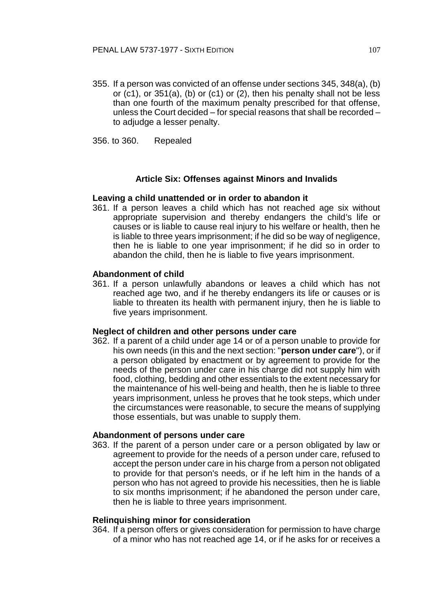355. If a person was convicted of an offense under sections 345, 348(a), (b) or (c1), or 351(a), (b) or (c1) or (2), then his penalty shall not be less than one fourth of the maximum penalty prescribed for that offense, unless the Court decided – for special reasons that shall be recorded – to adjudge a lesser penalty.

356. to 360. Repealed

#### **Article Six: Offenses against Minors and Invalids**

#### **Leaving a child unattended or in order to abandon it**

361. If a person leaves a child which has not reached age six without appropriate supervision and thereby endangers the child's life or causes or is liable to cause real injury to his welfare or health, then he is liable to three years imprisonment; if he did so be way of negligence, then he is liable to one year imprisonment; if he did so in order to abandon the child, then he is liable to five years imprisonment.

#### **Abandonment of child**

361. If a person unlawfully abandons or leaves a child which has not reached age two, and if he thereby endangers its life or causes or is liable to threaten its health with permanent injury, then he is liable to five years imprisonment.

#### **Neglect of children and other persons under care**

362. If a parent of a child under age 14 or of a person unable to provide for his own needs (in this and the next section: "**person under care**"), or if a person obligated by enactment or by agreement to provide for the needs of the person under care in his charge did not supply him with food, clothing, bedding and other essentials to the extent necessary for the maintenance of his well-being and health, then he is liable to three years imprisonment, unless he proves that he took steps, which under the circumstances were reasonable, to secure the means of supplying those essentials, but was unable to supply them.

#### **Abandonment of persons under care**

363. If the parent of a person under care or a person obligated by law or agreement to provide for the needs of a person under care, refused to accept the person under care in his charge from a person not obligated to provide for that person's needs, or if he left him in the hands of a person who has not agreed to provide his necessities, then he is liable to six months imprisonment; if he abandoned the person under care, then he is liable to three years imprisonment.

#### **Relinquishing minor for consideration**

364. If a person offers or gives consideration for permission to have charge of a minor who has not reached age 14, or if he asks for or receives a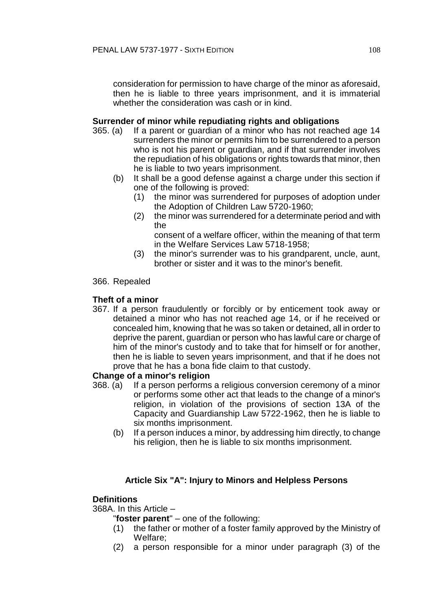consideration for permission to have charge of the minor as aforesaid, then he is liable to three years imprisonment, and it is immaterial whether the consideration was cash or in kind.

# **Surrender of minor while repudiating rights and obligations**

- 365. (a) If a parent or guardian of a minor who has not reached age 14 surrenders the minor or permits him to be surrendered to a person who is not his parent or guardian, and if that surrender involves the repudiation of his obligations or rights towards that minor, then he is liable to two years imprisonment.
	- (b) It shall be a good defense against a charge under this section if one of the following is proved:
		- (1) the minor was surrendered for purposes of adoption under the Adoption of Children Law 5720-1960;
		- (2) the minor was surrendered for a determinate period and with the

consent of a welfare officer, within the meaning of that term in the Welfare Services Law 5718-1958;

(3) the minor's surrender was to his grandparent, uncle, aunt, brother or sister and it was to the minor's benefit.

# 366. Repealed

# **Theft of a minor**

367. If a person fraudulently or forcibly or by enticement took away or detained a minor who has not reached age 14, or if he received or concealed him, knowing that he was so taken or detained, all in order to deprive the parent, guardian or person who has lawful care or charge of him of the minor's custody and to take that for himself or for another, then he is liable to seven years imprisonment, and that if he does not prove that he has a bona fide claim to that custody.

# **Change of a minor's religion**

- 368. (a) If a person performs a religious conversion ceremony of a minor or performs some other act that leads to the change of a minor's religion, in violation of the provisions of section 13A of the Capacity and Guardianship Law 5722-1962, then he is liable to six months imprisonment.
	- (b) If a person induces a minor, by addressing him directly, to change his religion, then he is liable to six months imprisonment.

# **Article Six "A": Injury to Minors and Helpless Persons**

# **Definitions**

368A. In this Article –

"**foster parent**" – one of the following:

- (1) the father or mother of a foster family approved by the Ministry of Welfare;
- (2) a person responsible for a minor under paragraph (3) of the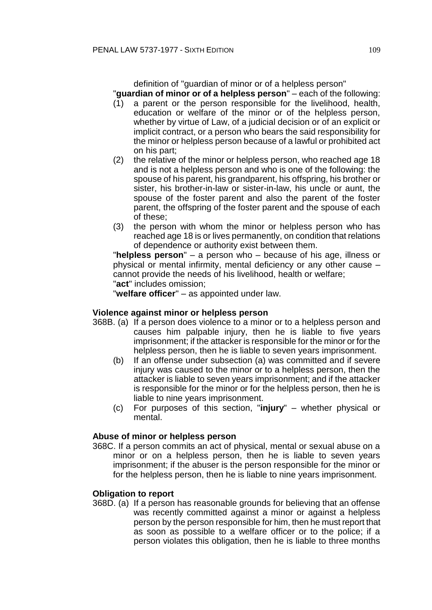definition of "guardian of minor or of a helpless person"

"**guardian of minor or of a helpless person**" – each of the following:

- (1) a parent or the person responsible for the livelihood, health, education or welfare of the minor or of the helpless person, whether by virtue of Law, of a judicial decision or of an explicit or implicit contract, or a person who bears the said responsibility for the minor or helpless person because of a lawful or prohibited act on his part;
- (2) the relative of the minor or helpless person, who reached age 18 and is not a helpless person and who is one of the following: the spouse of his parent, his grandparent, his offspring, his brother or sister, his brother-in-law or sister-in-law, his uncle or aunt, the spouse of the foster parent and also the parent of the foster parent, the offspring of the foster parent and the spouse of each of these;
- (3) the person with whom the minor or helpless person who has reached age 18 is or lives permanently, on condition that relations of dependence or authority exist between them.

"**helpless person**" – a person who – because of his age, illness or physical or mental infirmity, mental deficiency or any other cause – cannot provide the needs of his livelihood, health or welfare;

"**act**" includes omission;

"**welfare officer**" – as appointed under law.

# **Violence against minor or helpless person**

- 368B. (a) If a person does violence to a minor or to a helpless person and causes him palpable injury, then he is liable to five years imprisonment; if the attacker is responsible for the minor or for the helpless person, then he is liable to seven years imprisonment.
	- (b) If an offense under subsection (a) was committed and if severe injury was caused to the minor or to a helpless person, then the attacker is liable to seven years imprisonment; and if the attacker is responsible for the minor or for the helpless person, then he is liable to nine years imprisonment.
	- (c) For purposes of this section, "**injury**" whether physical or mental.

# **Abuse of minor or helpless person**

368C. If a person commits an act of physical, mental or sexual abuse on a minor or on a helpless person, then he is liable to seven years imprisonment; if the abuser is the person responsible for the minor or for the helpless person, then he is liable to nine years imprisonment.

# **Obligation to report**

368D. (a) If a person has reasonable grounds for believing that an offense was recently committed against a minor or against a helpless person by the person responsible for him, then he must report that as soon as possible to a welfare officer or to the police; if a person violates this obligation, then he is liable to three months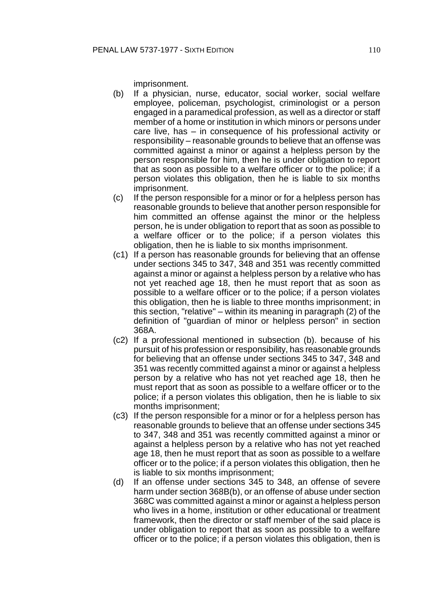imprisonment.

- (b) If a physician, nurse, educator, social worker, social welfare employee, policeman, psychologist, criminologist or a person engaged in a paramedical profession, as well as a director or staff member of a home or institution in which minors or persons under care live, has – in consequence of his professional activity or responsibility – reasonable grounds to believe that an offense was committed against a minor or against a helpless person by the person responsible for him, then he is under obligation to report that as soon as possible to a welfare officer or to the police; if a person violates this obligation, then he is liable to six months imprisonment.
- (c) If the person responsible for a minor or for a helpless person has reasonable grounds to believe that another person responsible for him committed an offense against the minor or the helpless person, he is under obligation to report that as soon as possible to a welfare officer or to the police; if a person violates this obligation, then he is liable to six months imprisonment.
- (c1) If a person has reasonable grounds for believing that an offense under sections 345 to 347, 348 and 351 was recently committed against a minor or against a helpless person by a relative who has not yet reached age 18, then he must report that as soon as possible to a welfare officer or to the police; if a person violates this obligation, then he is liable to three months imprisonment; in this section, "relative" – within its meaning in paragraph (2) of the definition of "guardian of minor or helpless person" in section 368A.
- (c2) If a professional mentioned in subsection (b). because of his pursuit of his profession or responsibility, has reasonable grounds for believing that an offense under sections 345 to 347, 348 and 351 was recently committed against a minor or against a helpless person by a relative who has not yet reached age 18, then he must report that as soon as possible to a welfare officer or to the police; if a person violates this obligation, then he is liable to six months imprisonment;
- (c3) If the person responsible for a minor or for a helpless person has reasonable grounds to believe that an offense under sections 345 to 347, 348 and 351 was recently committed against a minor or against a helpless person by a relative who has not yet reached age 18, then he must report that as soon as possible to a welfare officer or to the police; if a person violates this obligation, then he is liable to six months imprisonment;
- (d) If an offense under sections 345 to 348, an offense of severe harm under section 368B(b), or an offense of abuse under section 368C was committed against a minor or against a helpless person who lives in a home, institution or other educational or treatment framework, then the director or staff member of the said place is under obligation to report that as soon as possible to a welfare officer or to the police; if a person violates this obligation, then is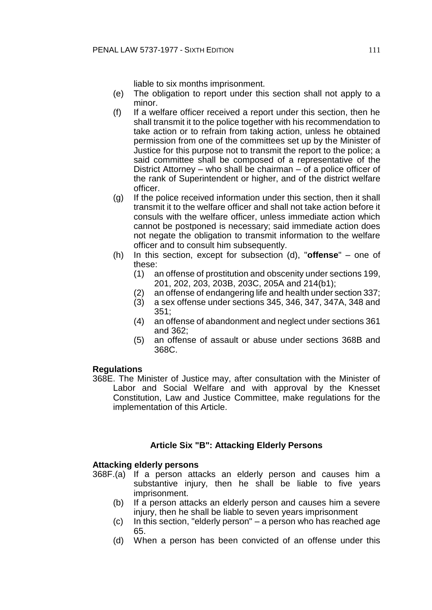liable to six months imprisonment.

- (e) The obligation to report under this section shall not apply to a minor.
- (f) If a welfare officer received a report under this section, then he shall transmit it to the police together with his recommendation to take action or to refrain from taking action, unless he obtained permission from one of the committees set up by the Minister of Justice for this purpose not to transmit the report to the police; a said committee shall be composed of a representative of the District Attorney – who shall be chairman – of a police officer of the rank of Superintendent or higher, and of the district welfare officer.
- (g) If the police received information under this section, then it shall transmit it to the welfare officer and shall not take action before it consuls with the welfare officer, unless immediate action which cannot be postponed is necessary; said immediate action does not negate the obligation to transmit information to the welfare officer and to consult him subsequently.
- (h) In this section, except for subsection (d), "**offense**" one of these:
	- (1) an offense of prostitution and obscenity under sections 199, 201, 202, 203, 203B, 203C, 205A and 214(b1);
	- (2) an offense of endangering life and health under section 337;
	- (3) a sex offense under sections 345, 346, 347, 347A, 348 and 351;
	- (4) an offense of abandonment and neglect under sections 361 and 362;
	- (5) an offense of assault or abuse under sections 368B and 368C.

### **Regulations**

368E. The Minister of Justice may, after consultation with the Minister of Labor and Social Welfare and with approval by the Knesset Constitution, Law and Justice Committee, make regulations for the implementation of this Article.

### **Article Six "B": Attacking Elderly Persons**

### **Attacking elderly persons**

- 368F.(a) If a person attacks an elderly person and causes him a substantive injury, then he shall be liable to five years imprisonment.
	- (b) If a person attacks an elderly person and causes him a severe injury, then he shall be liable to seven years imprisonment
	- (c) In this section, "elderly person" a person who has reached age 65.
	- (d) When a person has been convicted of an offense under this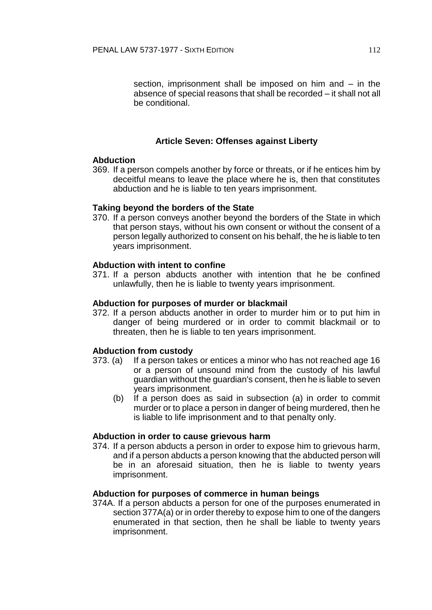section, imprisonment shall be imposed on him and – in the absence of special reasons that shall be recorded – it shall not all be conditional.

## **Article Seven: Offenses against Liberty**

### **Abduction**

369. If a person compels another by force or threats, or if he entices him by deceitful means to leave the place where he is, then that constitutes abduction and he is liable to ten years imprisonment.

### **Taking beyond the borders of the State**

370. If a person conveys another beyond the borders of the State in which that person stays, without his own consent or without the consent of a person legally authorized to consent on his behalf, the he is liable to ten years imprisonment.

## **Abduction with intent to confine**

371. If a person abducts another with intention that he be confined unlawfully, then he is liable to twenty years imprisonment.

#### **Abduction for purposes of murder or blackmail**

372. If a person abducts another in order to murder him or to put him in danger of being murdered or in order to commit blackmail or to threaten, then he is liable to ten years imprisonment.

### **Abduction from custody**

- 373. (a) If a person takes or entices a minor who has not reached age 16 or a person of unsound mind from the custody of his lawful guardian without the guardian's consent, then he is liable to seven years imprisonment.
	- (b) If a person does as said in subsection (a) in order to commit murder or to place a person in danger of being murdered, then he is liable to life imprisonment and to that penalty only.

### **Abduction in order to cause grievous harm**

374. If a person abducts a person in order to expose him to grievous harm, and if a person abducts a person knowing that the abducted person will be in an aforesaid situation, then he is liable to twenty years imprisonment.

### **Abduction for purposes of commerce in human beings**

374A. If a person abducts a person for one of the purposes enumerated in section 377A(a) or in order thereby to expose him to one of the dangers enumerated in that section, then he shall be liable to twenty years imprisonment.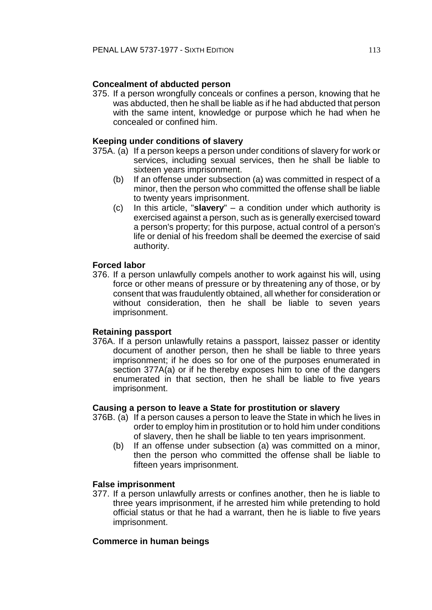# **Concealment of abducted person**

375. If a person wrongfully conceals or confines a person, knowing that he was abducted, then he shall be liable as if he had abducted that person with the same intent, knowledge or purpose which he had when he concealed or confined him.

### **Keeping under conditions of slavery**

- 375A. (a) If a person keeps a person under conditions of slavery for work or services, including sexual services, then he shall be liable to sixteen years imprisonment.
	- (b) If an offense under subsection (a) was committed in respect of a minor, then the person who committed the offense shall be liable to twenty years imprisonment.
	- (c) In this article, "**slavery**" a condition under which authority is exercised against a person, such as is generally exercised toward a person's property; for this purpose, actual control of a person's life or denial of his freedom shall be deemed the exercise of said authority.

## **Forced labor**

376. If a person unlawfully compels another to work against his will, using force or other means of pressure or by threatening any of those, or by consent that was fraudulently obtained, all whether for consideration or without consideration, then he shall be liable to seven years imprisonment.

### **Retaining passport**

376A. If a person unlawfully retains a passport, laissez passer or identity document of another person, then he shall be liable to three years imprisonment; if he does so for one of the purposes enumerated in section 377A(a) or if he thereby exposes him to one of the dangers enumerated in that section, then he shall be liable to five years imprisonment.

## **Causing a person to leave a State for prostitution or slavery**

- 376B. (a) If a person causes a person to leave the State in which he lives in order to employ him in prostitution or to hold him under conditions of slavery, then he shall be liable to ten years imprisonment.
	- (b) If an offense under subsection (a) was committed on a minor, then the person who committed the offense shall be liable to fifteen years imprisonment.

### **False imprisonment**

377. If a person unlawfully arrests or confines another, then he is liable to three years imprisonment, if he arrested him while pretending to hold official status or that he had a warrant, then he is liable to five years imprisonment.

### **Commerce in human beings**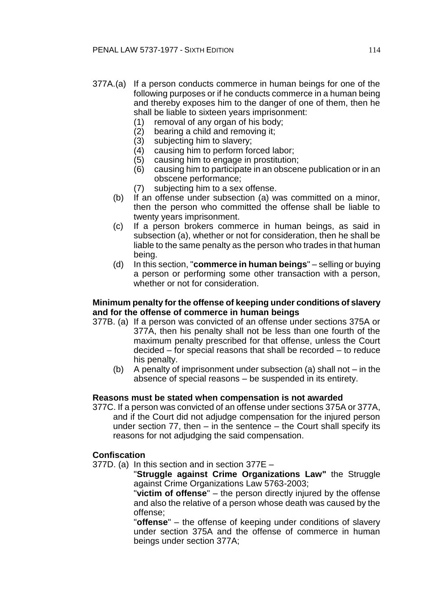- 377A.(a) If a person conducts commerce in human beings for one of the following purposes or if he conducts commerce in a human being and thereby exposes him to the danger of one of them, then he shall be liable to sixteen years imprisonment:
	- (1) removal of any organ of his body;<br>(2) bearing a child and removing it;
	- bearing a child and removing it;
	-
	- (3) subjecting him to slavery;<br>(4) causing him to perform fo causing him to perform forced labor;
	- (5) causing him to engage in prostitution;
	- (6) causing him to participate in an obscene publication or in an obscene performance;
	- (7) subjecting him to a sex offense.
	- (b) If an offense under subsection (a) was committed on a minor, then the person who committed the offense shall be liable to twenty years imprisonment.
	- (c) If a person brokers commerce in human beings, as said in subsection (a), whether or not for consideration, then he shall be liable to the same penalty as the person who trades in that human being.
	- (d) In this section, "**commerce in human beings**" selling or buying a person or performing some other transaction with a person, whether or not for consideration.

### **Minimum penalty for the offense of keeping under conditions of slavery and for the offense of commerce in human beings**

- 377B. (a) If a person was convicted of an offense under sections 375A or 377A, then his penalty shall not be less than one fourth of the maximum penalty prescribed for that offense, unless the Court decided – for special reasons that shall be recorded – to reduce his penalty.
	- (b) A penalty of imprisonment under subsection (a) shall not in the absence of special reasons – be suspended in its entirety.

#### **Reasons must be stated when compensation is not awarded**

377C. If a person was convicted of an offense under sections 375A or 377A, and if the Court did not adjudge compensation for the injured person under section 77, then – in the sentence – the Court shall specify its reasons for not adjudging the said compensation.

#### **Confiscation**

377D. (a) In this section and in section 377E –

"**Struggle against Crime Organizations Law"** the Struggle against Crime Organizations Law 5763-2003;

"**victim of offense**" – the person directly injured by the offense and also the relative of a person whose death was caused by the offense;

"**offense**" – the offense of keeping under conditions of slavery under section 375A and the offense of commerce in human beings under section 377A;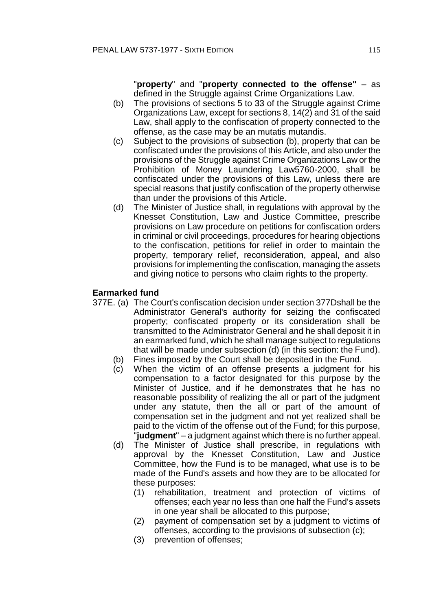"**property**" and "**property connected to the offense"** – as defined in the Struggle against Crime Organizations Law.

- (b) The provisions of sections 5 to 33 of the Struggle against Crime Organizations Law, except for sections 8, 14(2) and 31 of the said Law, shall apply to the confiscation of property connected to the offense, as the case may be an mutatis mutandis.
- (c) Subject to the provisions of subsection (b), property that can be confiscated under the provisions of this Article, and also under the provisions of the Struggle against Crime Organizations Law or the Prohibition of Money Laundering Law5760-2000, shall be confiscated under the provisions of this Law, unless there are special reasons that justify confiscation of the property otherwise than under the provisions of this Article.
- (d) The Minister of Justice shall, in regulations with approval by the Knesset Constitution, Law and Justice Committee, prescribe provisions on Law procedure on petitions for confiscation orders in criminal or civil proceedings, procedures for hearing objections to the confiscation, petitions for relief in order to maintain the property, temporary relief, reconsideration, appeal, and also provisions for implementing the confiscation, managing the assets and giving notice to persons who claim rights to the property.

## **Earmarked fund**

- 377E. (a) The Court's confiscation decision under section 377Dshall be the Administrator General's authority for seizing the confiscated property; confiscated property or its consideration shall be transmitted to the Administrator General and he shall deposit it in an earmarked fund, which he shall manage subject to regulations that will be made under subsection (d) (in this section: the Fund).
	- (b) Fines imposed by the Court shall be deposited in the Fund.
	- (c) When the victim of an offense presents a judgment for his compensation to a factor designated for this purpose by the Minister of Justice, and if he demonstrates that he has no reasonable possibility of realizing the all or part of the judgment under any statute, then the all or part of the amount of compensation set in the judgment and not yet realized shall be paid to the victim of the offense out of the Fund; for this purpose, "**judgment**" – a judgment against which there is no further appeal.
	- (d) The Minister of Justice shall prescribe, in regulations with approval by the Knesset Constitution, Law and Justice Committee, how the Fund is to be managed, what use is to be made of the Fund's assets and how they are to be allocated for these purposes:
		- (1) rehabilitation, treatment and protection of victims of offenses; each year no less than one half the Fund's assets in one year shall be allocated to this purpose;
		- (2) payment of compensation set by a judgment to victims of offenses, according to the provisions of subsection (c);
		- (3) prevention of offenses;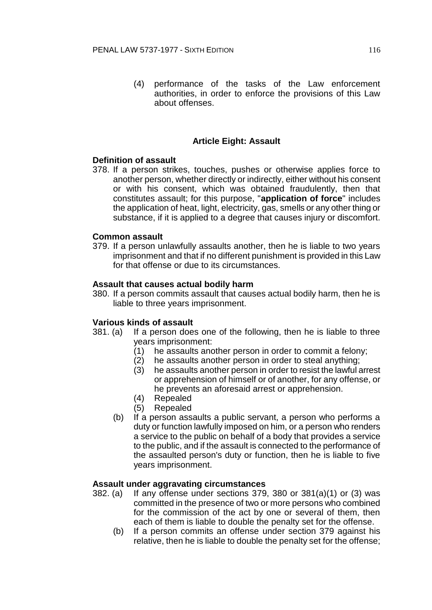(4) performance of the tasks of the Law enforcement authorities, in order to enforce the provisions of this Law about offenses.

# **Article Eight: Assault**

### **Definition of assault**

378. If a person strikes, touches, pushes or otherwise applies force to another person, whether directly or indirectly, either without his consent or with his consent, which was obtained fraudulently, then that constitutes assault; for this purpose, "**application of force**" includes the application of heat, light, electricity, gas, smells or any other thing or substance, if it is applied to a degree that causes injury or discomfort.

## **Common assault**

379. If a person unlawfully assaults another, then he is liable to two years imprisonment and that if no different punishment is provided in this Law for that offense or due to its circumstances.

### **Assault that causes actual bodily harm**

380. If a person commits assault that causes actual bodily harm, then he is liable to three years imprisonment.

### **Various kinds of assault**

- 381. (a) If a person does one of the following, then he is liable to three years imprisonment:
	- (1) he assaults another person in order to commit a felony;
	- (2) he assaults another person in order to steal anything;
	- (3) he assaults another person in order to resist the lawful arrest or apprehension of himself or of another, for any offense, or he prevents an aforesaid arrest or apprehension.
	- (4) Repealed
	- (5) Repealed
	- (b) If a person assaults a public servant, a person who performs a duty or function lawfully imposed on him, or a person who renders a service to the public on behalf of a body that provides a service to the public, and if the assault is connected to the performance of the assaulted person's duty or function, then he is liable to five years imprisonment.

### **Assault under aggravating circumstances**

- 382. (a) If any offense under sections 379, 380 or 381(a)(1) or (3) was committed in the presence of two or more persons who combined for the commission of the act by one or several of them, then each of them is liable to double the penalty set for the offense.
	- (b) If a person commits an offense under section 379 against his relative, then he is liable to double the penalty set for the offense;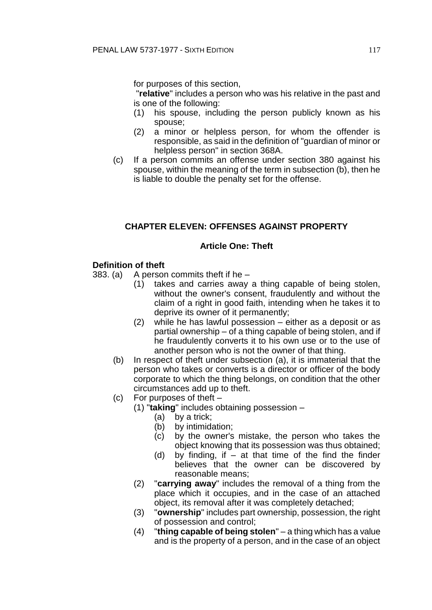for purposes of this section,

"**relative**" includes a person who was his relative in the past and is one of the following:

- (1) his spouse, including the person publicly known as his spouse;
- (2) a minor or helpless person, for whom the offender is responsible, as said in the definition of "guardian of minor or helpless person" in section 368A.
- (c) If a person commits an offense under section 380 against his spouse, within the meaning of the term in subsection (b), then he is liable to double the penalty set for the offense.

# **CHAPTER ELEVEN: OFFENSES AGAINST PROPERTY**

## **Article One: Theft**

# **Definition of theft**

- 383. (a) A person commits theft if he
	- (1) takes and carries away a thing capable of being stolen, without the owner's consent, fraudulently and without the claim of a right in good faith, intending when he takes it to deprive its owner of it permanently;
	- (2) while he has lawful possession either as a deposit or as partial ownership – of a thing capable of being stolen, and if he fraudulently converts it to his own use or to the use of another person who is not the owner of that thing.
	- (b) In respect of theft under subsection (a), it is immaterial that the person who takes or converts is a director or officer of the body corporate to which the thing belongs, on condition that the other circumstances add up to theft.
	- (c) For purposes of theft
		- (1) "**taking**" includes obtaining possession
			- (a) by a trick;
			- (b) by intimidation;
			- (c) by the owner's mistake, the person who takes the object knowing that its possession was thus obtained;
			- (d) by finding, if at that time of the find the finder believes that the owner can be discovered by reasonable means;
		- (2) "**carrying away**" includes the removal of a thing from the place which it occupies, and in the case of an attached object, its removal after it was completely detached;
		- (3) "**ownership**" includes part ownership, possession, the right of possession and control;
		- (4) "**thing capable of being stolen**" a thing which has a value and is the property of a person, and in the case of an object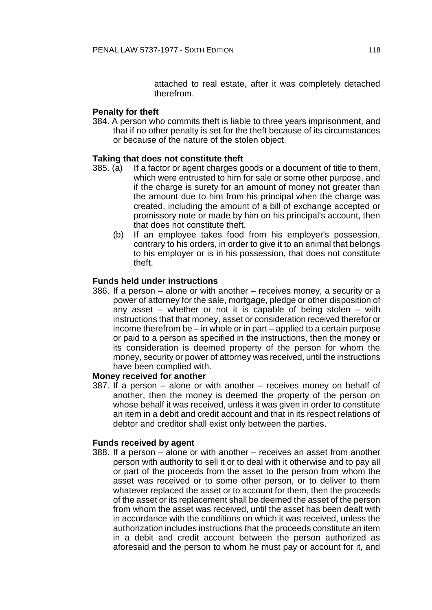attached to real estate, after it was completely detached therefrom.

#### **Penalty for theft**

384. A person who commits theft is liable to three years imprisonment, and that if no other penalty is set for the theft because of its circumstances or because of the nature of the stolen object.

#### **Taking that does not constitute theft**

- 385. (a) If a factor or agent charges goods or a document of title to them, which were entrusted to him for sale or some other purpose, and if the charge is surety for an amount of money not greater than the amount due to him from his principal when the charge was created, including the amount of a bill of exchange accepted or promissory note or made by him on his principal's account, then that does not constitute theft.
	- (b) If an employee takes food from his employer's possession, contrary to his orders, in order to give it to an animal that belongs to his employer or is in his possession, that does not constitute theft.

### **Funds held under instructions**

386. If a person – alone or with another – receives money, a security or a power of attorney for the sale, mortgage, pledge or other disposition of any asset – whether or not it is capable of being stolen – with instructions that that money, asset or consideration received therefor or income therefrom be – in whole or in part – applied to a certain purpose or paid to a person as specified in the instructions, then the money or its consideration is deemed property of the person for whom the money, security or power of attorney was received, until the instructions have been complied with.

#### **Money received for another**

387. If a person – alone or with another – receives money on behalf of another, then the money is deemed the property of the person on whose behalf it was received, unless it was given in order to constitute an item in a debit and credit account and that in its respect relations of debtor and creditor shall exist only between the parties.

### **Funds received by agent**

388. If a person – alone or with another – receives an asset from another person with authority to sell it or to deal with it otherwise and to pay all or part of the proceeds from the asset to the person from whom the asset was received or to some other person, or to deliver to them whatever replaced the asset or to account for them, then the proceeds of the asset or its replacement shall be deemed the asset of the person from whom the asset was received, until the asset has been dealt with in accordance with the conditions on which it was received, unless the authorization includes instructions that the proceeds constitute an item in a debit and credit account between the person authorized as aforesaid and the person to whom he must pay or account for it, and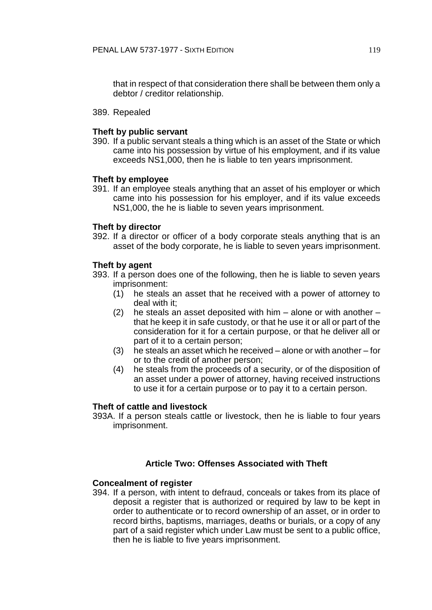that in respect of that consideration there shall be between them only a debtor / creditor relationship.

389. Repealed

### **Theft by public servant**

390. If a public servant steals a thing which is an asset of the State or which came into his possession by virtue of his employment, and if its value exceeds NS1,000, then he is liable to ten years imprisonment.

#### **Theft by employee**

391. If an employee steals anything that an asset of his employer or which came into his possession for his employer, and if its value exceeds NS1,000, the he is liable to seven years imprisonment.

#### **Theft by director**

392. If a director or officer of a body corporate steals anything that is an asset of the body corporate, he is liable to seven years imprisonment.

#### **Theft by agent**

- 393. If a person does one of the following, then he is liable to seven years imprisonment:
	- (1) he steals an asset that he received with a power of attorney to deal with it;
	- (2) he steals an asset deposited with him  $-$  alone or with another  $$ that he keep it in safe custody, or that he use it or all or part of the consideration for it for a certain purpose, or that he deliver all or part of it to a certain person;
	- (3) he steals an asset which he received alone or with another for or to the credit of another person;
	- (4) he steals from the proceeds of a security, or of the disposition of an asset under a power of attorney, having received instructions to use it for a certain purpose or to pay it to a certain person.

#### **Theft of cattle and livestock**

393A. If a person steals cattle or livestock, then he is liable to four years imprisonment.

# **Article Two: Offenses Associated with Theft**

#### **Concealment of register**

394. If a person, with intent to defraud, conceals or takes from its place of deposit a register that is authorized or required by law to be kept in order to authenticate or to record ownership of an asset, or in order to record births, baptisms, marriages, deaths or burials, or a copy of any part of a said register which under Law must be sent to a public office, then he is liable to five years imprisonment.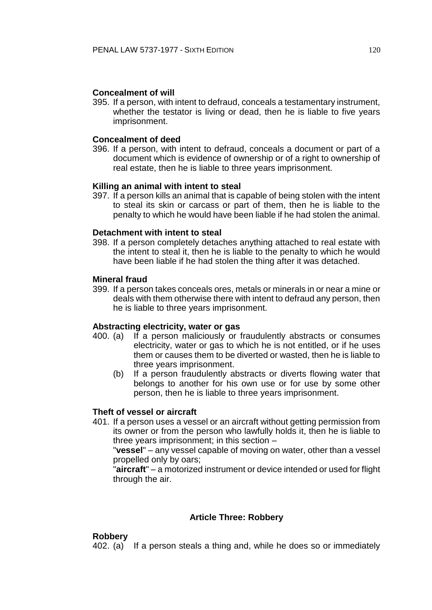### **Concealment of will**

395. If a person, with intent to defraud, conceals a testamentary instrument, whether the testator is living or dead, then he is liable to five years imprisonment.

## **Concealment of deed**

396. If a person, with intent to defraud, conceals a document or part of a document which is evidence of ownership or of a right to ownership of real estate, then he is liable to three years imprisonment.

## **Killing an animal with intent to steal**

397. If a person kills an animal that is capable of being stolen with the intent to steal its skin or carcass or part of them, then he is liable to the penalty to which he would have been liable if he had stolen the animal.

### **Detachment with intent to steal**

398. If a person completely detaches anything attached to real estate with the intent to steal it, then he is liable to the penalty to which he would have been liable if he had stolen the thing after it was detached.

### **Mineral fraud**

399. If a person takes conceals ores, metals or minerals in or near a mine or deals with them otherwise there with intent to defraud any person, then he is liable to three years imprisonment.

### **Abstracting electricity, water or gas**

- 400. (a) If a person maliciously or fraudulently abstracts or consumes electricity, water or gas to which he is not entitled, or if he uses them or causes them to be diverted or wasted, then he is liable to three years imprisonment.
	- (b) If a person fraudulently abstracts or diverts flowing water that belongs to another for his own use or for use by some other person, then he is liable to three years imprisonment.

### **Theft of vessel or aircraft**

401. If a person uses a vessel or an aircraft without getting permission from its owner or from the person who lawfully holds it, then he is liable to three years imprisonment; in this section –

"**vessel**" – any vessel capable of moving on water, other than a vessel propelled only by oars;

"**aircraft**" – a motorized instrument or device intended or used for flight through the air.

# **Article Three: Robbery**

### **Robbery**

402. (a) If a person steals a thing and, while he does so or immediately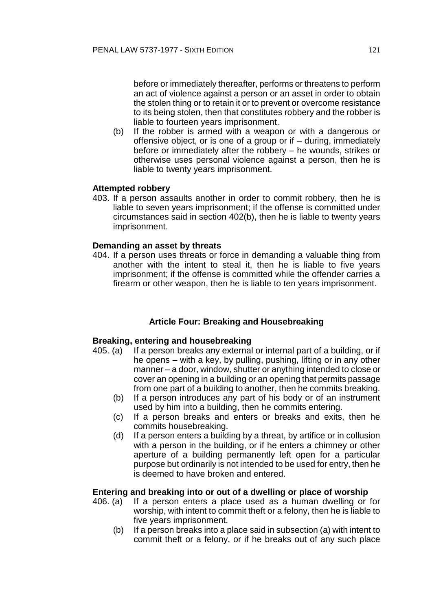before or immediately thereafter, performs or threatens to perform an act of violence against a person or an asset in order to obtain the stolen thing or to retain it or to prevent or overcome resistance to its being stolen, then that constitutes robbery and the robber is liable to fourteen years imprisonment.

(b) If the robber is armed with a weapon or with a dangerous or offensive object, or is one of a group or if – during, immediately before or immediately after the robbery – he wounds, strikes or otherwise uses personal violence against a person, then he is liable to twenty years imprisonment.

#### **Attempted robbery**

403. If a person assaults another in order to commit robbery, then he is liable to seven years imprisonment; if the offense is committed under circumstances said in section 402(b), then he is liable to twenty years imprisonment.

#### **Demanding an asset by threats**

404. If a person uses threats or force in demanding a valuable thing from another with the intent to steal it, then he is liable to five years imprisonment; if the offense is committed while the offender carries a firearm or other weapon, then he is liable to ten years imprisonment.

### **Article Four: Breaking and Housebreaking**

#### **Breaking, entering and housebreaking**

- 405. (a) If a person breaks any external or internal part of a building, or if he opens – with a key, by pulling, pushing, lifting or in any other manner – a door, window, shutter or anything intended to close or cover an opening in a building or an opening that permits passage from one part of a building to another, then he commits breaking.
	- (b) If a person introduces any part of his body or of an instrument used by him into a building, then he commits entering.
	- (c) If a person breaks and enters or breaks and exits, then he commits housebreaking.
	- (d) If a person enters a building by a threat, by artifice or in collusion with a person in the building, or if he enters a chimney or other aperture of a building permanently left open for a particular purpose but ordinarily is not intended to be used for entry, then he is deemed to have broken and entered.

#### **Entering and breaking into or out of a dwelling or place of worship**

- 406. (a) If a person enters a place used as a human dwelling or for worship, with intent to commit theft or a felony, then he is liable to five years imprisonment.
	- (b) If a person breaks into a place said in subsection (a) with intent to commit theft or a felony, or if he breaks out of any such place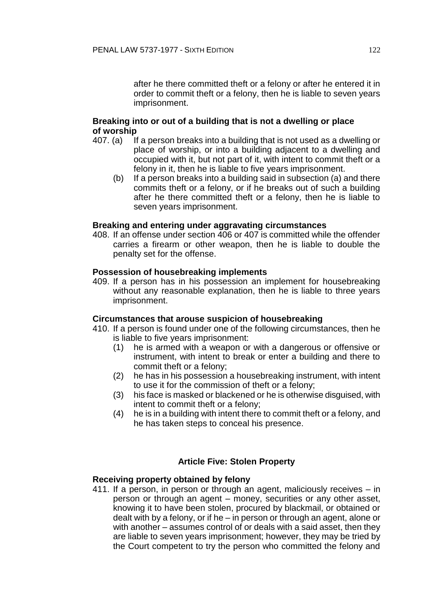after he there committed theft or a felony or after he entered it in order to commit theft or a felony, then he is liable to seven years imprisonment.

### **Breaking into or out of a building that is not a dwelling or place of worship**

- 407. (a) If a person breaks into a building that is not used as a dwelling or place of worship, or into a building adjacent to a dwelling and occupied with it, but not part of it, with intent to commit theft or a felony in it, then he is liable to five years imprisonment.
	- (b) If a person breaks into a building said in subsection (a) and there commits theft or a felony, or if he breaks out of such a building after he there committed theft or a felony, then he is liable to seven years imprisonment.

#### **Breaking and entering under aggravating circumstances**

408. If an offense under section 406 or 407 is committed while the offender carries a firearm or other weapon, then he is liable to double the penalty set for the offense.

#### **Possession of housebreaking implements**

409. If a person has in his possession an implement for housebreaking without any reasonable explanation, then he is liable to three years imprisonment.

#### **Circumstances that arouse suspicion of housebreaking**

- 410. If a person is found under one of the following circumstances, then he is liable to five years imprisonment:
	- (1) he is armed with a weapon or with a dangerous or offensive or instrument, with intent to break or enter a building and there to commit theft or a felony;
	- (2) he has in his possession a housebreaking instrument, with intent to use it for the commission of theft or a felony;
	- (3) his face is masked or blackened or he is otherwise disguised, with intent to commit theft or a felony;
	- (4) he is in a building with intent there to commit theft or a felony, and he has taken steps to conceal his presence.

### **Article Five: Stolen Property**

#### **Receiving property obtained by felony**

411. If a person, in person or through an agent, maliciously receives – in person or through an agent – money, securities or any other asset, knowing it to have been stolen, procured by blackmail, or obtained or dealt with by a felony, or if he – in person or through an agent, alone or with another – assumes control of or deals with a said asset, then they are liable to seven years imprisonment; however, they may be tried by the Court competent to try the person who committed the felony and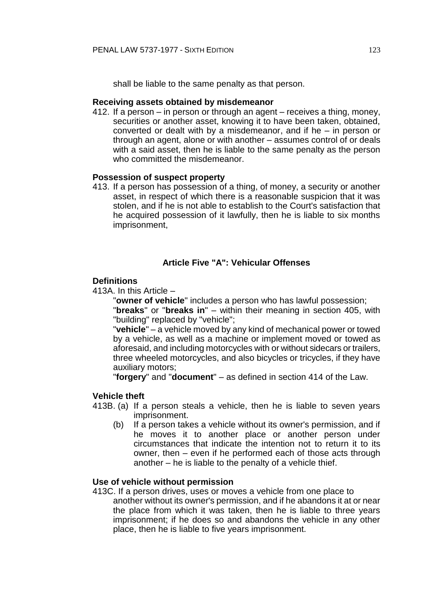shall be liable to the same penalty as that person.

#### **Receiving assets obtained by misdemeanor**

412. If a person – in person or through an agent – receives a thing, money, securities or another asset, knowing it to have been taken, obtained, converted or dealt with by a misdemeanor, and if he – in person or through an agent, alone or with another – assumes control of or deals with a said asset, then he is liable to the same penalty as the person who committed the misdemeanor.

### **Possession of suspect property**

413. If a person has possession of a thing, of money, a security or another asset, in respect of which there is a reasonable suspicion that it was stolen, and if he is not able to establish to the Court's satisfaction that he acquired possession of it lawfully, then he is liable to six months imprisonment,

### **Article Five "A": Vehicular Offenses**

#### **Definitions**

413A. In this Article –

"**owner of vehicle**" includes a person who has lawful possession;

"**breaks**" or "**breaks in**" – within their meaning in section 405, with "building" replaced by "vehicle";

"**vehicle**" – a vehicle moved by any kind of mechanical power or towed by a vehicle, as well as a machine or implement moved or towed as aforesaid, and including motorcycles with or without sidecars or trailers, three wheeled motorcycles, and also bicycles or tricycles, if they have auxiliary motors;

"**forgery**" and "**document**" – as defined in section 414 of the Law.

## **Vehicle theft**

- 413B. (a) If a person steals a vehicle, then he is liable to seven years imprisonment.
	- (b) If a person takes a vehicle without its owner's permission, and if he moves it to another place or another person under circumstances that indicate the intention not to return it to its owner, then – even if he performed each of those acts through another – he is liable to the penalty of a vehicle thief.

#### **Use of vehicle without permission**

413C. If a person drives, uses or moves a vehicle from one place to another without its owner's permission, and if he abandons it at or near the place from which it was taken, then he is liable to three years imprisonment; if he does so and abandons the vehicle in any other place, then he is liable to five years imprisonment.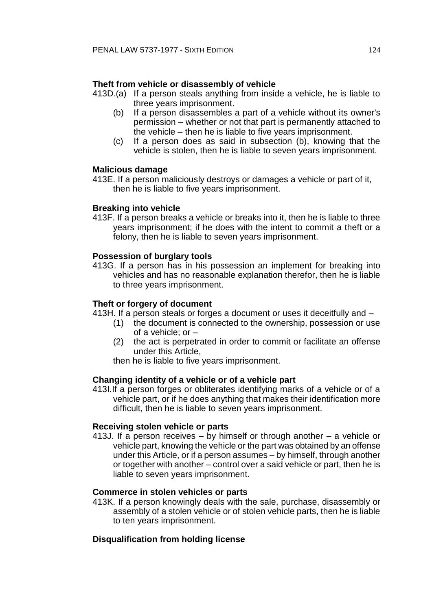## **Theft from vehicle or disassembly of vehicle**

- 413D.(a) If a person steals anything from inside a vehicle, he is liable to three years imprisonment.
	- (b) If a person disassembles a part of a vehicle without its owner's permission – whether or not that part is permanently attached to the vehicle – then he is liable to five years imprisonment.
	- (c) If a person does as said in subsection (b), knowing that the vehicle is stolen, then he is liable to seven years imprisonment.

### **Malicious damage**

413E. If a person maliciously destroys or damages a vehicle or part of it, then he is liable to five years imprisonment.

### **Breaking into vehicle**

413F. If a person breaks a vehicle or breaks into it, then he is liable to three years imprisonment; if he does with the intent to commit a theft or a felony, then he is liable to seven years imprisonment.

### **Possession of burglary tools**

413G. If a person has in his possession an implement for breaking into vehicles and has no reasonable explanation therefor, then he is liable to three years imprisonment.

## **Theft or forgery of document**

- 413H. If a person steals or forges a document or uses it deceitfully and
	- (1) the document is connected to the ownership, possession or use of a vehicle; or –
	- (2) the act is perpetrated in order to commit or facilitate an offense under this Article,

then he is liable to five years imprisonment.

### **Changing identity of a vehicle or of a vehicle part**

413I.If a person forges or obliterates identifying marks of a vehicle or of a vehicle part, or if he does anything that makes their identification more difficult, then he is liable to seven years imprisonment.

### **Receiving stolen vehicle or parts**

413J. If a person receives – by himself or through another – a vehicle or vehicle part, knowing the vehicle or the part was obtained by an offense under this Article, or if a person assumes – by himself, through another or together with another – control over a said vehicle or part, then he is liable to seven years imprisonment.

### **Commerce in stolen vehicles or parts**

413K. If a person knowingly deals with the sale, purchase, disassembly or assembly of a stolen vehicle or of stolen vehicle parts, then he is liable to ten years imprisonment.

### **Disqualification from holding license**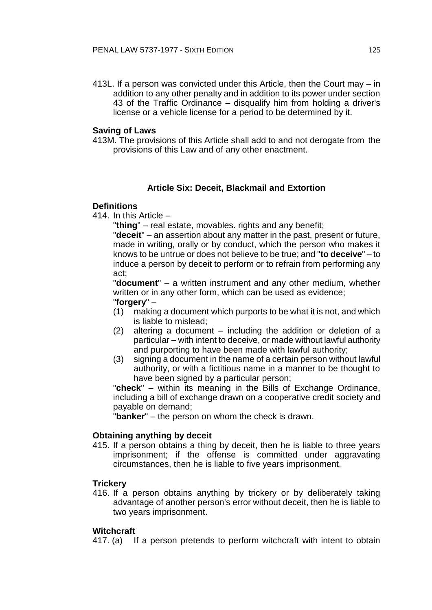413L. If a person was convicted under this Article, then the Court may – in addition to any other penalty and in addition to its power under section 43 of the Traffic Ordinance – disqualify him from holding a driver's license or a vehicle license for a period to be determined by it.

### **Saving of Laws**

413M. The provisions of this Article shall add to and not derogate from the provisions of this Law and of any other enactment.

# **Article Six: Deceit, Blackmail and Extortion**

## **Definitions**

414. In this Article –

"**thing**" – real estate, movables. rights and any benefit;

"**deceit**" – an assertion about any matter in the past, present or future, made in writing, orally or by conduct, which the person who makes it knows to be untrue or does not believe to be true; and "**to deceive**" – to induce a person by deceit to perform or to refrain from performing any act;

"**document**" – a written instrument and any other medium, whether written or in any other form, which can be used as evidence; "**forgery**" –

- (1) making a document which purports to be what it is not, and which is liable to mislead;
- (2) altering a document including the addition or deletion of a particular – with intent to deceive, or made without lawful authority and purporting to have been made with lawful authority;
- (3) signing a document in the name of a certain person without lawful authority, or with a fictitious name in a manner to be thought to have been signed by a particular person;

"**check**" – within its meaning in the Bills of Exchange Ordinance, including a bill of exchange drawn on a cooperative credit society and payable on demand;

"**banker**" – the person on whom the check is drawn.

# **Obtaining anything by deceit**

415. If a person obtains a thing by deceit, then he is liable to three years imprisonment; if the offense is committed under aggravating circumstances, then he is liable to five years imprisonment.

# **Trickery**

416. If a person obtains anything by trickery or by deliberately taking advantage of another person's error without deceit, then he is liable to two years imprisonment.

# **Witchcraft**

417. (a) If a person pretends to perform witchcraft with intent to obtain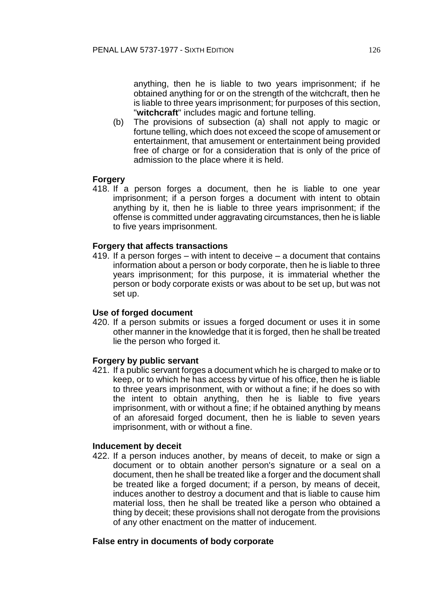anything, then he is liable to two years imprisonment; if he obtained anything for or on the strength of the witchcraft, then he is liable to three years imprisonment; for purposes of this section, "**witchcraft**" includes magic and fortune telling.

(b) The provisions of subsection (a) shall not apply to magic or fortune telling, which does not exceed the scope of amusement or entertainment, that amusement or entertainment being provided free of charge or for a consideration that is only of the price of admission to the place where it is held.

## **Forgery**

418. If a person forges a document, then he is liable to one year imprisonment; if a person forges a document with intent to obtain anything by it, then he is liable to three years imprisonment; if the offense is committed under aggravating circumstances, then he is liable to five years imprisonment.

## **Forgery that affects transactions**

419. If a person forges – with intent to deceive – a document that contains information about a person or body corporate, then he is liable to three years imprisonment; for this purpose, it is immaterial whether the person or body corporate exists or was about to be set up, but was not set up.

### **Use of forged document**

420. If a person submits or issues a forged document or uses it in some other manner in the knowledge that it is forged, then he shall be treated lie the person who forged it.

### **Forgery by public servant**

421. If a public servant forges a document which he is charged to make or to keep, or to which he has access by virtue of his office, then he is liable to three years imprisonment, with or without a fine; if he does so with the intent to obtain anything, then he is liable to five years imprisonment, with or without a fine; if he obtained anything by means of an aforesaid forged document, then he is liable to seven years imprisonment, with or without a fine.

## **Inducement by deceit**

422. If a person induces another, by means of deceit, to make or sign a document or to obtain another person's signature or a seal on a document, then he shall be treated like a forger and the document shall be treated like a forged document; if a person, by means of deceit, induces another to destroy a document and that is liable to cause him material loss, then he shall be treated like a person who obtained a thing by deceit; these provisions shall not derogate from the provisions of any other enactment on the matter of inducement.

### **False entry in documents of body corporate**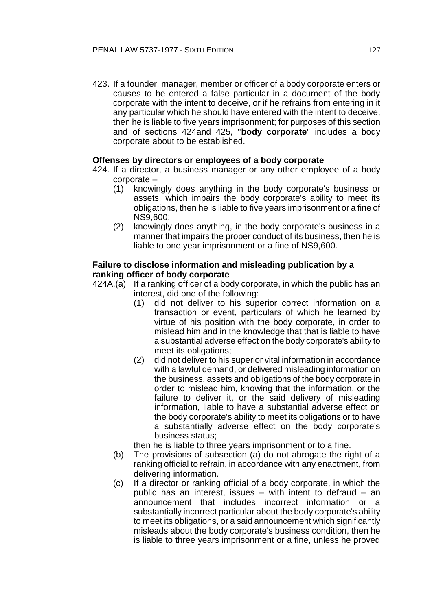423. If a founder, manager, member or officer of a body corporate enters or causes to be entered a false particular in a document of the body corporate with the intent to deceive, or if he refrains from entering in it any particular which he should have entered with the intent to deceive, then he is liable to five years imprisonment; for purposes of this section and of sections 424and 425, "**body corporate**" includes a body corporate about to be established.

### **Offenses by directors or employees of a body corporate**

- 424. If a director, a business manager or any other employee of a body corporate –
	- (1) knowingly does anything in the body corporate's business or assets, which impairs the body corporate's ability to meet its obligations, then he is liable to five years imprisonment or a fine of NS9,600;
	- (2) knowingly does anything, in the body corporate's business in a manner that impairs the proper conduct of its business, then he is liable to one year imprisonment or a fine of NS9,600.

## **Failure to disclose information and misleading publication by a ranking officer of body corporate**

- 424A.(a) If a ranking officer of a body corporate, in which the public has an interest, did one of the following:
	- (1) did not deliver to his superior correct information on a transaction or event, particulars of which he learned by virtue of his position with the body corporate, in order to mislead him and in the knowledge that that is liable to have a substantial adverse effect on the body corporate's ability to meet its obligations;
	- (2) did not deliver to his superior vital information in accordance with a lawful demand, or delivered misleading information on the business, assets and obligations of the body corporate in order to mislead him, knowing that the information, or the failure to deliver it, or the said delivery of misleading information, liable to have a substantial adverse effect on the body corporate's ability to meet its obligations or to have a substantially adverse effect on the body corporate's business status;

then he is liable to three years imprisonment or to a fine.

- (b) The provisions of subsection (a) do not abrogate the right of a ranking official to refrain, in accordance with any enactment, from delivering information.
- (c) If a director or ranking official of a body corporate, in which the public has an interest, issues – with intent to defraud – an announcement that includes incorrect information or a substantially incorrect particular about the body corporate's ability to meet its obligations, or a said announcement which significantly misleads about the body corporate's business condition, then he is liable to three years imprisonment or a fine, unless he proved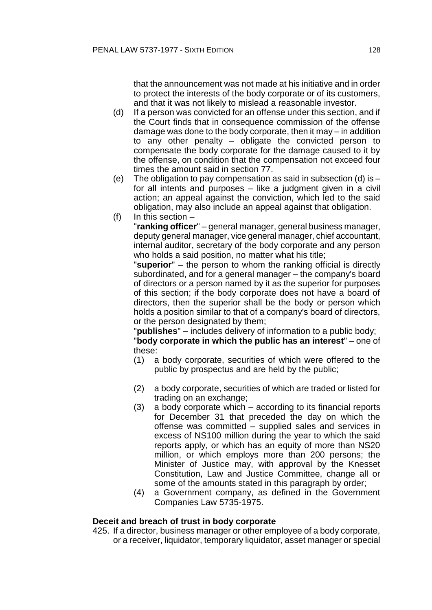that the announcement was not made at his initiative and in order to protect the interests of the body corporate or of its customers, and that it was not likely to mislead a reasonable investor.

- (d) If a person was convicted for an offense under this section, and if the Court finds that in consequence commission of the offense damage was done to the body corporate, then it may – in addition to any other penalty – obligate the convicted person to compensate the body corporate for the damage caused to it by the offense, on condition that the compensation not exceed four times the amount said in section 77.
- (e) The obligation to pay compensation as said in subsection (d) is  $$ for all intents and purposes – like a judgment given in a civil action; an appeal against the conviction, which led to the said obligation, may also include an appeal against that obligation.
- (f) In this section  $-$

"**ranking officer**" – general manager, general business manager, deputy general manager, vice general manager, chief accountant, internal auditor, secretary of the body corporate and any person who holds a said position, no matter what his title;

"**superior**" – the person to whom the ranking official is directly subordinated, and for a general manager – the company's board of directors or a person named by it as the superior for purposes of this section; if the body corporate does not have a board of directors, then the superior shall be the body or person which holds a position similar to that of a company's board of directors, or the person designated by them;

"**publishes**" – includes delivery of information to a public body;

"**body corporate in which the public has an interest**" – one of these:

- (1) a body corporate, securities of which were offered to the public by prospectus and are held by the public;
- (2) a body corporate, securities of which are traded or listed for trading on an exchange;
- (3) a body corporate which according to its financial reports for December 31 that preceded the day on which the offense was committed – supplied sales and services in excess of NS100 million during the year to which the said reports apply, or which has an equity of more than NS20 million, or which employs more than 200 persons; the Minister of Justice may, with approval by the Knesset Constitution, Law and Justice Committee, change all or some of the amounts stated in this paragraph by order;
- (4) a Government company, as defined in the Government Companies Law 5735-1975.

### **Deceit and breach of trust in body corporate**

425. If a director, business manager or other employee of a body corporate, or a receiver, liquidator, temporary liquidator, asset manager or special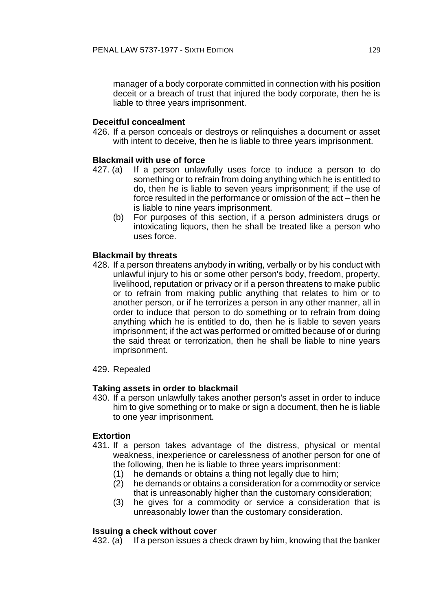manager of a body corporate committed in connection with his position deceit or a breach of trust that injured the body corporate, then he is liable to three years imprisonment.

## **Deceitful concealment**

426. If a person conceals or destroys or relinquishes a document or asset with intent to deceive, then he is liable to three years imprisonment.

## **Blackmail with use of force**

- 427. (a) If a person unlawfully uses force to induce a person to do something or to refrain from doing anything which he is entitled to do, then he is liable to seven years imprisonment; if the use of force resulted in the performance or omission of the act – then he is liable to nine years imprisonment.
	- (b) For purposes of this section, if a person administers drugs or intoxicating liquors, then he shall be treated like a person who uses force.

## **Blackmail by threats**

- 428. If a person threatens anybody in writing, verbally or by his conduct with unlawful injury to his or some other person's body, freedom, property, livelihood, reputation or privacy or if a person threatens to make public or to refrain from making public anything that relates to him or to another person, or if he terrorizes a person in any other manner, all in order to induce that person to do something or to refrain from doing anything which he is entitled to do, then he is liable to seven years imprisonment; if the act was performed or omitted because of or during the said threat or terrorization, then he shall be liable to nine years imprisonment.
- 429. Repealed

### **Taking assets in order to blackmail**

430. If a person unlawfully takes another person's asset in order to induce him to give something or to make or sign a document, then he is liable to one year imprisonment.

### **Extortion**

- 431. If a person takes advantage of the distress, physical or mental weakness, inexperience or carelessness of another person for one of the following, then he is liable to three years imprisonment:
	- (1) he demands or obtains a thing not legally due to him;
	- (2) he demands or obtains a consideration for a commodity or service that is unreasonably higher than the customary consideration;
	- (3) he gives for a commodity or service a consideration that is unreasonably lower than the customary consideration.

### **Issuing a check without cover**

432. (a) If a person issues a check drawn by him, knowing that the banker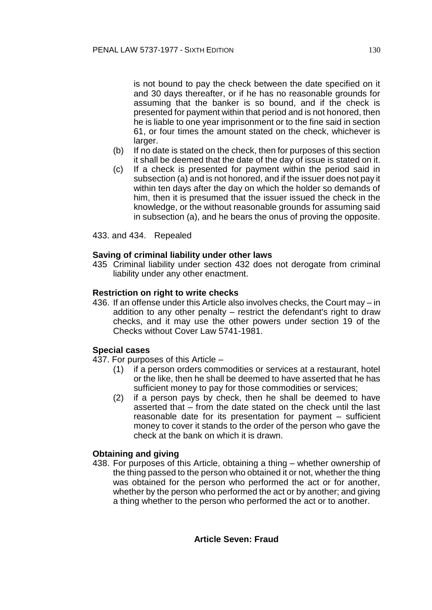is not bound to pay the check between the date specified on it and 30 days thereafter, or if he has no reasonable grounds for assuming that the banker is so bound, and if the check is presented for payment within that period and is not honored, then he is liable to one year imprisonment or to the fine said in section 61, or four times the amount stated on the check, whichever is larger.

- (b) If no date is stated on the check, then for purposes of this section it shall be deemed that the date of the day of issue is stated on it.
- (c) If a check is presented for payment within the period said in subsection (a) and is not honored, and if the issuer does not pay it within ten days after the day on which the holder so demands of him, then it is presumed that the issuer issued the check in the knowledge, or the without reasonable grounds for assuming said in subsection (a), and he bears the onus of proving the opposite.

433. and 434. Repealed

### **Saving of criminal liability under other laws**

435 Criminal liability under section 432 does not derogate from criminal liability under any other enactment.

#### **Restriction on right to write checks**

436. If an offense under this Article also involves checks, the Court may – in addition to any other penalty – restrict the defendant's right to draw checks, and it may use the other powers under section 19 of the Checks without Cover Law 5741-1981.

### **Special cases**

- 437. For purposes of this Article
	- (1) if a person orders commodities or services at a restaurant, hotel or the like, then he shall be deemed to have asserted that he has sufficient money to pay for those commodities or services;
	- (2) if a person pays by check, then he shall be deemed to have asserted that – from the date stated on the check until the last reasonable date for its presentation for payment – sufficient money to cover it stands to the order of the person who gave the check at the bank on which it is drawn.

### **Obtaining and giving**

438. For purposes of this Article, obtaining a thing – whether ownership of the thing passed to the person who obtained it or not, whether the thing was obtained for the person who performed the act or for another, whether by the person who performed the act or by another; and giving a thing whether to the person who performed the act or to another.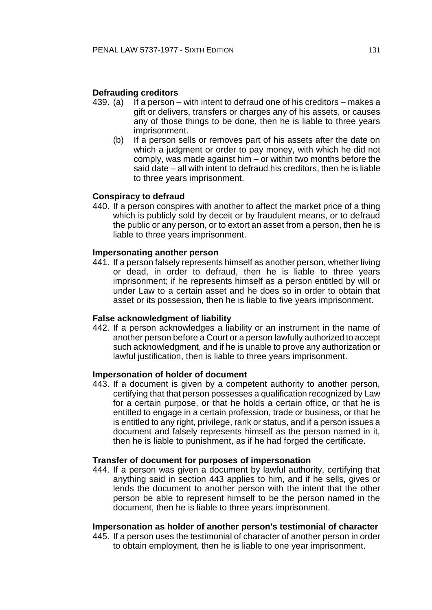#### **Defrauding creditors**

- 439. (a) If a person with intent to defraud one of his creditors makes a gift or delivers, transfers or charges any of his assets, or causes any of those things to be done, then he is liable to three years imprisonment.
	- (b) If a person sells or removes part of his assets after the date on which a judgment or order to pay money, with which he did not comply, was made against him – or within two months before the said date – all with intent to defraud his creditors, then he is liable to three years imprisonment.

#### **Conspiracy to defraud**

440. If a person conspires with another to affect the market price of a thing which is publicly sold by deceit or by fraudulent means, or to defraud the public or any person, or to extort an asset from a person, then he is liable to three years imprisonment.

#### **Impersonating another person**

441. If a person falsely represents himself as another person, whether living or dead, in order to defraud, then he is liable to three years imprisonment; if he represents himself as a person entitled by will or under Law to a certain asset and he does so in order to obtain that asset or its possession, then he is liable to five years imprisonment.

#### **False acknowledgment of liability**

442. If a person acknowledges a liability or an instrument in the name of another person before a Court or a person lawfully authorized to accept such acknowledgment, and if he is unable to prove any authorization or lawful justification, then is liable to three years imprisonment.

#### **Impersonation of holder of document**

443. If a document is given by a competent authority to another person, certifying that that person possesses a qualification recognized by Law for a certain purpose, or that he holds a certain office, or that he is entitled to engage in a certain profession, trade or business, or that he is entitled to any right, privilege, rank or status, and if a person issues a document and falsely represents himself as the person named in it, then he is liable to punishment, as if he had forged the certificate.

### **Transfer of document for purposes of impersonation**

444. If a person was given a document by lawful authority, certifying that anything said in section 443 applies to him, and if he sells, gives or lends the document to another person with the intent that the other person be able to represent himself to be the person named in the document, then he is liable to three years imprisonment.

#### **Impersonation as holder of another person's testimonial of character**

445. If a person uses the testimonial of character of another person in order to obtain employment, then he is liable to one year imprisonment.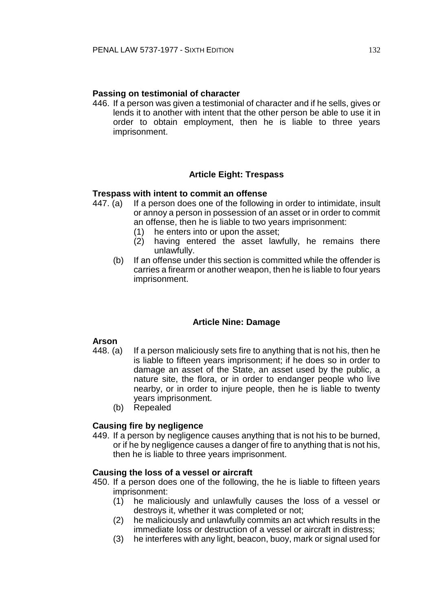# **Passing on testimonial of character**

446. If a person was given a testimonial of character and if he sells, gives or lends it to another with intent that the other person be able to use it in order to obtain employment, then he is liable to three years imprisonment.

# **Article Eight: Trespass**

### **Trespass with intent to commit an offense**

- 447. (a) If a person does one of the following in order to intimidate, insult or annoy a person in possession of an asset or in order to commit an offense, then he is liable to two years imprisonment:
	- (1) he enters into or upon the asset;
	- (2) having entered the asset lawfully, he remains there unlawfully.
	- (b) If an offense under this section is committed while the offender is carries a firearm or another weapon, then he is liable to four years imprisonment.

### **Article Nine: Damage**

# **Arson**

- 448. (a) If a person maliciously sets fire to anything that is not his, then he is liable to fifteen years imprisonment; if he does so in order to damage an asset of the State, an asset used by the public, a nature site, the flora, or in order to endanger people who live nearby, or in order to injure people, then he is liable to twenty years imprisonment.
	- (b) Repealed

# **Causing fire by negligence**

449. If a person by negligence causes anything that is not his to be burned, or if he by negligence causes a danger of fire to anything that is not his, then he is liable to three years imprisonment.

### **Causing the loss of a vessel or aircraft**

- 450. If a person does one of the following, the he is liable to fifteen years imprisonment:
	- (1) he maliciously and unlawfully causes the loss of a vessel or destroys it, whether it was completed or not;
	- (2) he maliciously and unlawfully commits an act which results in the immediate loss or destruction of a vessel or aircraft in distress;
	- (3) he interferes with any light, beacon, buoy, mark or signal used for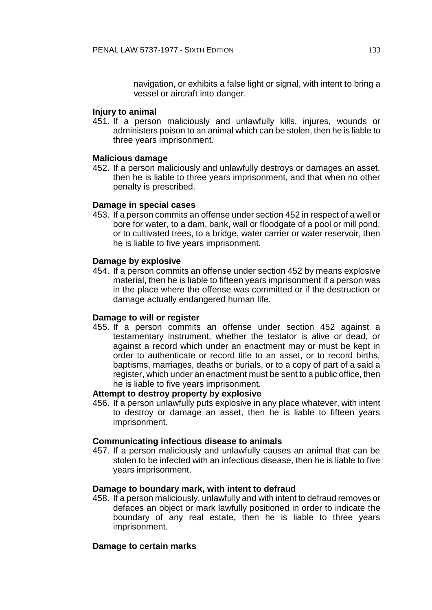navigation, or exhibits a false light or signal, with intent to bring a vessel or aircraft into danger.

### **Injury to animal**

451. If a person maliciously and unlawfully kills, injures, wounds or administers poison to an animal which can be stolen, then he is liable to three years imprisonment.

## **Malicious damage**

452. If a person maliciously and unlawfully destroys or damages an asset, then he is liable to three years imprisonment, and that when no other penalty is prescribed.

## **Damage in special cases**

453. If a person commits an offense under section 452 in respect of a well or bore for water, to a dam, bank, wall or floodgate of a pool or mill pond, or to cultivated trees, to a bridge, water carrier or water reservoir, then he is liable to five years imprisonment.

## **Damage by explosive**

454. If a person commits an offense under section 452 by means explosive material, then he is liable to fifteen years imprisonment if a person was in the place where the offense was committed or if the destruction or damage actually endangered human life.

### **Damage to will or register**

455. If a person commits an offense under section 452 against a testamentary instrument, whether the testator is alive or dead, or against a record which under an enactment may or must be kept in order to authenticate or record title to an asset, or to record births, baptisms, marriages, deaths or burials, or to a copy of part of a said a register, which under an enactment must be sent to a public office, then he is liable to five years imprisonment.

## **Attempt to destroy property by explosive**

456. If a person unlawfully puts explosive in any place whatever, with intent to destroy or damage an asset, then he is liable to fifteen years imprisonment.

### **Communicating infectious disease to animals**

457. If a person maliciously and unlawfully causes an animal that can be stolen to be infected with an infectious disease, then he is liable to five years imprisonment.

### **Damage to boundary mark, with intent to defraud**

458. If a person maliciously, unlawfully and with intent to defraud removes or defaces an object or mark lawfully positioned in order to indicate the boundary of any real estate, then he is liable to three years imprisonment.

# **Damage to certain marks**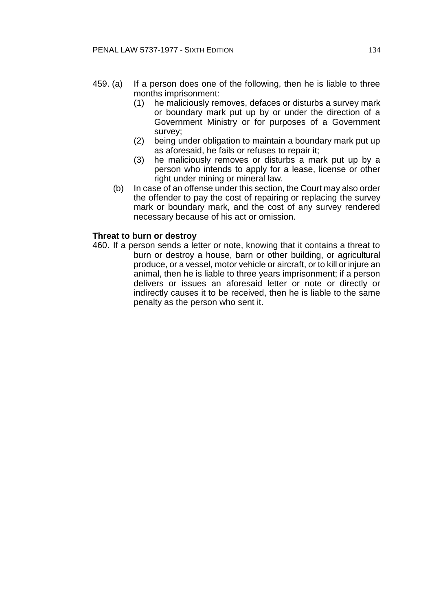- 459. (a) If a person does one of the following, then he is liable to three months imprisonment:
	- (1) he maliciously removes, defaces or disturbs a survey mark or boundary mark put up by or under the direction of a Government Ministry or for purposes of a Government survey;
	- (2) being under obligation to maintain a boundary mark put up as aforesaid, he fails or refuses to repair it;
	- (3) he maliciously removes or disturbs a mark put up by a person who intends to apply for a lease, license or other right under mining or mineral law.
	- (b) In case of an offense under this section, the Court may also order the offender to pay the cost of repairing or replacing the survey mark or boundary mark, and the cost of any survey rendered necessary because of his act or omission.

### **Threat to burn or destroy**

460. If a person sends a letter or note, knowing that it contains a threat to burn or destroy a house, barn or other building, or agricultural produce, or a vessel, motor vehicle or aircraft, or to kill or injure an animal, then he is liable to three years imprisonment; if a person delivers or issues an aforesaid letter or note or directly or indirectly causes it to be received, then he is liable to the same penalty as the person who sent it.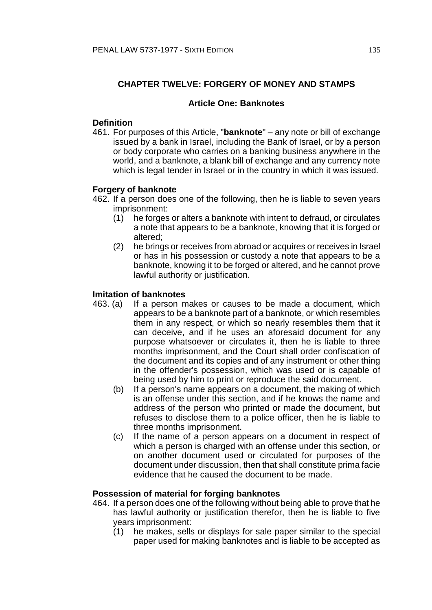# **CHAPTER TWELVE: FORGERY OF MONEY AND STAMPS**

### **Article One: Banknotes**

### **Definition**

461. For purposes of this Article, "**banknote**" – any note or bill of exchange issued by a bank in Israel, including the Bank of Israel, or by a person or body corporate who carries on a banking business anywhere in the world, and a banknote, a blank bill of exchange and any currency note which is legal tender in Israel or in the country in which it was issued.

## **Forgery of banknote**

- 462. If a person does one of the following, then he is liable to seven years imprisonment:
	- (1) he forges or alters a banknote with intent to defraud, or circulates a note that appears to be a banknote, knowing that it is forged or altered;
	- (2) he brings or receives from abroad or acquires or receives in Israel or has in his possession or custody a note that appears to be a banknote, knowing it to be forged or altered, and he cannot prove lawful authority or justification.

### **Imitation of banknotes**

- 463. (a) If a person makes or causes to be made a document, which appears to be a banknote part of a banknote, or which resembles them in any respect, or which so nearly resembles them that it can deceive, and if he uses an aforesaid document for any purpose whatsoever or circulates it, then he is liable to three months imprisonment, and the Court shall order confiscation of the document and its copies and of any instrument or other thing in the offender's possession, which was used or is capable of being used by him to print or reproduce the said document.
	- (b) If a person's name appears on a document, the making of which is an offense under this section, and if he knows the name and address of the person who printed or made the document, but refuses to disclose them to a police officer, then he is liable to three months imprisonment.
	- (c) If the name of a person appears on a document in respect of which a person is charged with an offense under this section, or on another document used or circulated for purposes of the document under discussion, then that shall constitute prima facie evidence that he caused the document to be made.

#### **Possession of material for forging banknotes**

- 464. If a person does one of the following without being able to prove that he has lawful authority or justification therefor, then he is liable to five years imprisonment:
	- (1) he makes, sells or displays for sale paper similar to the special paper used for making banknotes and is liable to be accepted as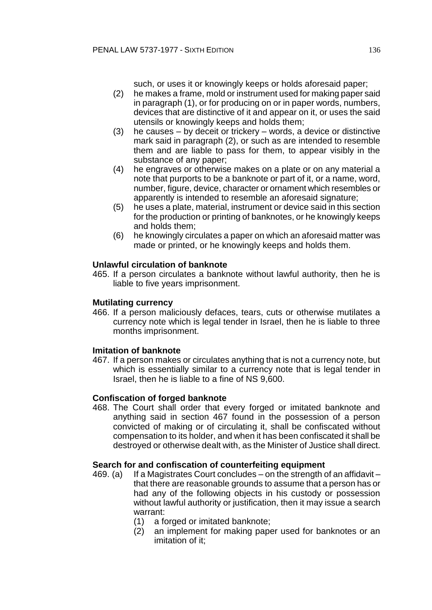such, or uses it or knowingly keeps or holds aforesaid paper;

- (2) he makes a frame, mold or instrument used for making paper said in paragraph (1), or for producing on or in paper words, numbers, devices that are distinctive of it and appear on it, or uses the said utensils or knowingly keeps and holds them;
- (3) he causes by deceit or trickery words, a device or distinctive mark said in paragraph (2), or such as are intended to resemble them and are liable to pass for them, to appear visibly in the substance of any paper;
- (4) he engraves or otherwise makes on a plate or on any material a note that purports to be a banknote or part of it, or a name, word, number, figure, device, character or ornament which resembles or apparently is intended to resemble an aforesaid signature;
- (5) he uses a plate, material, instrument or device said in this section for the production or printing of banknotes, or he knowingly keeps and holds them;
- (6) he knowingly circulates a paper on which an aforesaid matter was made or printed, or he knowingly keeps and holds them.

# **Unlawful circulation of banknote**

465. If a person circulates a banknote without lawful authority, then he is liable to five years imprisonment.

## **Mutilating currency**

466. If a person maliciously defaces, tears, cuts or otherwise mutilates a currency note which is legal tender in Israel, then he is liable to three months imprisonment.

# **Imitation of banknote**

467. If a person makes or circulates anything that is not a currency note, but which is essentially similar to a currency note that is legal tender in Israel, then he is liable to a fine of NS 9,600.

# **Confiscation of forged banknote**

468. The Court shall order that every forged or imitated banknote and anything said in section 467 found in the possession of a person convicted of making or of circulating it, shall be confiscated without compensation to its holder, and when it has been confiscated it shall be destroyed or otherwise dealt with, as the Minister of Justice shall direct.

# **Search for and confiscation of counterfeiting equipment**

- 469. (a) If a Magistrates Court concludes on the strength of an affidavit that there are reasonable grounds to assume that a person has or had any of the following objects in his custody or possession without lawful authority or justification, then it may issue a search warrant:
	- (1) a forged or imitated banknote;
	- (2) an implement for making paper used for banknotes or an imitation of it;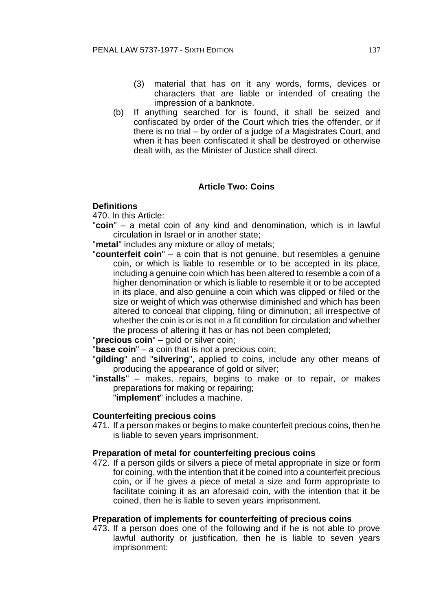- (3) material that has on it any words, forms, devices or characters that are liable or intended of creating the impression of a banknote.
- (b) If anything searched for is found, it shall be seized and confiscated by order of the Court which tries the offender, or if there is no trial – by order of a judge of a Magistrates Court, and when it has been confiscated it shall be destroyed or otherwise dealt with, as the Minister of Justice shall direct.

# **Article Two: Coins**

## **Definitions**

470. In this Article:

"**coin**" – a metal coin of any kind and denomination, which is in lawful circulation in Israel or in another state;

"**metal**" includes any mixture or alloy of metals;

"**counterfeit coin**" – a coin that is not genuine, but resembles a genuine coin, or which is liable to resemble or to be accepted in its place, including a genuine coin which has been altered to resemble a coin of a higher denomination or which is liable to resemble it or to be accepted in its place, and also genuine a coin which was clipped or filed or the size or weight of which was otherwise diminished and which has been altered to conceal that clipping, filing or diminution; all irrespective of whether the coin is or is not in a fit condition for circulation and whether the process of altering it has or has not been completed;

"**precious coin**" – gold or silver coin;

"**base coin**" – a coin that is not a precious coin;

"**gilding**" and "**silvering**", applied to coins, include any other means of producing the appearance of gold or silver;

"**installs**" – makes, repairs, begins to make or to repair, or makes preparations for making or repairing;

"**implement**" includes a machine.

# **Counterfeiting precious coins**

471. If a person makes or begins to make counterfeit precious coins, then he is liable to seven years imprisonment.

# **Preparation of metal for counterfeiting precious coins**

472. If a person gilds or silvers a piece of metal appropriate in size or form for coining, with the intention that it be coined into a counterfeit precious coin, or if he gives a piece of metal a size and form appropriate to facilitate coining it as an aforesaid coin, with the intention that it be coined, then he is liable to seven years imprisonment.

### **Preparation of implements for counterfeiting of precious coins**

473. If a person does one of the following and if he is not able to prove lawful authority or justification, then he is liable to seven years imprisonment: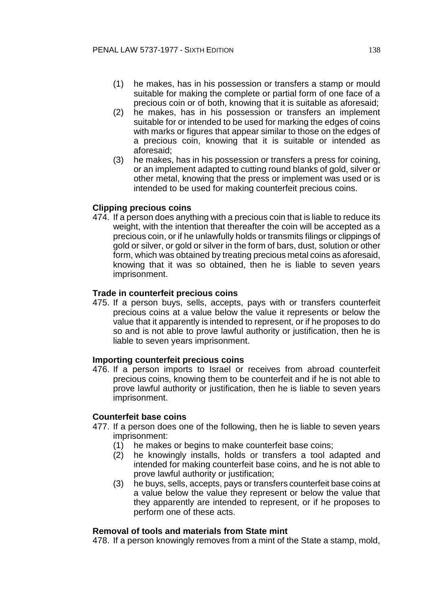- (1) he makes, has in his possession or transfers a stamp or mould suitable for making the complete or partial form of one face of a precious coin or of both, knowing that it is suitable as aforesaid;
- (2) he makes, has in his possession or transfers an implement suitable for or intended to be used for marking the edges of coins with marks or figures that appear similar to those on the edges of a precious coin, knowing that it is suitable or intended as aforesaid;
- (3) he makes, has in his possession or transfers a press for coining, or an implement adapted to cutting round blanks of gold, silver or other metal, knowing that the press or implement was used or is intended to be used for making counterfeit precious coins.

## **Clipping precious coins**

474. If a person does anything with a precious coin that is liable to reduce its weight, with the intention that thereafter the coin will be accepted as a precious coin, or if he unlawfully holds or transmits filings or clippings of gold or silver, or gold or silver in the form of bars, dust, solution or other form, which was obtained by treating precious metal coins as aforesaid, knowing that it was so obtained, then he is liable to seven years imprisonment.

### **Trade in counterfeit precious coins**

475. If a person buys, sells, accepts, pays with or transfers counterfeit precious coins at a value below the value it represents or below the value that it apparently is intended to represent, or if he proposes to do so and is not able to prove lawful authority or justification, then he is liable to seven years imprisonment.

### **Importing counterfeit precious coins**

476. If a person imports to Israel or receives from abroad counterfeit precious coins, knowing them to be counterfeit and if he is not able to prove lawful authority or justification, then he is liable to seven years imprisonment.

### **Counterfeit base coins**

- 477. If a person does one of the following, then he is liable to seven years imprisonment:
	- (1) he makes or begins to make counterfeit base coins;
	- (2) he knowingly installs, holds or transfers a tool adapted and intended for making counterfeit base coins, and he is not able to prove lawful authority or justification;
	- (3) he buys, sells, accepts, pays or transfers counterfeit base coins at a value below the value they represent or below the value that they apparently are intended to represent, or if he proposes to perform one of these acts.

#### **Removal of tools and materials from State mint**

478. If a person knowingly removes from a mint of the State a stamp, mold,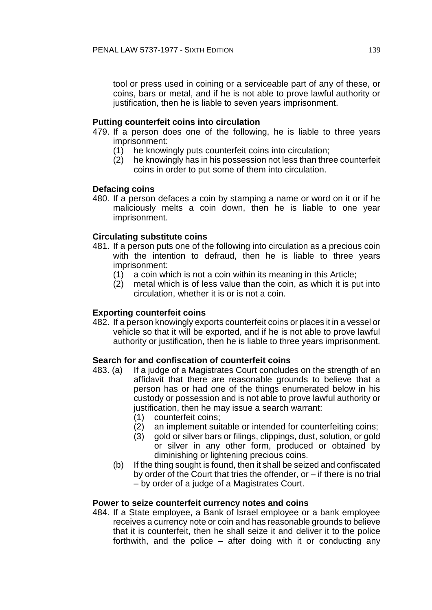tool or press used in coining or a serviceable part of any of these, or coins, bars or metal, and if he is not able to prove lawful authority or justification, then he is liable to seven years imprisonment.

## **Putting counterfeit coins into circulation**

- 479. If a person does one of the following, he is liable to three years imprisonment:
	- (1) he knowingly puts counterfeit coins into circulation;
	- (2) he knowingly has in his possession not less than three counterfeit coins in order to put some of them into circulation.

## **Defacing coins**

480. If a person defaces a coin by stamping a name or word on it or if he maliciously melts a coin down, then he is liable to one year imprisonment.

## **Circulating substitute coins**

- 481. If a person puts one of the following into circulation as a precious coin with the intention to defraud, then he is liable to three years imprisonment:
	- (1) a coin which is not a coin within its meaning in this Article;
	- (2) metal which is of less value than the coin, as which it is put into circulation, whether it is or is not a coin.

## **Exporting counterfeit coins**

482. If a person knowingly exports counterfeit coins or places it in a vessel or vehicle so that it will be exported, and if he is not able to prove lawful authority or justification, then he is liable to three years imprisonment.

### **Search for and confiscation of counterfeit coins**

- 483. (a) If a judge of a Magistrates Court concludes on the strength of an affidavit that there are reasonable grounds to believe that a person has or had one of the things enumerated below in his custody or possession and is not able to prove lawful authority or justification, then he may issue a search warrant:
	- (1) counterfeit coins;
	- (2) an implement suitable or intended for counterfeiting coins;
	- (3) gold or silver bars or filings, clippings, dust, solution, or gold or silver in any other form, produced or obtained by diminishing or lightening precious coins.
	- (b) If the thing sought is found, then it shall be seized and confiscated by order of the Court that tries the offender, or – if there is no trial – by order of a judge of a Magistrates Court.

### **Power to seize counterfeit currency notes and coins**

484. If a State employee, a Bank of Israel employee or a bank employee receives a currency note or coin and has reasonable grounds to believe that it is counterfeit, then he shall seize it and deliver it to the police forthwith, and the police – after doing with it or conducting any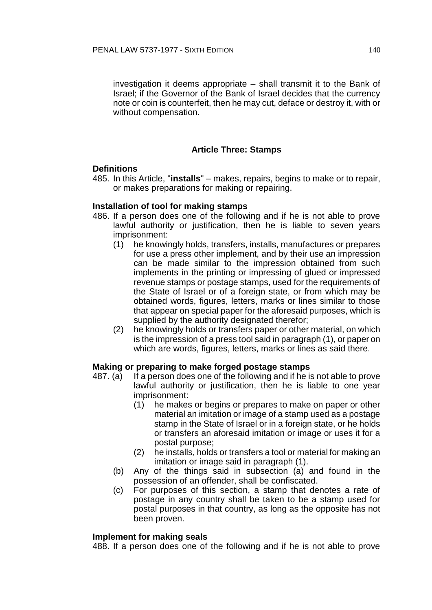investigation it deems appropriate – shall transmit it to the Bank of Israel; if the Governor of the Bank of Israel decides that the currency note or coin is counterfeit, then he may cut, deface or destroy it, with or without compensation.

# **Article Three: Stamps**

## **Definitions**

485. In this Article, "**installs**" – makes, repairs, begins to make or to repair, or makes preparations for making or repairing.

## **Installation of tool for making stamps**

- 486. If a person does one of the following and if he is not able to prove lawful authority or justification, then he is liable to seven years imprisonment:
	- (1) he knowingly holds, transfers, installs, manufactures or prepares for use a press other implement, and by their use an impression can be made similar to the impression obtained from such implements in the printing or impressing of glued or impressed revenue stamps or postage stamps, used for the requirements of the State of Israel or of a foreign state, or from which may be obtained words, figures, letters, marks or lines similar to those that appear on special paper for the aforesaid purposes, which is supplied by the authority designated therefor;
	- (2) he knowingly holds or transfers paper or other material, on which is the impression of a press tool said in paragraph (1), or paper on which are words, figures, letters, marks or lines as said there.

### **Making or preparing to make forged postage stamps**

- 487. (a) If a person does one of the following and if he is not able to prove lawful authority or justification, then he is liable to one year imprisonment:
	- (1) he makes or begins or prepares to make on paper or other material an imitation or image of a stamp used as a postage stamp in the State of Israel or in a foreign state, or he holds or transfers an aforesaid imitation or image or uses it for a postal purpose;
	- (2) he installs, holds or transfers a tool or material for making an imitation or image said in paragraph (1).
	- (b) Any of the things said in subsection (a) and found in the possession of an offender, shall be confiscated.
	- (c) For purposes of this section, a stamp that denotes a rate of postage in any country shall be taken to be a stamp used for postal purposes in that country, as long as the opposite has not been proven.

### **Implement for making seals**

488. If a person does one of the following and if he is not able to prove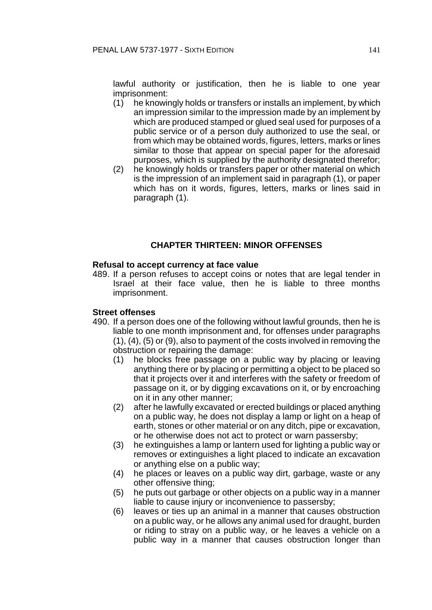lawful authority or justification, then he is liable to one year imprisonment:

- (1) he knowingly holds or transfers or installs an implement, by which an impression similar to the impression made by an implement by which are produced stamped or glued seal used for purposes of a public service or of a person duly authorized to use the seal, or from which may be obtained words, figures, letters, marks or lines similar to those that appear on special paper for the aforesaid purposes, which is supplied by the authority designated therefor;
- (2) he knowingly holds or transfers paper or other material on which is the impression of an implement said in paragraph (1), or paper which has on it words, figures, letters, marks or lines said in paragraph (1).

# **CHAPTER THIRTEEN: MINOR OFFENSES**

### **Refusal to accept currency at face value**

489. If a person refuses to accept coins or notes that are legal tender in Israel at their face value, then he is liable to three months imprisonment.

### **Street offenses**

- 490. If a person does one of the following without lawful grounds, then he is liable to one month imprisonment and, for offenses under paragraphs (1), (4), (5) or (9), also to payment of the costs involved in removing the obstruction or repairing the damage:
	- (1) he blocks free passage on a public way by placing or leaving anything there or by placing or permitting a object to be placed so that it projects over it and interferes with the safety or freedom of passage on it, or by digging excavations on it, or by encroaching on it in any other manner;
	- (2) after he lawfully excavated or erected buildings or placed anything on a public way, he does not display a lamp or light on a heap of earth, stones or other material or on any ditch, pipe or excavation, or he otherwise does not act to protect or warn passersby;
	- (3) he extinguishes a lamp or lantern used for lighting a public way or removes or extinguishes a light placed to indicate an excavation or anything else on a public way;
	- (4) he places or leaves on a public way dirt, garbage, waste or any other offensive thing;
	- (5) he puts out garbage or other objects on a public way in a manner liable to cause injury or inconvenience to passersby;
	- (6) leaves or ties up an animal in a manner that causes obstruction on a public way, or he allows any animal used for draught, burden or riding to stray on a public way, or he leaves a vehicle on a public way in a manner that causes obstruction longer than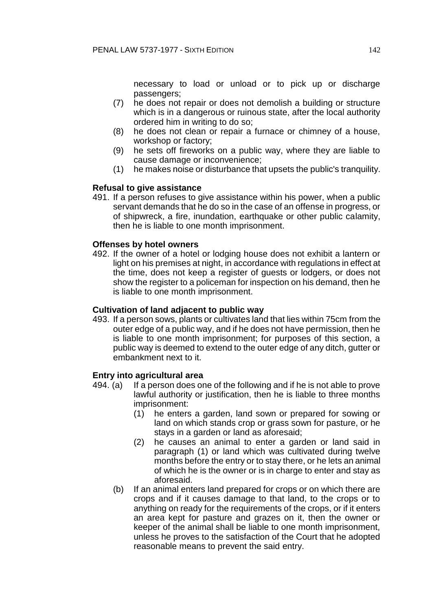necessary to load or unload or to pick up or discharge passengers;

- (7) he does not repair or does not demolish a building or structure which is in a dangerous or ruinous state, after the local authority ordered him in writing to do so;
- (8) he does not clean or repair a furnace or chimney of a house, workshop or factory;
- (9) he sets off fireworks on a public way, where they are liable to cause damage or inconvenience;
- (1) he makes noise or disturbance that upsets the public's tranquility.

# **Refusal to give assistance**

491. If a person refuses to give assistance within his power, when a public servant demands that he do so in the case of an offense in progress, or of shipwreck, a fire, inundation, earthquake or other public calamity, then he is liable to one month imprisonment.

## **Offenses by hotel owners**

492. If the owner of a hotel or lodging house does not exhibit a lantern or light on his premises at night, in accordance with regulations in effect at the time, does not keep a register of guests or lodgers, or does not show the register to a policeman for inspection on his demand, then he is liable to one month imprisonment.

### **Cultivation of land adjacent to public way**

493. If a person sows, plants or cultivates land that lies within 75cm from the outer edge of a public way, and if he does not have permission, then he is liable to one month imprisonment; for purposes of this section, a public way is deemed to extend to the outer edge of any ditch, gutter or embankment next to it.

# **Entry into agricultural area**

- 494. (a) If a person does one of the following and if he is not able to prove lawful authority or justification, then he is liable to three months imprisonment:
	- (1) he enters a garden, land sown or prepared for sowing or land on which stands crop or grass sown for pasture, or he stays in a garden or land as aforesaid;
	- (2) he causes an animal to enter a garden or land said in paragraph (1) or land which was cultivated during twelve months before the entry or to stay there, or he lets an animal of which he is the owner or is in charge to enter and stay as aforesaid.
	- (b) If an animal enters land prepared for crops or on which there are crops and if it causes damage to that land, to the crops or to anything on ready for the requirements of the crops, or if it enters an area kept for pasture and grazes on it, then the owner or keeper of the animal shall be liable to one month imprisonment, unless he proves to the satisfaction of the Court that he adopted reasonable means to prevent the said entry.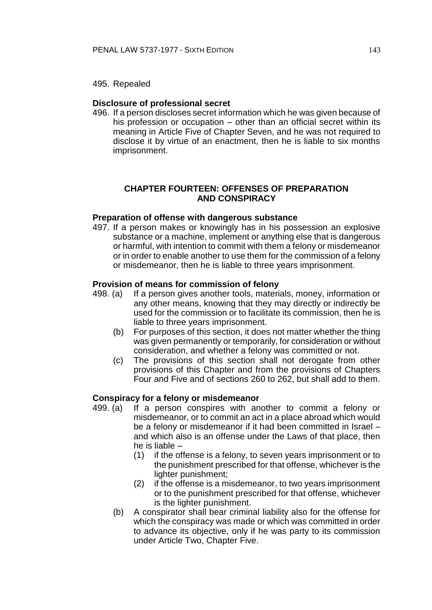### **Disclosure of professional secret**

496. If a person discloses secret information which he was given because of his profession or occupation – other than an official secret within its meaning in Article Five of Chapter Seven, and he was not required to disclose it by virtue of an enactment, then he is liable to six months imprisonment.

# **CHAPTER FOURTEEN: OFFENSES OF PREPARATION AND CONSPIRACY**

### **Preparation of offense with dangerous substance**

497. If a person makes or knowingly has in his possession an explosive substance or a machine, implement or anything else that is dangerous or harmful, with intention to commit with them a felony or misdemeanor or in order to enable another to use them for the commission of a felony or misdemeanor, then he is liable to three years imprisonment.

#### **Provision of means for commission of felony**

- 498. (a) If a person gives another tools, materials, money, information or any other means, knowing that they may directly or indirectly be used for the commission or to facilitate its commission, then he is liable to three years imprisonment.
	- (b) For purposes of this section, it does not matter whether the thing was given permanently or temporarily, for consideration or without consideration, and whether a felony was committed or not.
	- (c) The provisions of this section shall not derogate from other provisions of this Chapter and from the provisions of Chapters Four and Five and of sections 260 to 262, but shall add to them.

#### **Conspiracy for a felony or misdemeanor**

- 499. (a) If a person conspires with another to commit a felony or misdemeanor, or to commit an act in a place abroad which would be a felony or misdemeanor if it had been committed in Israel – and which also is an offense under the Laws of that place, then he is liable –
	- (1) if the offense is a felony, to seven years imprisonment or to the punishment prescribed for that offense, whichever is the lighter punishment;
	- (2) if the offense is a misdemeanor, to two years imprisonment or to the punishment prescribed for that offense, whichever is the lighter punishment.
	- (b) A conspirator shall bear criminal liability also for the offense for which the conspiracy was made or which was committed in order to advance its objective, only if he was party to its commission under Article Two, Chapter Five.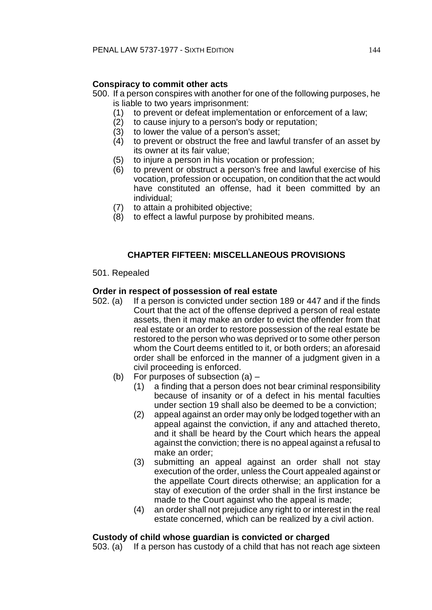# **Conspiracy to commit other acts**

- 500. If a person conspires with another for one of the following purposes, he is liable to two years imprisonment:
	- (1) to prevent or defeat implementation or enforcement of a law;
	- (2) to cause injury to a person's body or reputation;
	- $(3)$  to lower the value of a person's asset;<br> $(4)$  to prevent or obstruct the free and law
	- to prevent or obstruct the free and lawful transfer of an asset by its owner at its fair value;
	- (5) to injure a person in his vocation or profession;
	- (6) to prevent or obstruct a person's free and lawful exercise of his vocation, profession or occupation, on condition that the act would have constituted an offense, had it been committed by an individual;
	- (7) to attain a prohibited objective;
	- (8) to effect a lawful purpose by prohibited means.

# **CHAPTER FIFTEEN: MISCELLANEOUS PROVISIONS**

## 501. Repealed

# **Order in respect of possession of real estate**

- 502. (a) If a person is convicted under section 189 or 447 and if the finds Court that the act of the offense deprived a person of real estate assets, then it may make an order to evict the offender from that real estate or an order to restore possession of the real estate be restored to the person who was deprived or to some other person whom the Court deems entitled to it, or both orders; an aforesaid order shall be enforced in the manner of a judgment given in a civil proceeding is enforced.
	- (b) For purposes of subsection (a)
		- (1) a finding that a person does not bear criminal responsibility because of insanity or of a defect in his mental faculties under section 19 shall also be deemed to be a conviction;
		- (2) appeal against an order may only be lodged together with an appeal against the conviction, if any and attached thereto, and it shall be heard by the Court which hears the appeal against the conviction; there is no appeal against a refusal to make an order;
		- (3) submitting an appeal against an order shall not stay execution of the order, unless the Court appealed against or the appellate Court directs otherwise; an application for a stay of execution of the order shall in the first instance be made to the Court against who the appeal is made;
		- (4) an order shall not prejudice any right to or interest in the real estate concerned, which can be realized by a civil action.

# **Custody of child whose guardian is convicted or charged**

503. (a) If a person has custody of a child that has not reach age sixteen